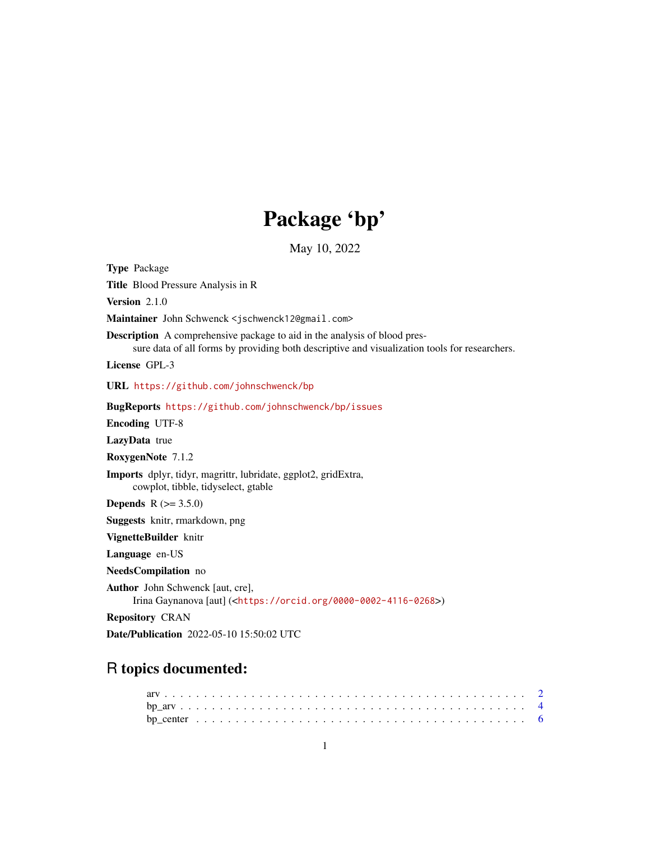## Package 'bp'

May 10, 2022

Title Blood Pressure Analysis in R Version 2.1.0 Maintainer John Schwenck <jschwenck12@gmail.com> Description A comprehensive package to aid in the analysis of blood pressure data of all forms by providing both descriptive and visualization tools for researchers. License GPL-3 URL <https://github.com/johnschwenck/bp> BugReports <https://github.com/johnschwenck/bp/issues> Encoding UTF-8 LazyData true RoxygenNote 7.1.2 Imports dplyr, tidyr, magrittr, lubridate, ggplot2, gridExtra, cowplot, tibble, tidyselect, gtable **Depends**  $R (= 3.5.0)$ Suggests knitr, rmarkdown, png VignetteBuilder knitr Language en-US NeedsCompilation no Author John Schwenck [aut, cre], Irina Gaynanova [aut] (<<https://orcid.org/0000-0002-4116-0268>>) Repository CRAN Date/Publication 2022-05-10 15:50:02 UTC

## R topics documented:

<span id="page-0-0"></span>Type Package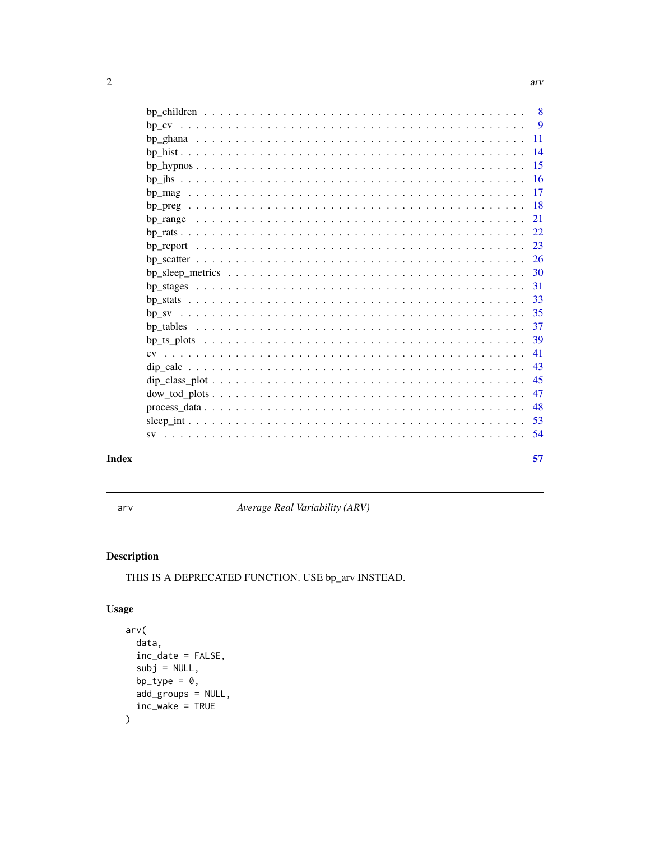<span id="page-1-0"></span>

|           | 8   |
|-----------|-----|
|           | 9   |
|           | 11  |
|           | 14  |
|           | -15 |
|           | 16  |
|           | 17  |
|           | 18  |
|           | 21  |
|           | 22  |
|           | 23  |
|           | -26 |
|           | 30  |
|           | 31  |
|           | 33  |
|           | 35  |
|           | -37 |
|           | 39  |
| CV        | 41  |
|           | 43  |
|           | 45  |
|           | 47  |
|           | 48  |
|           | 53  |
|           |     |
| <b>SV</b> | 54  |
|           | 57  |
|           |     |

## **Index**

arv

Average Real Variability (ARV)

## **Description**

THIS IS A DEPRECATED FUNCTION. USE bp\_arv INSTEAD.

## **Usage**

```
arv(data,
  inc\_date = FALSE,subj = NULL,bp_type = 0,
  add_groups = NULL,
  inc\_wake = TRUE\mathcal{L}
```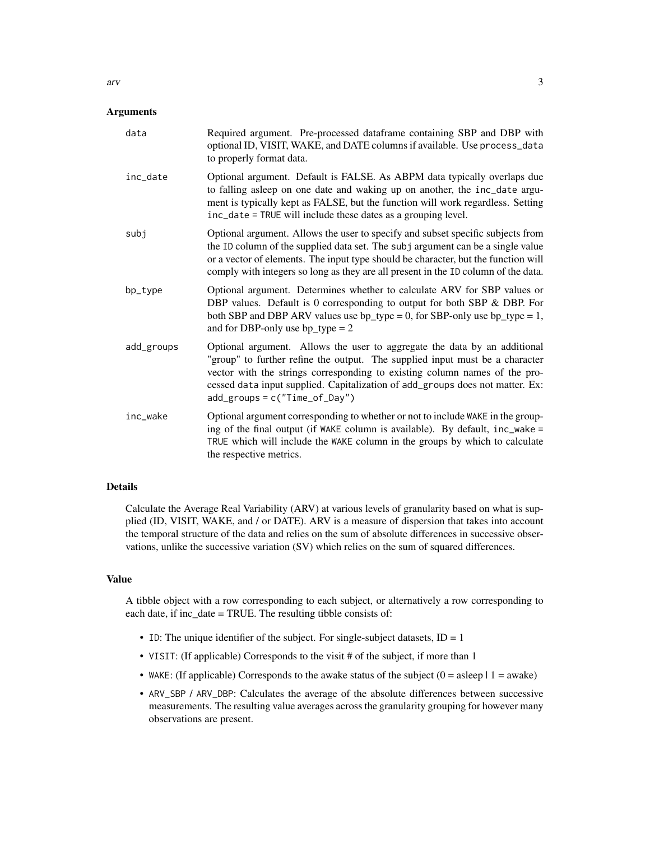#### **Arguments**

| data       | Required argument. Pre-processed dataframe containing SBP and DBP with<br>optional ID, VISIT, WAKE, and DATE columns if available. Use process_data<br>to properly format data.                                                                                                                                                                              |
|------------|--------------------------------------------------------------------------------------------------------------------------------------------------------------------------------------------------------------------------------------------------------------------------------------------------------------------------------------------------------------|
| inc_date   | Optional argument. Default is FALSE. As ABPM data typically overlaps due<br>to falling asleep on one date and waking up on another, the inc_date argu-<br>ment is typically kept as FALSE, but the function will work regardless. Setting<br>inc_date = TRUE will include these dates as a grouping level.                                                   |
| subj       | Optional argument. Allows the user to specify and subset specific subjects from<br>the ID column of the supplied data set. The subj argument can be a single value<br>or a vector of elements. The input type should be character, but the function will<br>comply with integers so long as they are all present in the ID column of the data.               |
| bp_type    | Optional argument. Determines whether to calculate ARV for SBP values or<br>DBP values. Default is 0 corresponding to output for both SBP & DBP. For<br>both SBP and DBP ARV values use $bp_{type} = 0$ , for SBP-only use $bp_{type} = 1$ ,<br>and for DBP-only use $bp_{\text{type}} = 2$                                                                  |
| add_groups | Optional argument. Allows the user to aggregate the data by an additional<br>"group" to further refine the output. The supplied input must be a character<br>vector with the strings corresponding to existing column names of the pro-<br>cessed data input supplied. Capitalization of add_groups does not matter. Ex:<br>$add\_groups = c("Time_of_Day")$ |
| inc_wake   | Optional argument corresponding to whether or not to include WAKE in the group-<br>ing of the final output (if WAKE column is available). By default, inc_wake =<br>TRUE which will include the WAKE column in the groups by which to calculate<br>the respective metrics.                                                                                   |

#### Details

Calculate the Average Real Variability (ARV) at various levels of granularity based on what is supplied (ID, VISIT, WAKE, and / or DATE). ARV is a measure of dispersion that takes into account the temporal structure of the data and relies on the sum of absolute differences in successive observations, unlike the successive variation (SV) which relies on the sum of squared differences.

#### Value

A tibble object with a row corresponding to each subject, or alternatively a row corresponding to each date, if inc\_date = TRUE. The resulting tibble consists of:

- ID: The unique identifier of the subject. For single-subject datasets,  $ID = 1$
- VISIT: (If applicable) Corresponds to the visit # of the subject, if more than 1
- WAKE: (If applicable) Corresponds to the awake status of the subject  $(0 = a \text{sleep} \mid 1 = \text{awake})$
- ARV\_SBP / ARV\_DBP: Calculates the average of the absolute differences between successive measurements. The resulting value averages across the granularity grouping for however many observations are present.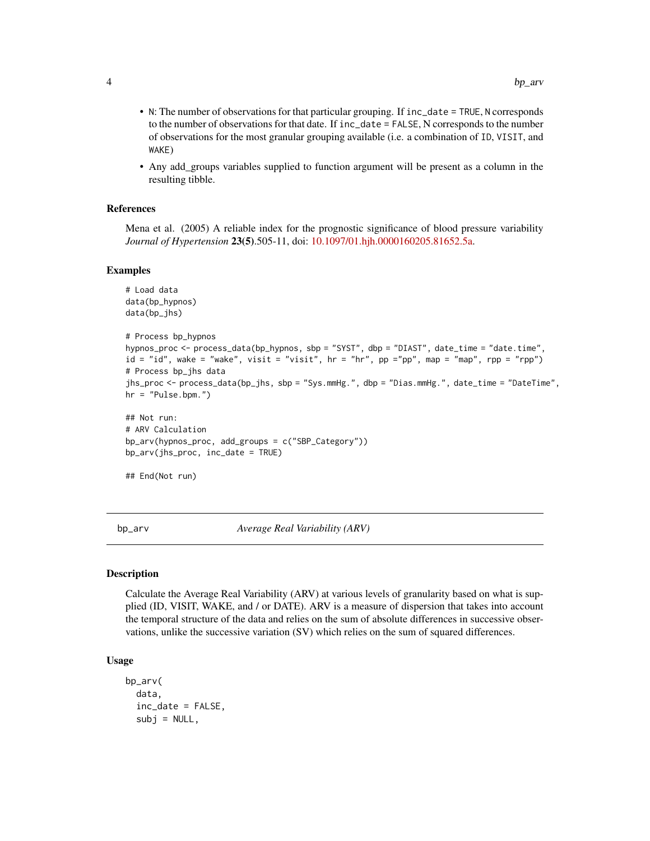- <span id="page-3-0"></span>• N: The number of observations for that particular grouping. If inc\_date = TRUE, N corresponds to the number of observations for that date. If inc\_date = FALSE, N corresponds to the number of observations for the most granular grouping available (i.e. a combination of ID, VISIT, and WAKE)
- Any add\_groups variables supplied to function argument will be present as a column in the resulting tibble.

## References

Mena et al. (2005) A reliable index for the prognostic significance of blood pressure variability *Journal of Hypertension* 23(5).505-11, doi: [10.1097/01.hjh.0000160205.81652.5a.](https://doi.org/10.1097/01.hjh.0000160205.81652.5a)

#### Examples

```
# Load data
data(bp_hypnos)
data(bp_jhs)
# Process bp_hypnos
hypnos_proc <- process_data(bp_hypnos, sbp = "SYST", dbp = "DIAST", date_time = "date.time",
id = "id", wake = "wake", visit = "visit", hr = "hr", pp ="pp", map = "map", rpp = "rpp")
# Process bp_jhs data
jhs_proc <- process_data(bp_jhs, sbp = "Sys.mmHg.", dbp = "Dias.mmHg.", date_time = "DateTime",
hr = "Pulse.bpm."## Not run:
# ARV Calculation
bp_arv(hypnos_proc, add_groups = c("SBP_Category"))
bp_arv(jhs_proc, inc_date = TRUE)
## End(Not run)
```
bp\_arv *Average Real Variability (ARV)*

#### Description

Calculate the Average Real Variability (ARV) at various levels of granularity based on what is supplied (ID, VISIT, WAKE, and / or DATE). ARV is a measure of dispersion that takes into account the temporal structure of the data and relies on the sum of absolute differences in successive observations, unlike the successive variation (SV) which relies on the sum of squared differences.

#### Usage

```
bp_arv(
  data,
  inc_date = FALSE,
  subj = NULL,
```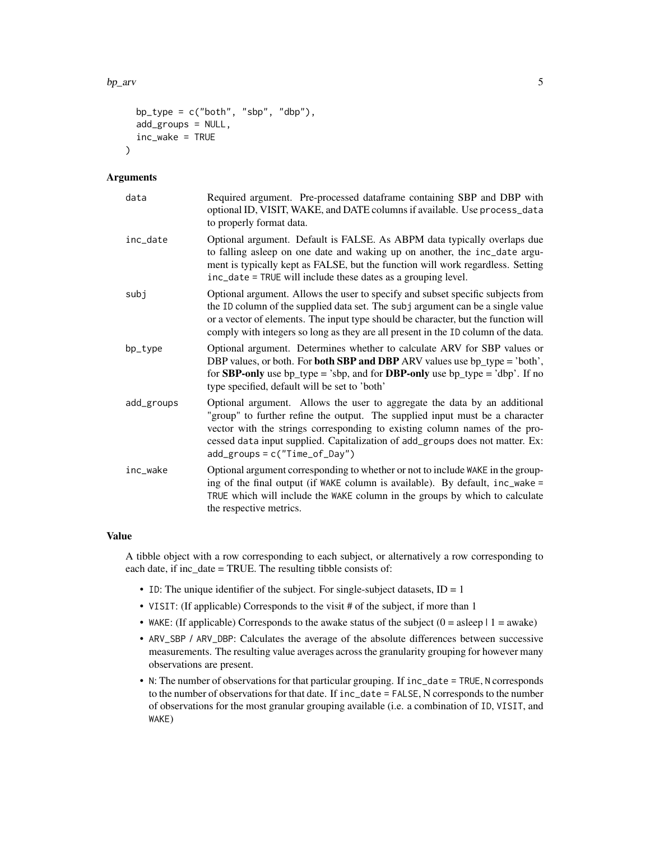$bp_$ arv  $5$ 

```
bp_type = c("both", "sbp", "dbp"),
add_groups = NULL,
inc\_wake = TRUE
```
## Arguments

 $\lambda$ 

| data       | Required argument. Pre-processed dataframe containing SBP and DBP with<br>optional ID, VISIT, WAKE, and DATE columns if available. Use process_data<br>to properly format data.                                                                                                                                                                              |
|------------|--------------------------------------------------------------------------------------------------------------------------------------------------------------------------------------------------------------------------------------------------------------------------------------------------------------------------------------------------------------|
| inc_date   | Optional argument. Default is FALSE. As ABPM data typically overlaps due<br>to falling asleep on one date and waking up on another, the inc_date argu-<br>ment is typically kept as FALSE, but the function will work regardless. Setting<br>inc_date = TRUE will include these dates as a grouping level.                                                   |
| subi       | Optional argument. Allows the user to specify and subset specific subjects from<br>the ID column of the supplied data set. The subj argument can be a single value<br>or a vector of elements. The input type should be character, but the function will<br>comply with integers so long as they are all present in the ID column of the data.               |
| bp_type    | Optional argument. Determines whether to calculate ARV for SBP values or<br>DBP values, or both. For <b>both SBP and DBP</b> ARV values use bp_type = 'both',<br>for <b>SBP-only</b> use bp_type = 'sbp, and for <b>DBP-only</b> use bp_type = 'dbp'. If no<br>type specified, default will be set to 'both'                                                 |
| add_groups | Optional argument. Allows the user to aggregate the data by an additional<br>"group" to further refine the output. The supplied input must be a character<br>vector with the strings corresponding to existing column names of the pro-<br>cessed data input supplied. Capitalization of add_groups does not matter. Ex:<br>$add\_groups = c("Time_of_Day")$ |
| inc_wake   | Optional argument corresponding to whether or not to include WAKE in the group-<br>ing of the final output (if WAKE column is available). By default, inc_wake =<br>TRUE which will include the WAKE column in the groups by which to calculate<br>the respective metrics.                                                                                   |

## Value

A tibble object with a row corresponding to each subject, or alternatively a row corresponding to each date, if inc\_date = TRUE. The resulting tibble consists of:

- ID: The unique identifier of the subject. For single-subject datasets,  $ID = 1$
- VISIT: (If applicable) Corresponds to the visit # of the subject, if more than 1
- WAKE: (If applicable) Corresponds to the awake status of the subject  $(0 = a \text{sleep} \mid 1 = \text{awake})$
- ARV\_SBP / ARV\_DBP: Calculates the average of the absolute differences between successive measurements. The resulting value averages across the granularity grouping for however many observations are present.
- N: The number of observations for that particular grouping. If inc\_date = TRUE, N corresponds to the number of observations for that date. If inc\_date = FALSE, N corresponds to the number of observations for the most granular grouping available (i.e. a combination of ID, VISIT, and WAKE)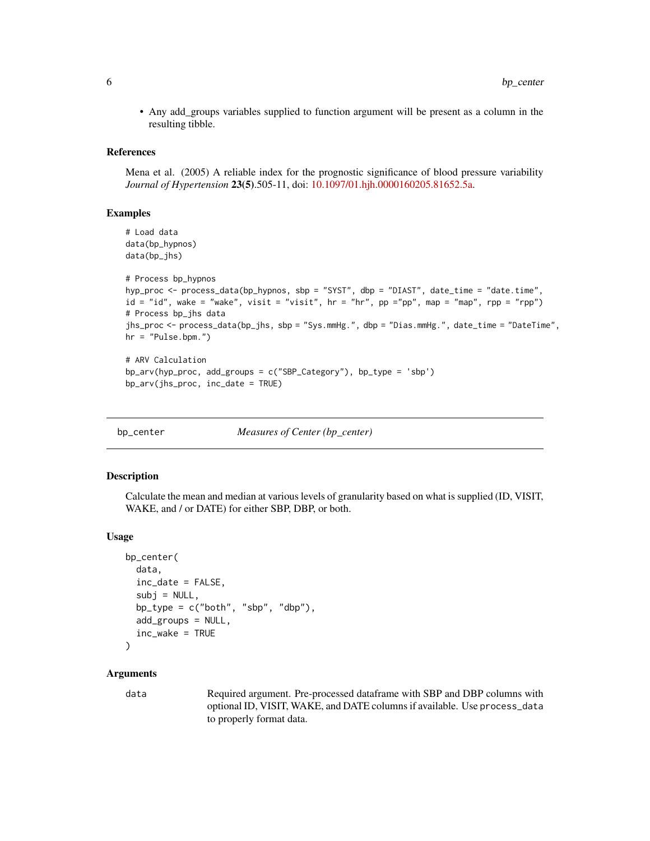<span id="page-5-0"></span>• Any add\_groups variables supplied to function argument will be present as a column in the resulting tibble.

#### References

Mena et al. (2005) A reliable index for the prognostic significance of blood pressure variability *Journal of Hypertension* 23(5).505-11, doi: [10.1097/01.hjh.0000160205.81652.5a.](https://doi.org/10.1097/01.hjh.0000160205.81652.5a)

## Examples

```
# Load data
data(bp_hypnos)
data(bp_jhs)
# Process bp_hypnos
hyp_proc <- process_data(bp_hypnos, sbp = "SYST", dbp = "DIAST", date_time = "date.time",
id = "id", wake = "wake", visit = "visit", hr = "hr", pp ="pp", map = "map", rpp = "rpp")
# Process bp_jhs data
jhs_proc <- process_data(bp_jhs, sbp = "Sys.mmHg.", dbp = "Dias.mmHg.", date_time = "DateTime",
hr = "Pulse.bpm."# ARV Calculation
```

```
bp_arv(hyp_proc, add_groups = c("SBP_Category"), bp_type = 'sbp')
bp_arv(jhs_proc, inc_date = TRUE)
```
bp\_center *Measures of Center (bp\_center)*

#### Description

Calculate the mean and median at various levels of granularity based on what is supplied (ID, VISIT, WAKE, and / or DATE) for either SBP, DBP, or both.

#### Usage

```
bp_center(
 data,
  inc_date = FALSE,
  subj = NULL,bp_type = c("both", "sbp", "dbp"),
  add_groups = NULL,
  inc_wake = TRUE
```

```
)
```
## Arguments

data Required argument. Pre-processed dataframe with SBP and DBP columns with optional ID, VISIT, WAKE, and DATE columns if available. Use process\_data to properly format data.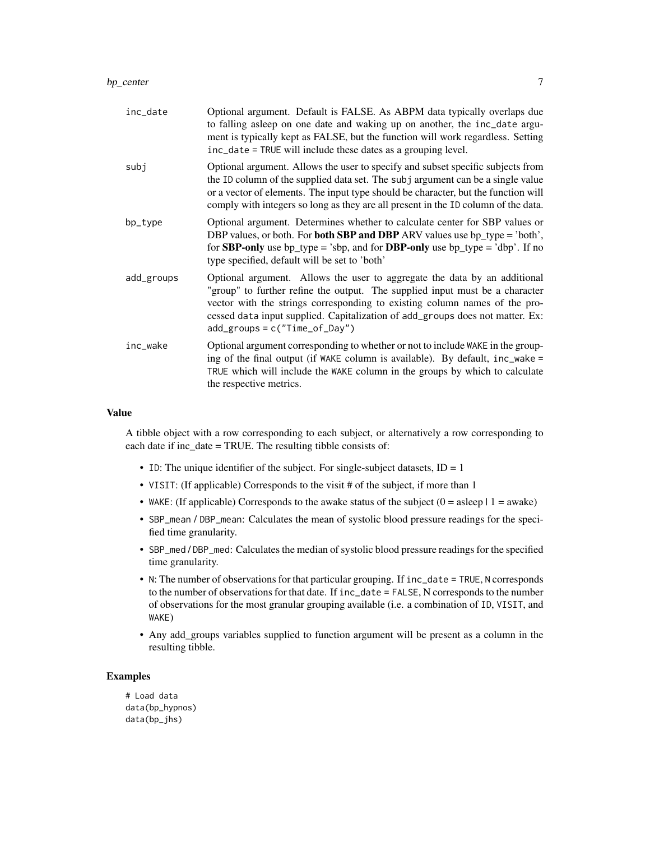| subj<br>bp_type<br>type specified, default will be set to 'both'<br>add_groups<br>$add\_groups = c("Time_of_Day")$<br>inc_wake | inc_date | Optional argument. Default is FALSE. As ABPM data typically overlaps due<br>to falling asleep on one date and waking up on another, the inc_date argu-<br>ment is typically kept as FALSE, but the function will work regardless. Setting<br>inc_date = TRUE will include these dates as a grouping level.                                     |
|--------------------------------------------------------------------------------------------------------------------------------|----------|------------------------------------------------------------------------------------------------------------------------------------------------------------------------------------------------------------------------------------------------------------------------------------------------------------------------------------------------|
|                                                                                                                                |          | Optional argument. Allows the user to specify and subset specific subjects from<br>the ID column of the supplied data set. The subj argument can be a single value<br>or a vector of elements. The input type should be character, but the function will<br>comply with integers so long as they are all present in the ID column of the data. |
|                                                                                                                                |          | Optional argument. Determines whether to calculate center for SBP values or<br>DBP values, or both. For <b>both SBP and DBP</b> ARV values use bp_type = 'both',<br>for <b>SBP-only</b> use bp_type = 'sbp, and for <b>DBP-only</b> use bp_type = 'dbp'. If no                                                                                 |
|                                                                                                                                |          | Optional argument. Allows the user to aggregate the data by an additional<br>"group" to further refine the output. The supplied input must be a character<br>vector with the strings corresponding to existing column names of the pro-<br>cessed data input supplied. Capitalization of add_groups does not matter. Ex:                       |
| the respective metrics.                                                                                                        |          | Optional argument corresponding to whether or not to include WAKE in the group-<br>ing of the final output (if WAKE column is available). By default, inc_wake =<br>TRUE which will include the WAKE column in the groups by which to calculate                                                                                                |

## Value

A tibble object with a row corresponding to each subject, or alternatively a row corresponding to each date if inc\_date = TRUE. The resulting tibble consists of:

- ID: The unique identifier of the subject. For single-subject datasets,  $ID = 1$
- VISIT: (If applicable) Corresponds to the visit # of the subject, if more than 1
- WAKE: (If applicable) Corresponds to the awake status of the subject  $(0 = a \text{sleep} \mid 1 = a \text{wake})$
- SBP\_mean / DBP\_mean: Calculates the mean of systolic blood pressure readings for the specified time granularity.
- SBP\_med / DBP\_med: Calculates the median of systolic blood pressure readings for the specified time granularity.
- N: The number of observations for that particular grouping. If inc\_date = TRUE, N corresponds to the number of observations for that date. If inc\_date = FALSE, N corresponds to the number of observations for the most granular grouping available (i.e. a combination of ID, VISIT, and WAKE)
- Any add\_groups variables supplied to function argument will be present as a column in the resulting tibble.

## Examples

# Load data data(bp\_hypnos) data(bp\_jhs)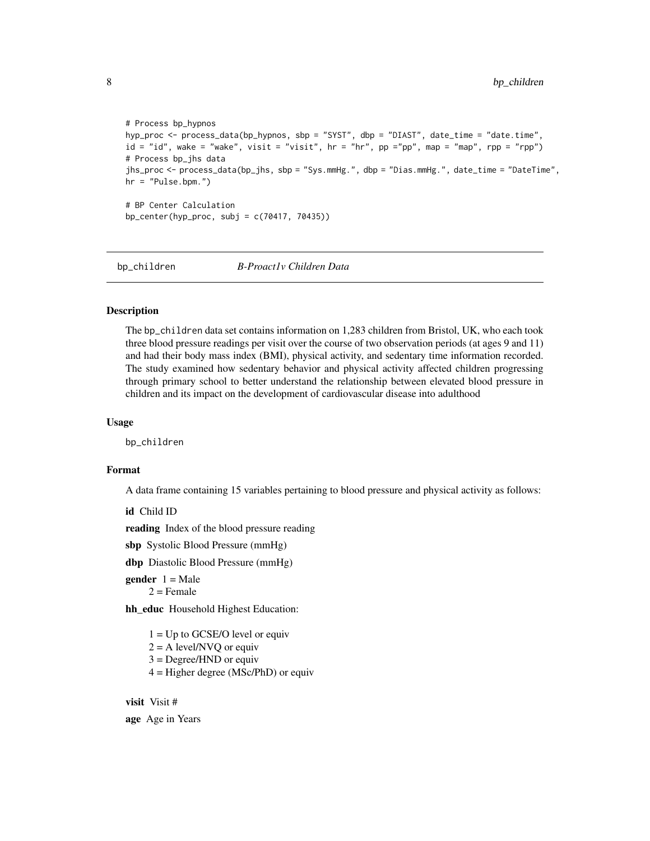```
# Process bp_hypnos
hyp_proc <- process_data(bp_hypnos, sbp = "SYST", dbp = "DIAST", date_time = "date.time",
id = "id", wake = "wake", visit = "visit", hr = "hr", pp ="pp", map = "map", rpp = "rpp")
# Process bp_jhs data
jhs_proc <- process_data(bp_jhs, sbp = "Sys.mmHg.", dbp = "Dias.mmHg.", date_time = "DateTime",
hr = "Pulse.bpm.")
# BP Center Calculation
bp_center(hyp_proc, subj = c(70417, 70435))
```
bp\_children *B-Proact1v Children Data*

## Description

The bp\_children data set contains information on 1,283 children from Bristol, UK, who each took three blood pressure readings per visit over the course of two observation periods (at ages 9 and 11) and had their body mass index (BMI), physical activity, and sedentary time information recorded. The study examined how sedentary behavior and physical activity affected children progressing through primary school to better understand the relationship between elevated blood pressure in children and its impact on the development of cardiovascular disease into adulthood

## Usage

bp\_children

#### Format

A data frame containing 15 variables pertaining to blood pressure and physical activity as follows:

id Child ID

reading Index of the blood pressure reading

sbp Systolic Blood Pressure (mmHg)

dbp Diastolic Blood Pressure (mmHg)

**gender**  $1 = Male$  $2$  = Female

hh\_educ Household Highest Education:

 $1 = Up$  to GCSE/O level or equiv

 $2 = A$  level/NVQ or equiv

3 = Degree/HND or equiv

 $4 =$  Higher degree (MSc/PhD) or equiv

## visit Visit #

age Age in Years

<span id="page-7-0"></span>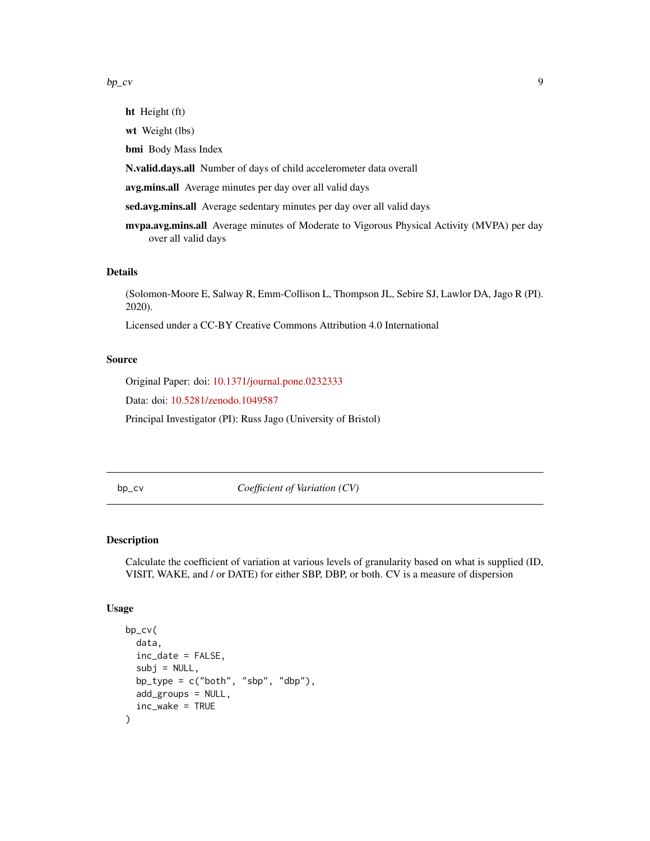#### <span id="page-8-0"></span> $bp\_cv$  9

ht Height (ft) wt Weight (lbs) bmi Body Mass Index N.valid.days.all Number of days of child accelerometer data overall avg.mins.all Average minutes per day over all valid days sed.avg.mins.all Average sedentary minutes per day over all valid days mvpa.avg.mins.all Average minutes of Moderate to Vigorous Physical Activity (MVPA) per day over all valid days

## Details

(Solomon-Moore E, Salway R, Emm-Collison L, Thompson JL, Sebire SJ, Lawlor DA, Jago R (PI). 2020).

Licensed under a CC-BY Creative Commons Attribution 4.0 International

### Source

Original Paper: doi: [10.1371/journal.pone.0232333](https://doi.org/10.1371/journal.pone.0232333)

Data: doi: [10.5281/zenodo.1049587](https://doi.org/10.5281/zenodo.1049587)

Principal Investigator (PI): Russ Jago (University of Bristol)

bp\_cv *Coefficient of Variation (CV)*

## Description

Calculate the coefficient of variation at various levels of granularity based on what is supplied (ID, VISIT, WAKE, and / or DATE) for either SBP, DBP, or both. CV is a measure of dispersion

## Usage

```
bp_cv(
  data,
  inc_date = FALSE,
  subi = NULL,bp_type = c("both", "sbp", "dbp"),
  add_groups = NULL,
  inc_wake = TRUE
)
```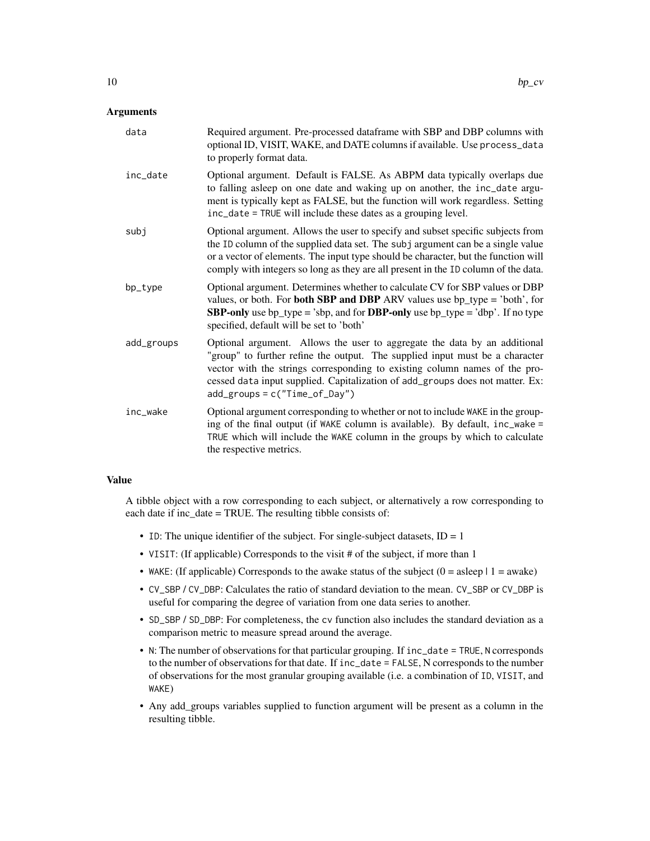## Arguments

| data       | Required argument. Pre-processed dataframe with SBP and DBP columns with<br>optional ID, VISIT, WAKE, and DATE columns if available. Use process_data<br>to properly format data.                                                                                                                                                                            |
|------------|--------------------------------------------------------------------------------------------------------------------------------------------------------------------------------------------------------------------------------------------------------------------------------------------------------------------------------------------------------------|
| inc_date   | Optional argument. Default is FALSE. As ABPM data typically overlaps due<br>to falling asleep on one date and waking up on another, the inc_date argu-<br>ment is typically kept as FALSE, but the function will work regardless. Setting<br>inc_date = TRUE will include these dates as a grouping level.                                                   |
| subj       | Optional argument. Allows the user to specify and subset specific subjects from<br>the ID column of the supplied data set. The subj argument can be a single value<br>or a vector of elements. The input type should be character, but the function will<br>comply with integers so long as they are all present in the ID column of the data.               |
| bp_type    | Optional argument. Determines whether to calculate CV for SBP values or DBP<br>values, or both. For <b>both SBP and DBP</b> ARV values use $bp_{\text{type}} = 'both',$ for<br><b>SBP-only</b> use bp_type = 'sbp, and for <b>DBP-only</b> use bp_type = 'dbp'. If no type<br>specified, default will be set to 'both'                                       |
| add_groups | Optional argument. Allows the user to aggregate the data by an additional<br>"group" to further refine the output. The supplied input must be a character<br>vector with the strings corresponding to existing column names of the pro-<br>cessed data input supplied. Capitalization of add_groups does not matter. Ex:<br>$add\_groups = c("Time_of_Day")$ |
| inc wake   | Optional argument corresponding to whether or not to include WAKE in the group-<br>ing of the final output (if WAKE column is available). By default, inc_wake =<br>TRUE which will include the WAKE column in the groups by which to calculate<br>the respective metrics.                                                                                   |

## Value

A tibble object with a row corresponding to each subject, or alternatively a row corresponding to each date if inc\_date = TRUE. The resulting tibble consists of:

- ID: The unique identifier of the subject. For single-subject datasets,  $ID = 1$
- VISIT: (If applicable) Corresponds to the visit # of the subject, if more than 1
- WAKE: (If applicable) Corresponds to the awake status of the subject  $(0 = a \text{sleep} \mid 1 = a \text{wake})$
- CV\_SBP / CV\_DBP: Calculates the ratio of standard deviation to the mean. CV\_SBP or CV\_DBP is useful for comparing the degree of variation from one data series to another.
- SD\_SBP / SD\_DBP: For completeness, the cv function also includes the standard deviation as a comparison metric to measure spread around the average.
- N: The number of observations for that particular grouping. If inc\_date = TRUE, N corresponds to the number of observations for that date. If inc\_date = FALSE, N corresponds to the number of observations for the most granular grouping available (i.e. a combination of ID, VISIT, and WAKE)
- Any add\_groups variables supplied to function argument will be present as a column in the resulting tibble.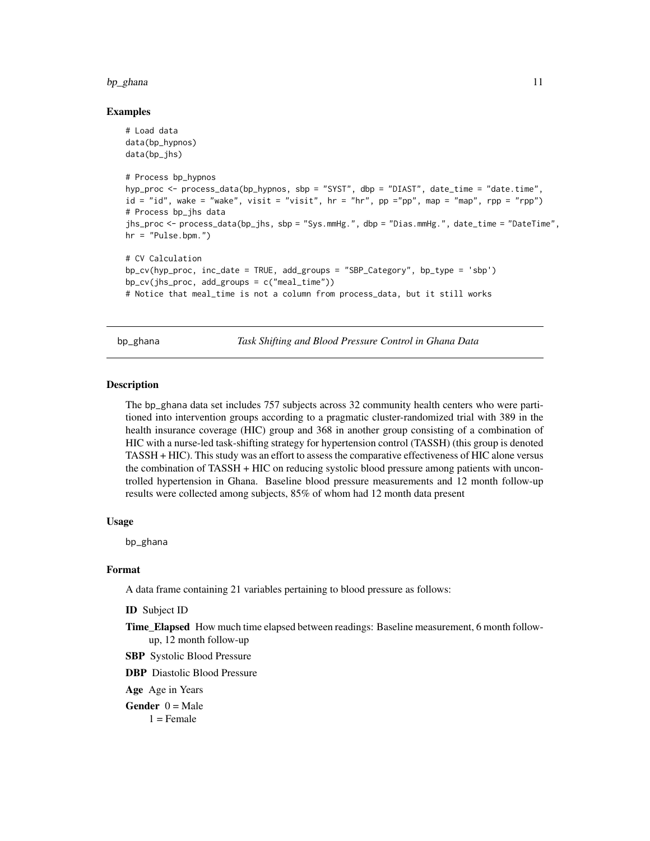#### <span id="page-10-0"></span>bp\_ghana 11

## Examples

```
# Load data
data(bp_hypnos)
data(bp_jhs)
# Process bp_hypnos
hyp_proc <- process_data(bp_hypnos, sbp = "SYST", dbp = "DIAST", date_time = "date.time",
id = "id", wake = "wake", visit = "visit", hr = "hr", pp ="pp", map = "map", rpp = "rpp")
# Process bp_jhs data
jhs_proc <- process_data(bp_jhs, sbp = "Sys.mmHg.", dbp = "Dias.mmHg.", date_time = "DateTime",
hr = "Pulse.bpm."# CV Calculation
bp_cv(hyp_proc, inc_date = TRUE, add_groups = "SBP_Category", bp_type = 'sbp')
bp_cv(jhs_proc, add_groups = c("meal_time"))
# Notice that meal_time is not a column from process_data, but it still works
```
bp\_ghana *Task Shifting and Blood Pressure Control in Ghana Data*

#### **Description**

The bp\_ghana data set includes 757 subjects across 32 community health centers who were partitioned into intervention groups according to a pragmatic cluster-randomized trial with 389 in the health insurance coverage (HIC) group and 368 in another group consisting of a combination of HIC with a nurse-led task-shifting strategy for hypertension control (TASSH) (this group is denoted TASSH + HIC). This study was an effort to assess the comparative effectiveness of HIC alone versus the combination of TASSH + HIC on reducing systolic blood pressure among patients with uncontrolled hypertension in Ghana. Baseline blood pressure measurements and 12 month follow-up results were collected among subjects, 85% of whom had 12 month data present

## Usage

bp\_ghana

#### Format

A data frame containing 21 variables pertaining to blood pressure as follows:

ID Subject ID

Time\_Elapsed How much time elapsed between readings: Baseline measurement, 6 month followup, 12 month follow-up

SBP Systolic Blood Pressure

DBP Diastolic Blood Pressure

Age Age in Years

**Gender**  $0 = Male$ 

 $1 =$ Female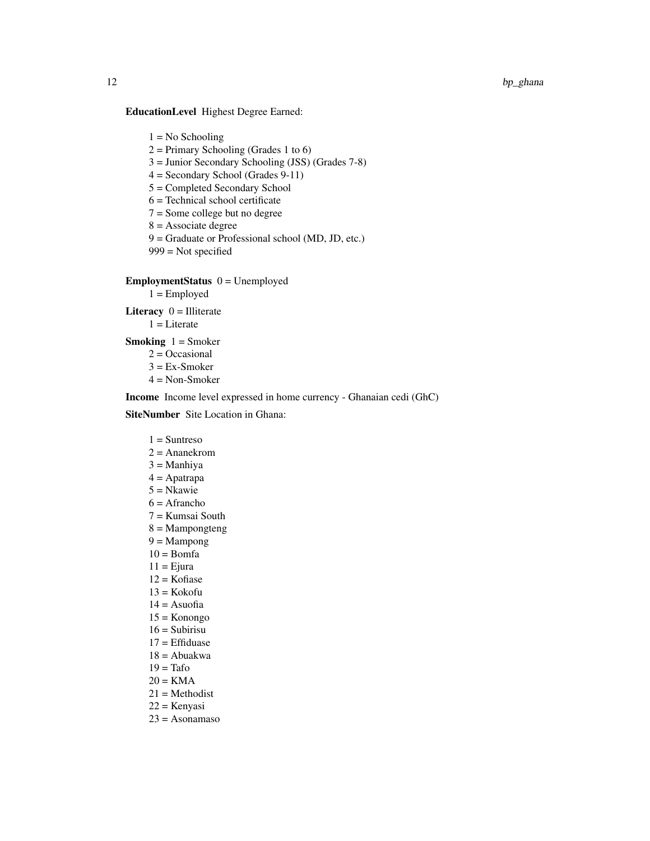## EducationLevel Highest Degree Earned:

 $1 = No$  Schooling

 $2 =$  Primary Schooling (Grades 1 to 6)

- 3 = Junior Secondary Schooling (JSS) (Grades 7-8)
- 4 = Secondary School (Grades 9-11)
- 5 = Completed Secondary School
- 6 = Technical school certificate
- 7 = Some college but no degree
- $8 =$ Associate degree
- 9 = Graduate or Professional school (MD, JD, etc.)
- 999 = Not specified

## $EmploymentStatus$   $0 = Unemployed$

 $1 =$  Employed

Literacy  $0 =$  Illiterate

 $1 =$ Literate

**Smoking**  $1 =$  Smoker

- $2 = Occasional$
- $3 = Ex-Smoker$
- 4 = Non-Smoker

Income Income level expressed in home currency - Ghanaian cedi (GhC)

## SiteNumber Site Location in Ghana:

## $1 =$ Suntreso

- $2 =$ Ananekrom
- $3 =$ Manhiya
- 4 = Apatrapa
- 5 = Nkawie
- $6 =$ Afrancho
- 7 = Kumsai South
- 8 = Mampongteng
- $9 =$ Mampong
- $10 = \text{Born}a$
- $11$  = Ejura
- $12$  = Kofiase
- $13 =$ Kokofu
- $14 =$ Asuofia
- $15 =$ Konongo
- $16 =$ Subirisu
- 17 = Effiduase
- 18 = Abuakwa
- $19 = \text{Tafo}$
- $20 = KMA$
- 21 = Methodist
- 22 = Kenyasi
- $23 = Asona  
maso$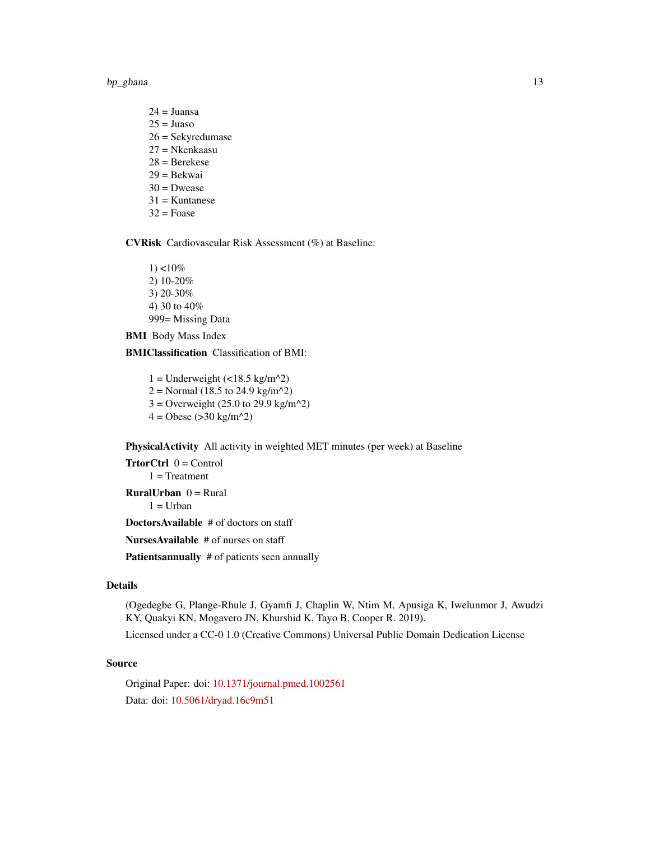bp\_ghana 13

 $24 =$ Juansa  $25 = Juaso$ 26 = Sekyredumase 27 = Nkenkaasu 28 = Berekese 29 = Bekwai  $30$  = Dwease  $31$  = Kuntanese  $32$  = Foase

CVRisk Cardiovascular Risk Assessment (%) at Baseline:

1) <10% 2) 10-20% 3) 20-30% 4) 30 to 40% 999= Missing Data

BMI Body Mass Index

BMIClassification Classification of BMI:

 $1 =$  Underweight (<18.5 kg/m^2)  $2 =$  Normal (18.5 to 24.9 kg/m<sup> $\text{A}$ </sup>2)  $3 =$  Overweight (25.0 to 29.9 kg/m<sup> $\text{A}$ </sup>2)  $4 =$  Obese (>30 kg/m<sup> $\text{A}$ </sup>2)

PhysicalActivity All activity in weighted MET minutes (per week) at Baseline

 $TrtorCtrl$   $0 = Control$  $1$  = Treatment **RuralUrban**  $0 =$  Rural  $1 =$  Urban

DoctorsAvailable # of doctors on staff

NursesAvailable # of nurses on staff

Patientsannually # of patients seen annually

## Details

(Ogedegbe G, Plange-Rhule J, Gyamfi J, Chaplin W, Ntim M, Apusiga K, Iwelunmor J, Awudzi KY, Quakyi KN, Mogavero JN, Khurshid K, Tayo B, Cooper R. 2019).

Licensed under a CC-0 1.0 (Creative Commons) Universal Public Domain Dedication License

## Source

Original Paper: doi: [10.1371/journal.pmed.1002561](https://doi.org/10.1371/journal.pmed.1002561) Data: doi: [10.5061/dryad.16c9m51](https://doi.org/10.5061/dryad.16c9m51)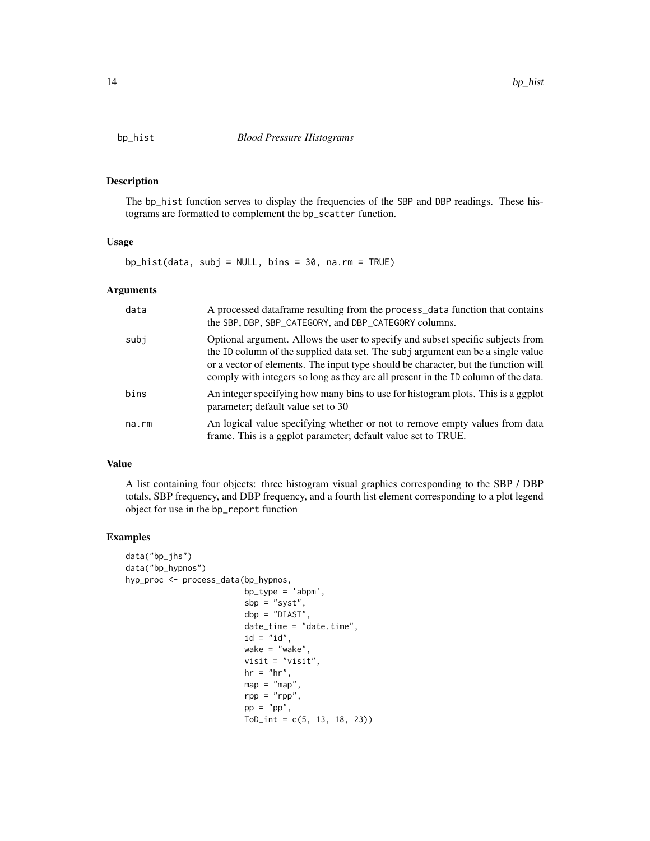<span id="page-13-1"></span><span id="page-13-0"></span>

## Description

The bp\_hist function serves to display the frequencies of the SBP and DBP readings. These histograms are formatted to complement the bp\_scatter function.

## Usage

bp\_hist(data, subj = NULL, bins = 30, na.rm = TRUE)

#### Arguments

| data  | A processed dataframe resulting from the process_data function that contains<br>the SBP, DBP, SBP_CATEGORY, and DBP_CATEGORY columns.                                                                                                                                                                                                          |
|-------|------------------------------------------------------------------------------------------------------------------------------------------------------------------------------------------------------------------------------------------------------------------------------------------------------------------------------------------------|
| subj  | Optional argument. Allows the user to specify and subset specific subjects from<br>the ID column of the supplied data set. The subj argument can be a single value<br>or a vector of elements. The input type should be character, but the function will<br>comply with integers so long as they are all present in the ID column of the data. |
| bins  | An integer specifying how many bins to use for histogram plots. This is a ggplot<br>parameter; default value set to 30                                                                                                                                                                                                                         |
| na.rm | An logical value specifying whether or not to remove empty values from data<br>frame. This is a ggplot parameter; default value set to TRUE.                                                                                                                                                                                                   |

#### Value

A list containing four objects: three histogram visual graphics corresponding to the SBP / DBP totals, SBP frequency, and DBP frequency, and a fourth list element corresponding to a plot legend object for use in the bp\_report function

## Examples

```
data("bp_jhs")
data("bp_hypnos")
hyp_proc <- process_data(bp_hypnos,
                        bp_type = 'abpm',
                         sbp = "syst",dbp = "DIAST",
                         date_time = "date.time",
                         id = "id",wake = "wake",
                         visit = "visit",
                         hr = "hr",map = "map"rpp = "rpp",pp = "pp",ToD_int = c(5, 13, 18, 23))
```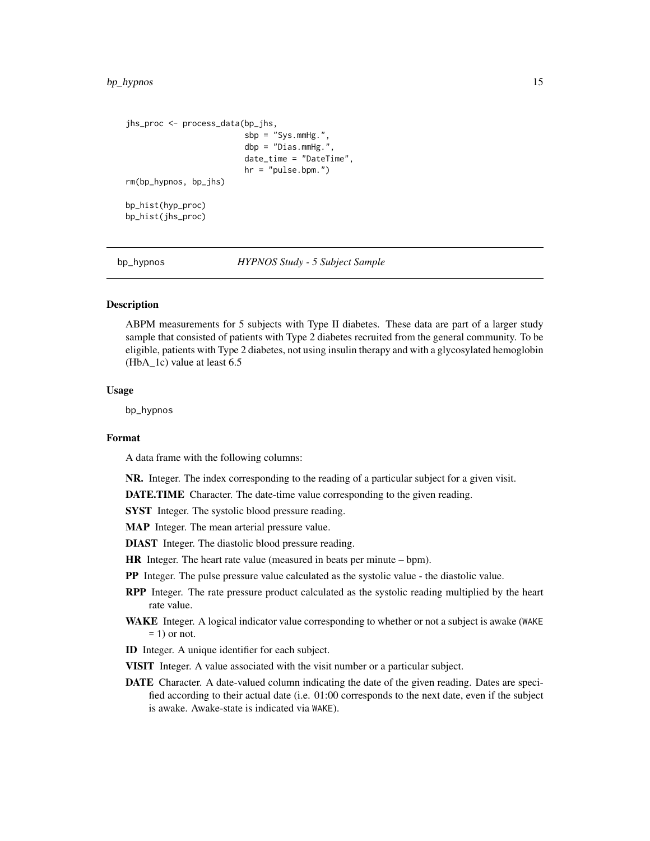```
jhs_proc <- process_data(bp_jhs,
                         sbp = "Sys.mmHg.",
                         dbp = "Dias.mmHg.",
                         date_time = "DateTime",
                         hr = "pulse.bpm.")
rm(bp_hypnos, bp_jhs)
bp_hist(hyp_proc)
bp_hist(jhs_proc)
```
bp\_hypnos *HYPNOS Study - 5 Subject Sample*

## **Description**

ABPM measurements for 5 subjects with Type II diabetes. These data are part of a larger study sample that consisted of patients with Type 2 diabetes recruited from the general community. To be eligible, patients with Type 2 diabetes, not using insulin therapy and with a glycosylated hemoglobin (HbA\_1c) value at least 6.5

## Usage

bp\_hypnos

## Format

A data frame with the following columns:

NR. Integer. The index corresponding to the reading of a particular subject for a given visit.

DATE.TIME Character. The date-time value corresponding to the given reading.

SYST Integer. The systolic blood pressure reading.

MAP Integer. The mean arterial pressure value.

DIAST Integer. The diastolic blood pressure reading.

HR Integer. The heart rate value (measured in beats per minute – bpm).

PP Integer. The pulse pressure value calculated as the systolic value - the diastolic value.

- **RPP** Integer. The rate pressure product calculated as the systolic reading multiplied by the heart rate value.
- WAKE Integer. A logical indicator value corresponding to whether or not a subject is awake (WAKE  $= 1$ ) or not.
- ID Integer. A unique identifier for each subject.
- VISIT Integer. A value associated with the visit number or a particular subject.
- DATE Character. A date-valued column indicating the date of the given reading. Dates are specified according to their actual date (i.e. 01:00 corresponds to the next date, even if the subject is awake. Awake-state is indicated via WAKE).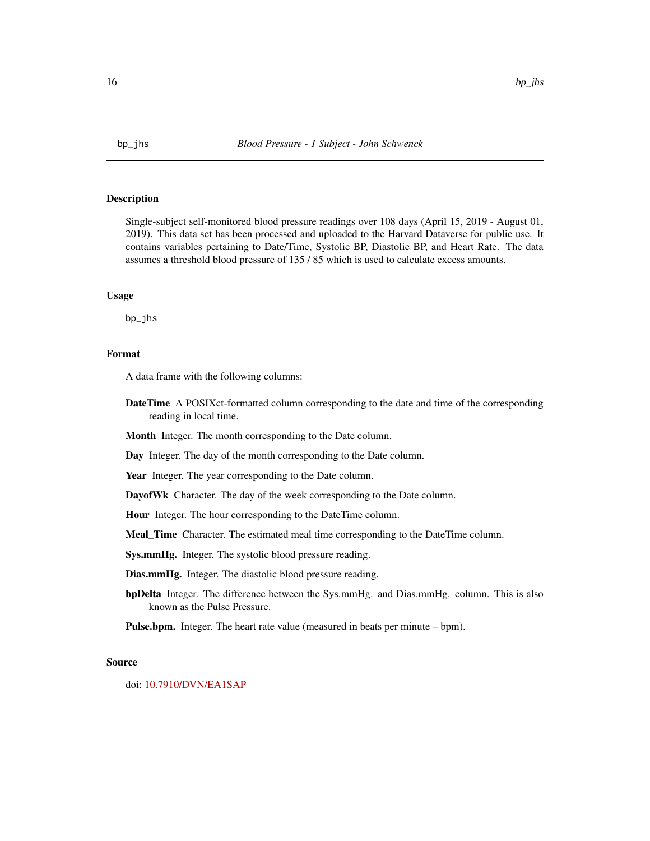<span id="page-15-0"></span>

## Description

Single-subject self-monitored blood pressure readings over 108 days (April 15, 2019 - August 01, 2019). This data set has been processed and uploaded to the Harvard Dataverse for public use. It contains variables pertaining to Date/Time, Systolic BP, Diastolic BP, and Heart Rate. The data assumes a threshold blood pressure of 135 / 85 which is used to calculate excess amounts.

## Usage

bp\_jhs

## Format

A data frame with the following columns:

- **DateTime** A POSIXct-formatted column corresponding to the date and time of the corresponding reading in local time.
- Month Integer. The month corresponding to the Date column.

Day Integer. The day of the month corresponding to the Date column.

Year Integer. The year corresponding to the Date column.

DayofWk Character. The day of the week corresponding to the Date column.

Hour Integer. The hour corresponding to the DateTime column.

Meal\_Time Character. The estimated meal time corresponding to the DateTime column.

Sys.mmHg. Integer. The systolic blood pressure reading.

Dias.mmHg. Integer. The diastolic blood pressure reading.

bpDelta Integer. The difference between the Sys.mmHg. and Dias.mmHg. column. This is also known as the Pulse Pressure.

Pulse.bpm. Integer. The heart rate value (measured in beats per minute – bpm).

#### Source

doi: [10.7910/DVN/EA1SAP](https://doi.org/10.7910/DVN/EA1SAP)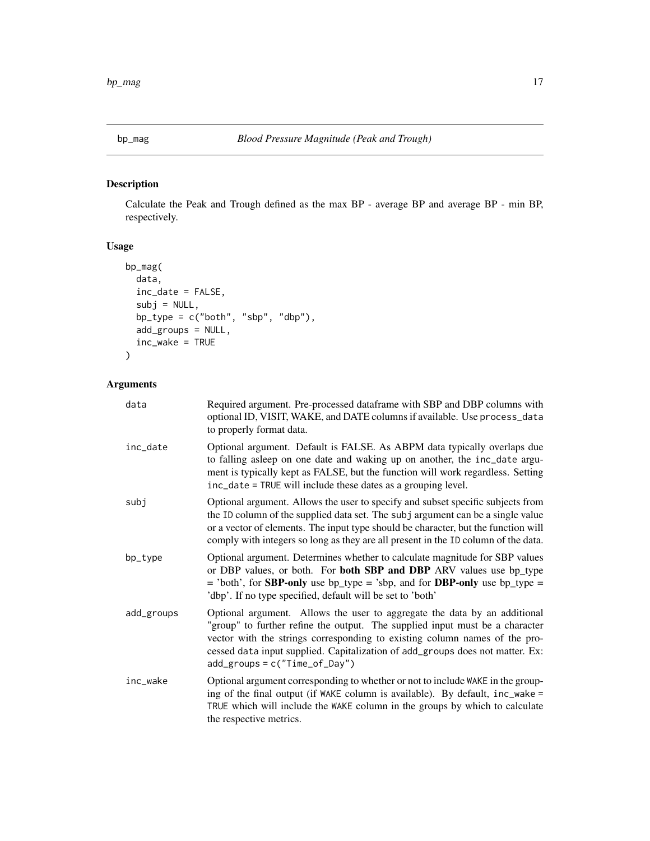<span id="page-16-0"></span>

## Description

Calculate the Peak and Trough defined as the max BP - average BP and average BP - min BP, respectively.

## Usage

```
bp_mag(
 data,
  inc_date = FALSE,
  subj = NULL,bp_type = c("both", "sbp", "dbp"),
 add_groups = NULL,
  inc_wake = TRUE
\mathcal{L}
```
## Arguments

| data       | Required argument. Pre-processed dataframe with SBP and DBP columns with<br>optional ID, VISIT, WAKE, and DATE columns if available. Use process_data<br>to properly format data.                                                                                                                                                                            |
|------------|--------------------------------------------------------------------------------------------------------------------------------------------------------------------------------------------------------------------------------------------------------------------------------------------------------------------------------------------------------------|
| inc_date   | Optional argument. Default is FALSE. As ABPM data typically overlaps due<br>to falling asleep on one date and waking up on another, the inc_date argu-<br>ment is typically kept as FALSE, but the function will work regardless. Setting<br>inc_date = TRUE will include these dates as a grouping level.                                                   |
| subj       | Optional argument. Allows the user to specify and subset specific subjects from<br>the ID column of the supplied data set. The subj argument can be a single value<br>or a vector of elements. The input type should be character, but the function will<br>comply with integers so long as they are all present in the ID column of the data.               |
| bp_type    | Optional argument. Determines whether to calculate magnitude for SBP values<br>or DBP values, or both. For both SBP and DBP ARV values use bp_type<br>$=$ 'both', for <b>SBP-only</b> use bp_type = 'sbp, and for <b>DBP-only</b> use bp_type =<br>'dbp'. If no type specified, default will be set to 'both'                                                |
| add_groups | Optional argument. Allows the user to aggregate the data by an additional<br>"group" to further refine the output. The supplied input must be a character<br>vector with the strings corresponding to existing column names of the pro-<br>cessed data input supplied. Capitalization of add_groups does not matter. Ex:<br>$add\_groups = c("Time_of_Day")$ |
| inc_wake   | Optional argument corresponding to whether or not to include WAKE in the group-<br>ing of the final output (if WAKE column is available). By default, inc_wake =<br>TRUE which will include the WAKE column in the groups by which to calculate<br>the respective metrics.                                                                                   |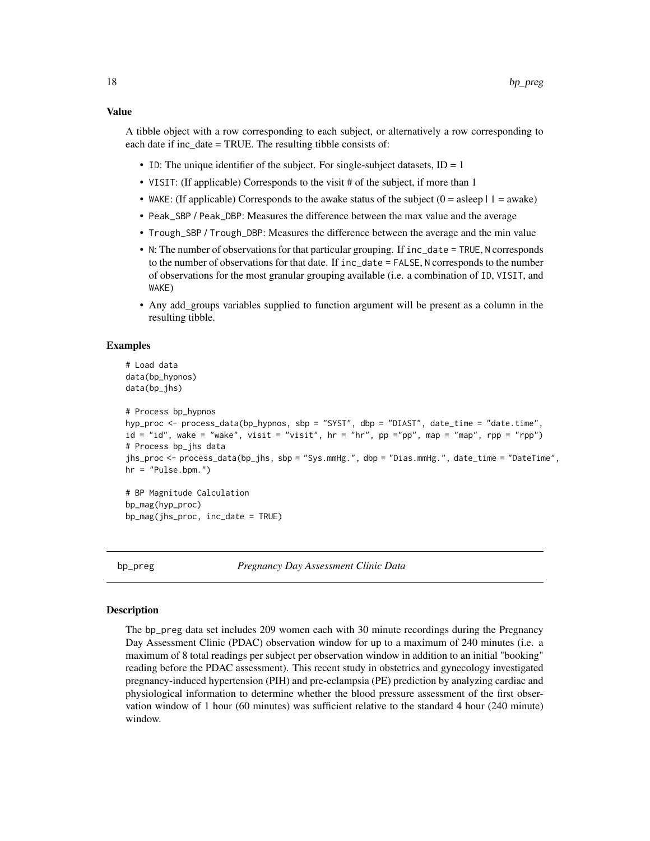#### <span id="page-17-0"></span>Value

A tibble object with a row corresponding to each subject, or alternatively a row corresponding to each date if inc\_date = TRUE. The resulting tibble consists of:

- ID: The unique identifier of the subject. For single-subject datasets,  $ID = 1$
- VISIT: (If applicable) Corresponds to the visit # of the subject, if more than 1
- WAKE: (If applicable) Corresponds to the awake status of the subject  $(0 = a \text{sleep} \mid 1 = a \text{wake})$
- Peak\_SBP / Peak\_DBP: Measures the difference between the max value and the average
- Trough\_SBP / Trough\_DBP: Measures the difference between the average and the min value
- N: The number of observations for that particular grouping. If inc\_date = TRUE, N corresponds to the number of observations for that date. If inc\_date = FALSE, N corresponds to the number of observations for the most granular grouping available (i.e. a combination of ID, VISIT, and WAKE)
- Any add groups variables supplied to function argument will be present as a column in the resulting tibble.

#### Examples

```
# Load data
data(bp_hypnos)
data(bp_jhs)
```

```
# Process bp_hypnos
hyp_proc <- process_data(bp_hypnos, sbp = "SYST", dbp = "DIAST", date_time = "date.time",
id = "id", wake = "wake", visit = "visit", hr = "hr", pp ="pp", map = "map", rpp = "rpp")
# Process bp_jhs data
jhs_proc <- process_data(bp_jhs, sbp = "Sys.mmHg.", dbp = "Dias.mmHg.", date_time = "DateTime",
hr = "Pulse.bpm."
```

```
# BP Magnitude Calculation
bp_mag(hyp_proc)
bp_mag(jhs_proc, inc_date = TRUE)
```
bp\_preg *Pregnancy Day Assessment Clinic Data*

## Description

The bp\_preg data set includes 209 women each with 30 minute recordings during the Pregnancy Day Assessment Clinic (PDAC) observation window for up to a maximum of 240 minutes (i.e. a maximum of 8 total readings per subject per observation window in addition to an initial "booking" reading before the PDAC assessment). This recent study in obstetrics and gynecology investigated pregnancy-induced hypertension (PIH) and pre-eclampsia (PE) prediction by analyzing cardiac and physiological information to determine whether the blood pressure assessment of the first observation window of 1 hour (60 minutes) was sufficient relative to the standard 4 hour (240 minute) window.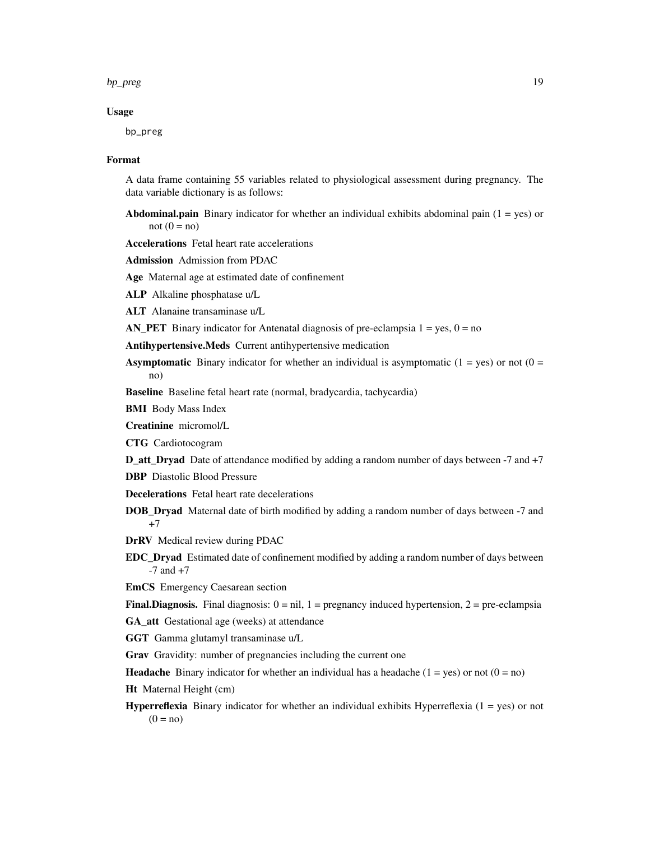#### bp\_preg 19

#### Usage

bp\_preg

#### Format

A data frame containing 55 variables related to physiological assessment during pregnancy. The data variable dictionary is as follows:

**Abdominal.pain** Binary indicator for whether an individual exhibits abdominal pain  $(1 = yes)$  or not  $(0 = no)$ 

Accelerations Fetal heart rate accelerations

Admission Admission from PDAC

Age Maternal age at estimated date of confinement

ALP Alkaline phosphatase u/L

ALT Alanaine transaminase u/L

AN\_PET Binary indicator for Antenatal diagnosis of pre-eclampsia  $1 = yes$ ,  $0 = no$ 

Antihypertensive.Meds Current antihypertensive medication

**Asymptomatic** Binary indicator for whether an individual is asymptomatic  $(1 = yes)$  or not  $(0 =$ no)

Baseline Baseline fetal heart rate (normal, bradycardia, tachycardia)

BMI Body Mass Index

Creatinine micromol/L

CTG Cardiotocogram

D\_att\_Dryad Date of attendance modified by adding a random number of days between -7 and +7

- DBP Diastolic Blood Pressure
- Decelerations Fetal heart rate decelerations
- DOB\_Dryad Maternal date of birth modified by adding a random number of days between -7 and +7

DrRV Medical review during PDAC

EDC\_Dryad Estimated date of confinement modified by adding a random number of days between  $-7$  and  $+7$ 

EmCS Emergency Caesarean section

**Final.Diagnosis.** Final diagnosis:  $0 = \text{nil}$ ,  $1 = \text{pregnancy induced hypertension}$ ,  $2 = \text{pre-eclampsia}$ 

GA\_att Gestational age (weeks) at attendance

GGT Gamma glutamyl transaminase u/L

Grav Gravidity: number of pregnancies including the current one

**Headache** Binary indicator for whether an individual has a headache ( $1 = yes$ ) or not ( $0 = no$ )

- Ht Maternal Height (cm)
- **Hyperreflexia** Binary indicator for whether an individual exhibits Hyperreflexia  $(1 = yes)$  or not  $(0 = no)$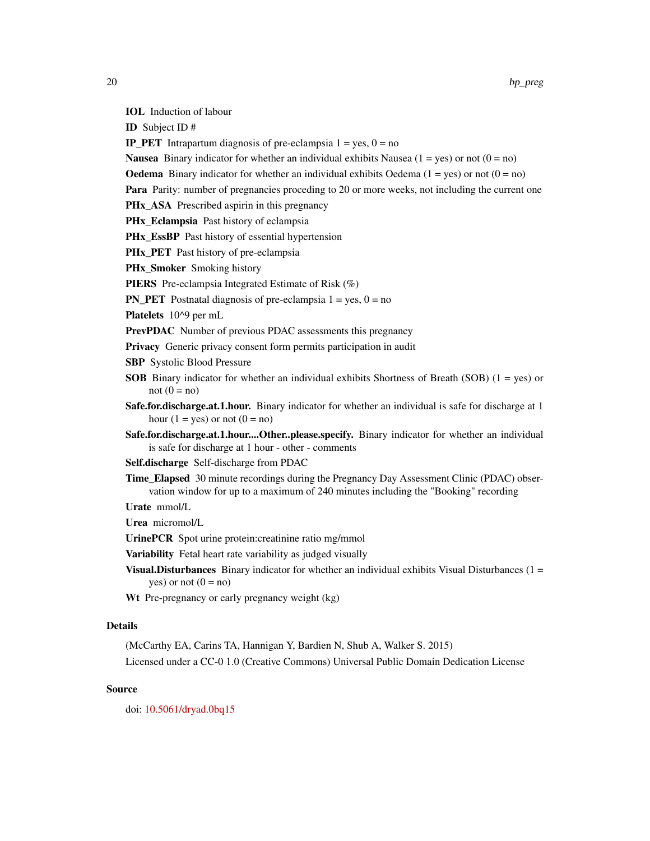IOL Induction of labour

ID Subject ID #

**IP\_PET** Intrapartum diagnosis of pre-eclampsia  $1 = yes$ ,  $0 = no$ 

**Nausea** Binary indicator for whether an individual exhibits Nausea  $(1 = yes)$  or not  $(0 = no)$ 

**Oedema** Binary indicator for whether an individual exhibits Oedema  $(1 = yes)$  or not  $(0 = no)$ 

**Para** Parity: number of pregnancies proceding to 20 or more weeks, not including the current one

PHx\_ASA Prescribed aspirin in this pregnancy

PHx\_Eclampsia Past history of eclampsia

**PHx** EssBP Past history of essential hypertension

PHx PET Past history of pre-eclampsia

PHx\_Smoker Smoking history

PIERS Pre-eclampsia Integrated Estimate of Risk (%)

**PN\_PET** Postnatal diagnosis of pre-eclampsia  $1 = yes$ ,  $0 = no$ 

Platelets 10^9 per mL

PrevPDAC Number of previous PDAC assessments this pregnancy

Privacy Generic privacy consent form permits participation in audit

SBP Systolic Blood Pressure

- SOB Binary indicator for whether an individual exhibits Shortness of Breath (SOB) (1 = yes) or not  $(0 = no)$
- Safe.for.discharge.at.1.hour. Binary indicator for whether an individual is safe for discharge at 1 hour  $(1 = yes)$  or not  $(0 = no)$
- Safe.for.discharge.at.1.hour....Other..please.specify. Binary indicator for whether an individual is safe for discharge at 1 hour - other - comments

Self.discharge Self-discharge from PDAC

Time\_Elapsed 30 minute recordings during the Pregnancy Day Assessment Clinic (PDAC) observation window for up to a maximum of 240 minutes including the "Booking" recording

Urate mmol/L

Urea micromol/L

UrinePCR Spot urine protein:creatinine ratio mg/mmol

Variability Fetal heart rate variability as judged visually

**Visual. Disturbances** Binary indicator for whether an individual exhibits Visual Disturbances  $(1 =$ yes) or not  $(0 = no)$ 

Wt Pre-pregnancy or early pregnancy weight (kg)

## Details

(McCarthy EA, Carins TA, Hannigan Y, Bardien N, Shub A, Walker S. 2015) Licensed under a CC-0 1.0 (Creative Commons) Universal Public Domain Dedication License

## Source

doi: [10.5061/dryad.0bq15](https://doi.org/10.5061/dryad.0bq15)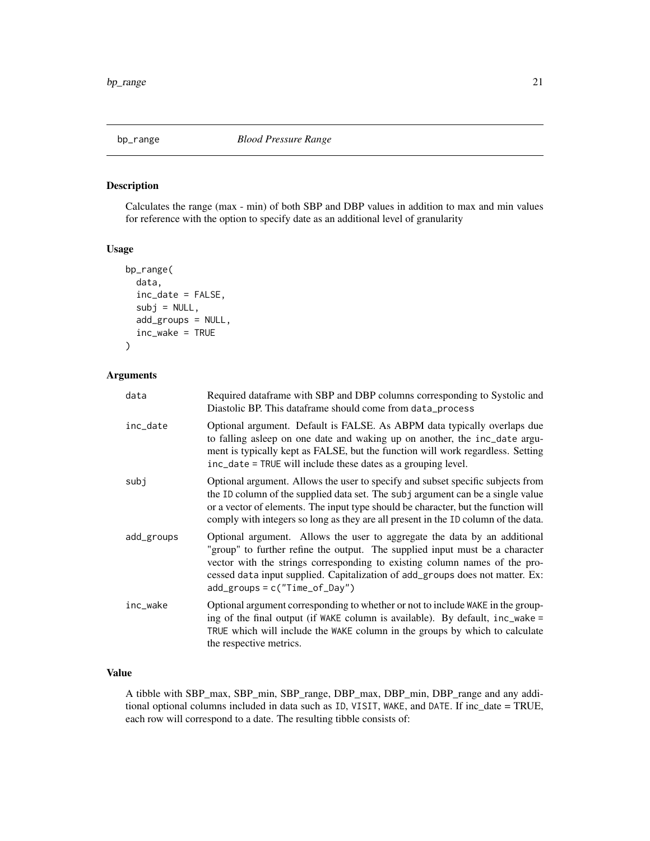<span id="page-20-0"></span>

## Description

Calculates the range (max - min) of both SBP and DBP values in addition to max and min values for reference with the option to specify date as an additional level of granularity

## Usage

```
bp_range(
  data,
  inc_date = FALSE,
  subj = NULL,add_groups = NULL,
  inc_wake = TRUE
\mathcal{E}
```
## Arguments

| data       | Required dataframe with SBP and DBP columns corresponding to Systolic and<br>Diastolic BP. This dataframe should come from data_process                                                                                                                                                                                                                      |
|------------|--------------------------------------------------------------------------------------------------------------------------------------------------------------------------------------------------------------------------------------------------------------------------------------------------------------------------------------------------------------|
| inc_date   | Optional argument. Default is FALSE. As ABPM data typically overlaps due<br>to falling asleep on one date and waking up on another, the inc_date argu-<br>ment is typically kept as FALSE, but the function will work regardless. Setting<br>inc_date = TRUE will include these dates as a grouping level.                                                   |
| subi       | Optional argument. Allows the user to specify and subset specific subjects from<br>the ID column of the supplied data set. The subj argument can be a single value<br>or a vector of elements. The input type should be character, but the function will<br>comply with integers so long as they are all present in the ID column of the data.               |
| add_groups | Optional argument. Allows the user to aggregate the data by an additional<br>"group" to further refine the output. The supplied input must be a character<br>vector with the strings corresponding to existing column names of the pro-<br>cessed data input supplied. Capitalization of add_groups does not matter. Ex:<br>$add\_groups = c("Time_of_Day")$ |
| inc_wake   | Optional argument corresponding to whether or not to include WAKE in the group-<br>ing of the final output (if WAKE column is available). By default, inc_wake =<br>TRUE which will include the WAKE column in the groups by which to calculate<br>the respective metrics.                                                                                   |

## Value

A tibble with SBP\_max, SBP\_min, SBP\_range, DBP\_max, DBP\_min, DBP\_range and any additional optional columns included in data such as ID, VISIT, WAKE, and DATE. If inc\_date = TRUE, each row will correspond to a date. The resulting tibble consists of: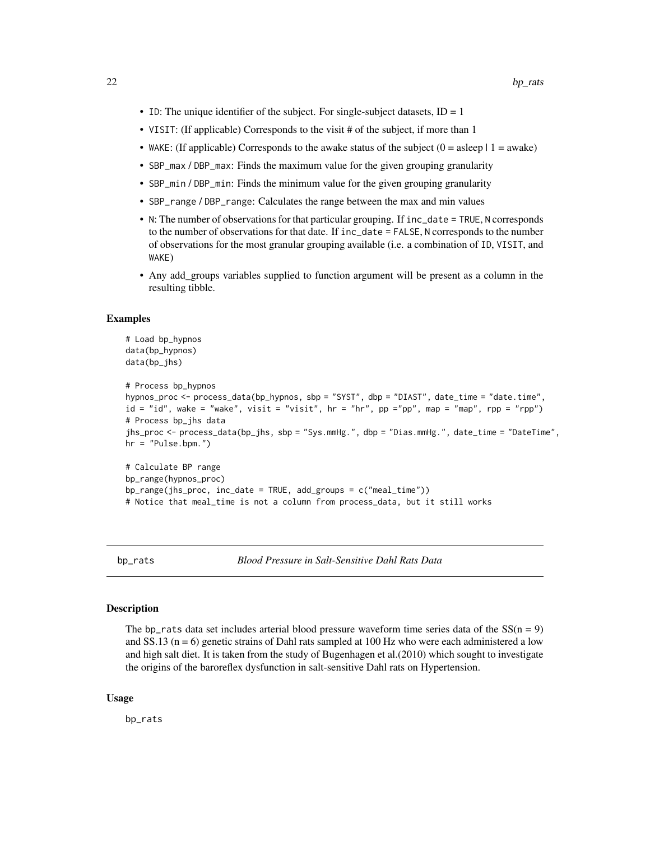- <span id="page-21-0"></span>• ID: The unique identifier of the subject. For single-subject datasets,  $ID = 1$
- VISIT: (If applicable) Corresponds to the visit # of the subject, if more than 1
- WAKE: (If applicable) Corresponds to the awake status of the subject  $(0 = a \text{sleep} \mid 1 = a \text{wake})$
- SBP\_max / DBP\_max: Finds the maximum value for the given grouping granularity
- SBP\_min / DBP\_min: Finds the minimum value for the given grouping granularity
- SBP\_range / DBP\_range: Calculates the range between the max and min values
- N: The number of observations for that particular grouping. If inc\_date = TRUE, N corresponds to the number of observations for that date. If inc\_date = FALSE, N corresponds to the number of observations for the most granular grouping available (i.e. a combination of ID, VISIT, and WAKE)
- Any add\_groups variables supplied to function argument will be present as a column in the resulting tibble.

#### Examples

```
# Load bp_hypnos
data(bp_hypnos)
data(bp_jhs)
```

```
# Process bp_hypnos
hypnos_proc <- process_data(bp_hypnos, sbp = "SYST", dbp = "DIAST", date_time = "date.time",
id = "id", wake = "wake", visit = "visit", hr = "hr", pp ="pp", map = "map", rpp = "rpp")
# Process bp_jhs data
jhs_proc <- process_data(bp_jhs, sbp = "Sys.mmHg.", dbp = "Dias.mmHg.", date_time = "DateTime",
hr = "Pulse.bpm."
```

```
# Calculate BP range
bp_range(hypnos_proc)
bp_range(jhs_proc, inc_date = TRUE, add_groups = c("meal_time"))
# Notice that meal_time is not a column from process_data, but it still works
```
bp\_rats *Blood Pressure in Salt-Sensitive Dahl Rats Data*

#### **Description**

The bp\_rats data set includes arterial blood pressure waveform time series data of the  $SS(n = 9)$ and  $SS.13$  ( $n = 6$ ) genetic strains of Dahl rats sampled at 100 Hz who were each administered a low and high salt diet. It is taken from the study of Bugenhagen et al.(2010) which sought to investigate the origins of the baroreflex dysfunction in salt-sensitive Dahl rats on Hypertension.

#### Usage

bp\_rats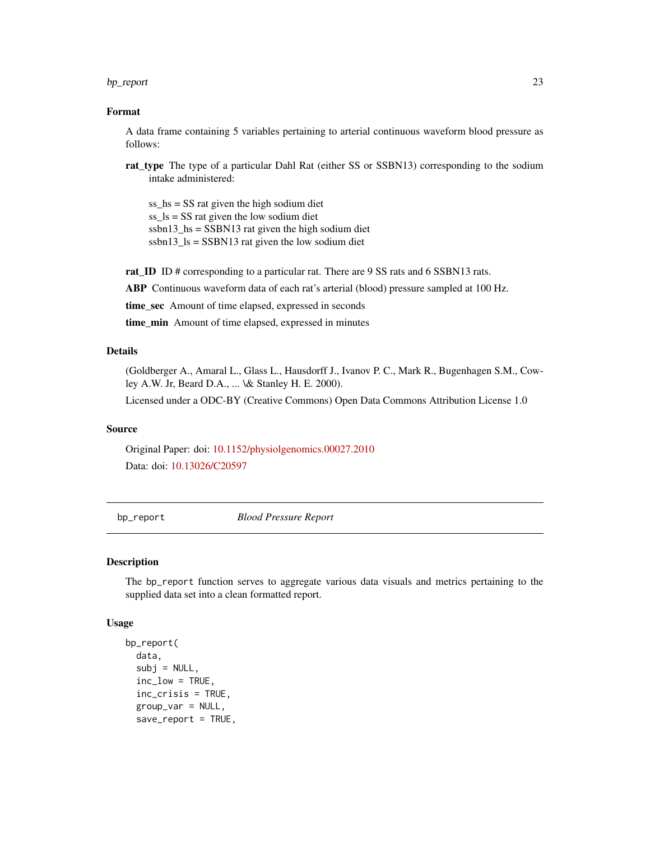#### <span id="page-22-0"></span>bp\_report 23

#### Format

A data frame containing 5 variables pertaining to arterial continuous waveform blood pressure as follows:

rat\_type The type of a particular Dahl Rat (either SS or SSBN13) corresponding to the sodium intake administered:

ss\_hs = SS rat given the high sodium diet ss\_ls = SS rat given the low sodium diet ssbn13 hs = SSBN13 rat given the high sodium diet ssbn13\_ls =  $SSBN13$  rat given the low sodium diet

rat\_ID ID # corresponding to a particular rat. There are 9 SS rats and 6 SSBN13 rats.

ABP Continuous waveform data of each rat's arterial (blood) pressure sampled at 100 Hz.

time\_sec\_Amount of time elapsed, expressed in seconds

time min Amount of time elapsed, expressed in minutes

## Details

(Goldberger A., Amaral L., Glass L., Hausdorff J., Ivanov P. C., Mark R., Bugenhagen S.M., Cowley A.W. Jr, Beard D.A., ... \& Stanley H. E. 2000).

Licensed under a ODC-BY (Creative Commons) Open Data Commons Attribution License 1.0

#### Source

Original Paper: doi: [10.1152/physiolgenomics.00027.2010](https://doi.org/10.1152/physiolgenomics.00027.2010) Data: doi: [10.13026/C20597](https://doi.org/10.13026/C20597)

bp\_report *Blood Pressure Report*

#### Description

The bp\_report function serves to aggregate various data visuals and metrics pertaining to the supplied data set into a clean formatted report.

#### Usage

```
bp_report(
  data,
  subj = NULL,inc\_low = TRUE,
  inc_crisis = TRUE,
  group_var = NULL,
  save_report = TRUE,
```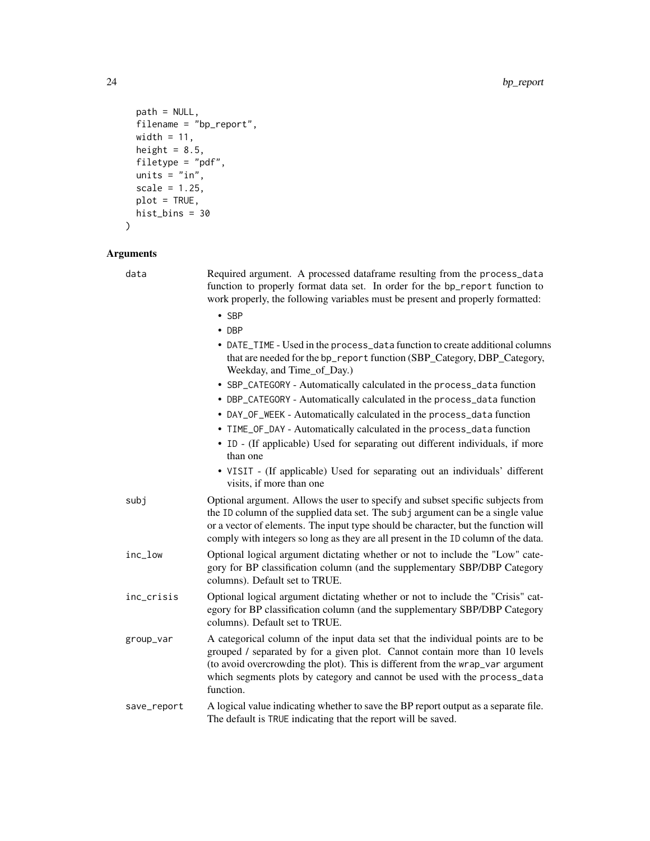```
path = NULL,
 filename = "bp_report",
 width = 11,
 height = 8.5,
 filetype = "pdf",units = "in",scale = 1.25,
 plot = TRUE,
 hist\_bins = 30\mathcal{L}
```
## Arguments

| data        | Required argument. A processed dataframe resulting from the process_data<br>function to properly format data set. In order for the bp_report function to<br>work properly, the following variables must be present and properly formatted:                                                                                                     |
|-------------|------------------------------------------------------------------------------------------------------------------------------------------------------------------------------------------------------------------------------------------------------------------------------------------------------------------------------------------------|
|             | $\cdot$ SBP<br>$\bullet$ DBP                                                                                                                                                                                                                                                                                                                   |
|             | • DATE_TIME - Used in the process_data function to create additional columns<br>that are needed for the bp_report function (SBP_Category, DBP_Category,<br>Weekday, and Time_of_Day.)                                                                                                                                                          |
|             | • SBP_CATEGORY - Automatically calculated in the process_data function                                                                                                                                                                                                                                                                         |
|             | • DBP_CATEGORY - Automatically calculated in the process_data function<br>• DAY_OF_WEEK - Automatically calculated in the process_data function                                                                                                                                                                                                |
|             | • TIME_OF_DAY - Automatically calculated in the process_data function                                                                                                                                                                                                                                                                          |
|             | • ID - (If applicable) Used for separating out different individuals, if more<br>than one                                                                                                                                                                                                                                                      |
|             | • VISIT - (If applicable) Used for separating out an individuals' different<br>visits, if more than one                                                                                                                                                                                                                                        |
| subj        | Optional argument. Allows the user to specify and subset specific subjects from<br>the ID column of the supplied data set. The subj argument can be a single value<br>or a vector of elements. The input type should be character, but the function will<br>comply with integers so long as they are all present in the ID column of the data. |
| inc_low     | Optional logical argument dictating whether or not to include the "Low" cate-<br>gory for BP classification column (and the supplementary SBP/DBP Category<br>columns). Default set to TRUE.                                                                                                                                                   |
| inc_crisis  | Optional logical argument dictating whether or not to include the "Crisis" cat-<br>egory for BP classification column (and the supplementary SBP/DBP Category<br>columns). Default set to TRUE.                                                                                                                                                |
| group_var   | A categorical column of the input data set that the individual points are to be<br>grouped / separated by for a given plot. Cannot contain more than 10 levels<br>(to avoid overcrowding the plot). This is different from the wrap_var argument<br>which segments plots by category and cannot be used with the process_data<br>function.     |
| save_report | A logical value indicating whether to save the BP report output as a separate file.<br>The default is TRUE indicating that the report will be saved.                                                                                                                                                                                           |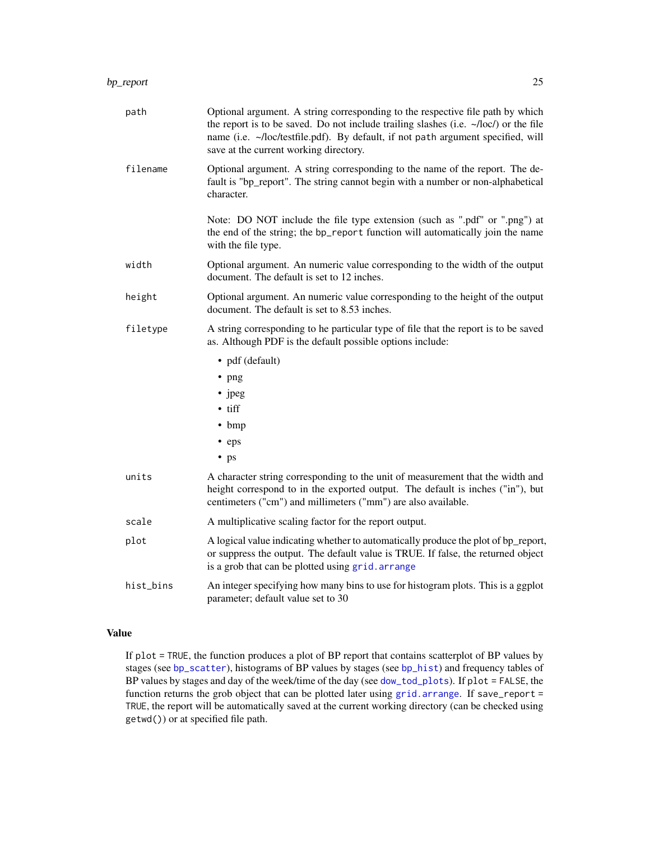<span id="page-24-0"></span>

| path      | Optional argument. A string corresponding to the respective file path by which<br>the report is to be saved. Do not include trailing slashes (i.e. $\sim$ /loc/) or the file<br>name (i.e. ~/loc/testfile.pdf). By default, if not path argument specified, will<br>save at the current working directory. |
|-----------|------------------------------------------------------------------------------------------------------------------------------------------------------------------------------------------------------------------------------------------------------------------------------------------------------------|
| filename  | Optional argument. A string corresponding to the name of the report. The de-<br>fault is "bp_report". The string cannot begin with a number or non-alphabetical<br>character.                                                                                                                              |
|           | Note: DO NOT include the file type extension (such as ".pdf" or ".png") at<br>the end of the string; the bp_report function will automatically join the name<br>with the file type.                                                                                                                        |
| width     | Optional argument. An numeric value corresponding to the width of the output<br>document. The default is set to 12 inches.                                                                                                                                                                                 |
| height    | Optional argument. An numeric value corresponding to the height of the output<br>document. The default is set to 8.53 inches.                                                                                                                                                                              |
| filetype  | A string corresponding to he particular type of file that the report is to be saved<br>as. Although PDF is the default possible options include:                                                                                                                                                           |
|           | • pdf (default)                                                                                                                                                                                                                                                                                            |
|           | • png                                                                                                                                                                                                                                                                                                      |
|           | • jpeg                                                                                                                                                                                                                                                                                                     |
|           | $\bullet$ tiff                                                                                                                                                                                                                                                                                             |
|           | $\bullet$ bmp                                                                                                                                                                                                                                                                                              |
|           | • eps                                                                                                                                                                                                                                                                                                      |
|           | $\bullet$ ps                                                                                                                                                                                                                                                                                               |
| units     | A character string corresponding to the unit of measurement that the width and<br>height correspond to in the exported output. The default is inches ("in"), but<br>centimeters ("cm") and millimeters ("mm") are also available.                                                                          |
| scale     | A multiplicative scaling factor for the report output.                                                                                                                                                                                                                                                     |
| plot      | A logical value indicating whether to automatically produce the plot of bp_report,<br>or suppress the output. The default value is TRUE. If false, the returned object<br>is a grob that can be plotted using grid. arrange                                                                                |
| hist_bins | An integer specifying how many bins to use for histogram plots. This is a ggplot<br>parameter; default value set to 30                                                                                                                                                                                     |

## Value

If plot = TRUE, the function produces a plot of BP report that contains scatterplot of BP values by stages (see [bp\\_scatter](#page-25-1)), histograms of BP values by stages (see [bp\\_hist](#page-13-1)) and frequency tables of BP values by stages and day of the week/time of the day (see [dow\\_tod\\_plots](#page-46-1)). If plot = FALSE, the function returns the grob object that can be plotted later using [grid.arrange](#page-0-0). If save\_report = TRUE, the report will be automatically saved at the current working directory (can be checked using getwd()) or at specified file path.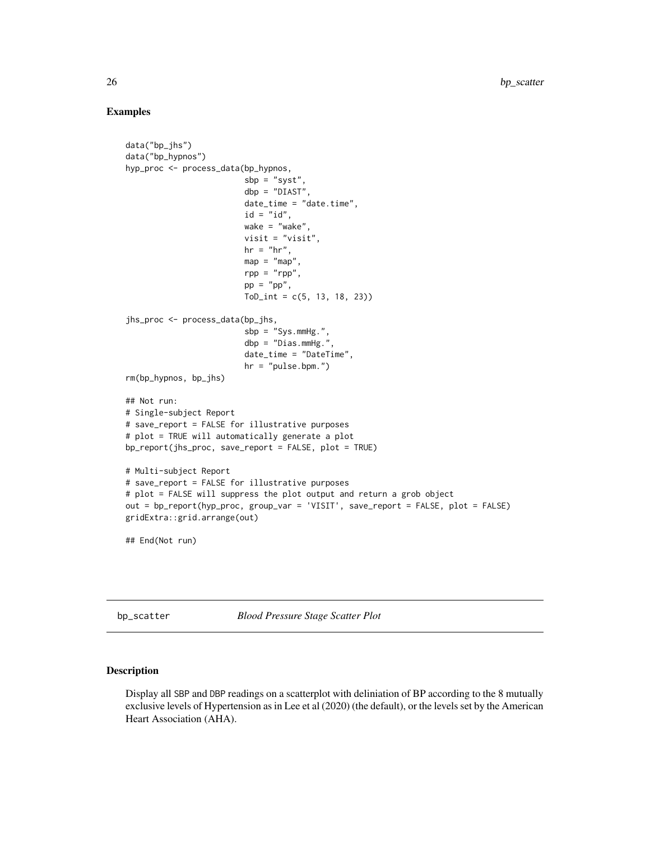## Examples

```
data("bp_jhs")
data("bp_hypnos")
hyp_proc <- process_data(bp_hypnos,
                         sbp = "syst",
                         dbp = "DIAST",
                         date_time = "date.time",
                         id = "id",wake = "wake",
                         visit = "visit",
                         hr = "hr",map = "map"rpp = "rpp",pp = "pp",ToD_int = c(5, 13, 18, 23))
jhs_proc <- process_data(bp_jhs,
                         sbp = "Sys.mmHg.",
                         dbp = "Dias.mmHg.",
                         date_time = "DateTime",
                         hr = "pulse.bpm."rm(bp_hypnos, bp_jhs)
## Not run:
# Single-subject Report
# save_report = FALSE for illustrative purposes
# plot = TRUE will automatically generate a plot
bp_report(jhs_proc, save_report = FALSE, plot = TRUE)
# Multi-subject Report
# save_report = FALSE for illustrative purposes
# plot = FALSE will suppress the plot output and return a grob object
out = bp_report(hyp_proc, group_var = 'VISIT', save_report = FALSE, plot = FALSE)
gridExtra::grid.arrange(out)
## End(Not run)
```
<span id="page-25-1"></span>bp\_scatter *Blood Pressure Stage Scatter Plot*

## Description

Display all SBP and DBP readings on a scatterplot with deliniation of BP according to the 8 mutually exclusive levels of Hypertension as in Lee et al (2020) (the default), or the levels set by the American Heart Association (AHA).

<span id="page-25-0"></span>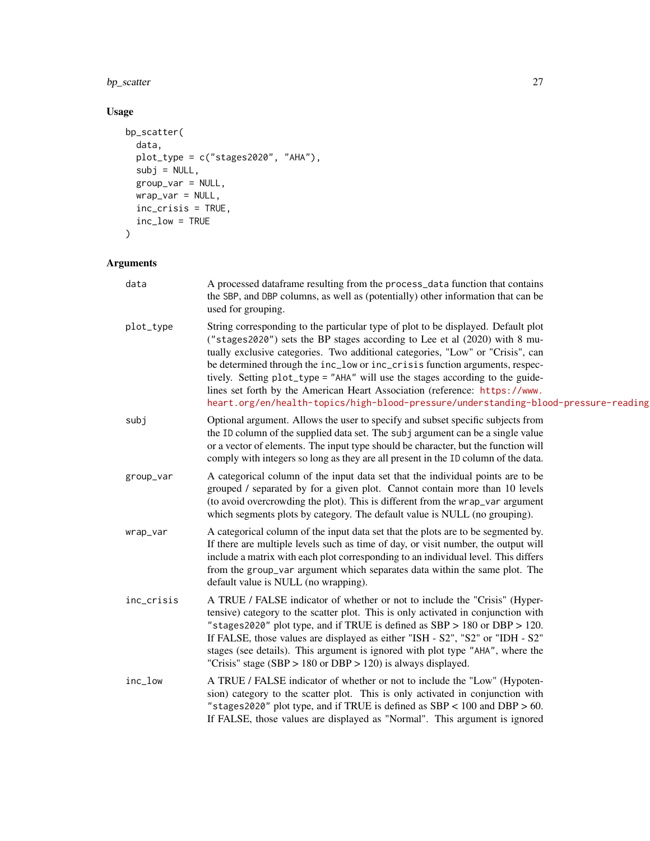## bp\_scatter 27

## Usage

```
bp_scatter(
  data,
  plot_type = c("stages2020", "AHA"),
  subj = NULL,group_var = NULL,
  \text{wrap\_var} = \text{NULL},
  inc_crisis = TRUE,
  inc_low = TRUE
\mathcal{L}
```
## Arguments

| data       | A processed dataframe resulting from the process_data function that contains<br>the SBP, and DBP columns, as well as (potentially) other information that can be<br>used for grouping.                                                                                                                                                                                                                                                                                                                                                                                                 |
|------------|----------------------------------------------------------------------------------------------------------------------------------------------------------------------------------------------------------------------------------------------------------------------------------------------------------------------------------------------------------------------------------------------------------------------------------------------------------------------------------------------------------------------------------------------------------------------------------------|
| plot_type  | String corresponding to the particular type of plot to be displayed. Default plot<br>("stages2020") sets the BP stages according to Lee et al (2020) with 8 mu-<br>tually exclusive categories. Two additional categories, "Low" or "Crisis", can<br>be determined through the inc_low or inc_crisis function arguments, respec-<br>tively. Setting plot_type = "AHA" will use the stages according to the guide-<br>lines set forth by the American Heart Association (reference: https://www.<br>heart.org/en/health-topics/high-blood-pressure/understanding-blood-pressure-reading |
| subj       | Optional argument. Allows the user to specify and subset specific subjects from<br>the ID column of the supplied data set. The subj argument can be a single value<br>or a vector of elements. The input type should be character, but the function will<br>comply with integers so long as they are all present in the ID column of the data.                                                                                                                                                                                                                                         |
| group_var  | A categorical column of the input data set that the individual points are to be<br>grouped / separated by for a given plot. Cannot contain more than 10 levels<br>(to avoid overcrowding the plot). This is different from the wrap_var argument<br>which segments plots by category. The default value is NULL (no grouping).                                                                                                                                                                                                                                                         |
| wrap_var   | A categorical column of the input data set that the plots are to be segmented by.<br>If there are multiple levels such as time of day, or visit number, the output will<br>include a matrix with each plot corresponding to an individual level. This differs<br>from the group_var argument which separates data within the same plot. The<br>default value is NULL (no wrapping).                                                                                                                                                                                                    |
| inc_crisis | A TRUE / FALSE indicator of whether or not to include the "Crisis" (Hyper-<br>tensive) category to the scatter plot. This is only activated in conjunction with<br>"stages2020" plot type, and if TRUE is defined as $SBP > 180$ or $DBP > 120$ .<br>If FALSE, those values are displayed as either "ISH - S2", "S2" or "IDH - S2"<br>stages (see details). This argument is ignored with plot type "AHA", where the<br>"Crisis" stage (SBP > $180$ or DBP > $120$ ) is always displayed.                                                                                              |
| inc_low    | A TRUE / FALSE indicator of whether or not to include the "Low" (Hypoten-<br>sion) category to the scatter plot. This is only activated in conjunction with<br>"stages2020" plot type, and if TRUE is defined as $SBP < 100$ and $DBP > 60$ .<br>If FALSE, those values are displayed as "Normal". This argument is ignored                                                                                                                                                                                                                                                            |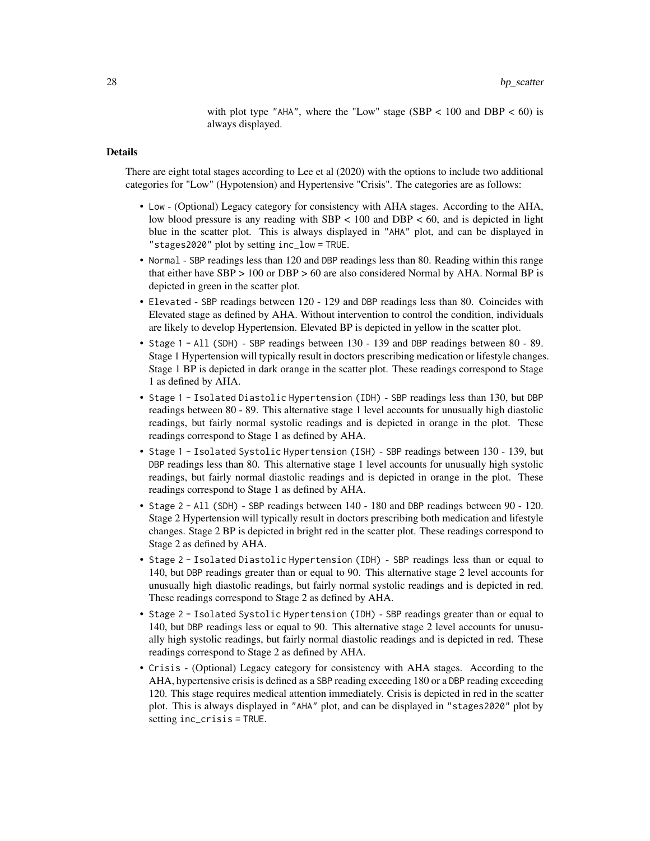with plot type "AHA", where the "Low" stage (SBP  $< 100$  and DBP  $< 60$ ) is always displayed.

## Details

There are eight total stages according to Lee et al (2020) with the options to include two additional categories for "Low" (Hypotension) and Hypertensive "Crisis". The categories are as follows:

- Low (Optional) Legacy category for consistency with AHA stages. According to the AHA, low blood pressure is any reading with  $SBP < 100$  and  $DBP < 60$ , and is depicted in light blue in the scatter plot. This is always displayed in "AHA" plot, and can be displayed in "stages2020" plot by setting inc\_low = TRUE.
- Normal SBP readings less than 120 and DBP readings less than 80. Reading within this range that either have SBP > 100 or DBP > 60 are also considered Normal by AHA. Normal BP is depicted in green in the scatter plot.
- Elevated SBP readings between 120 129 and DBP readings less than 80. Coincides with Elevated stage as defined by AHA. Without intervention to control the condition, individuals are likely to develop Hypertension. Elevated BP is depicted in yellow in the scatter plot.
- Stage 1 All (SDH) SBP readings between 130 139 and DBP readings between 80 89. Stage 1 Hypertension will typically result in doctors prescribing medication or lifestyle changes. Stage 1 BP is depicted in dark orange in the scatter plot. These readings correspond to Stage 1 as defined by AHA.
- Stage 1 Isolated Diastolic Hypertension (IDH) SBP readings less than 130, but DBP readings between 80 - 89. This alternative stage 1 level accounts for unusually high diastolic readings, but fairly normal systolic readings and is depicted in orange in the plot. These readings correspond to Stage 1 as defined by AHA.
- Stage 1 Isolated Systolic Hypertension (ISH) SBP readings between 130 139, but DBP readings less than 80. This alternative stage 1 level accounts for unusually high systolic readings, but fairly normal diastolic readings and is depicted in orange in the plot. These readings correspond to Stage 1 as defined by AHA.
- Stage 2 All (SDH) SBP readings between 140 180 and DBP readings between 90 120. Stage 2 Hypertension will typically result in doctors prescribing both medication and lifestyle changes. Stage 2 BP is depicted in bright red in the scatter plot. These readings correspond to Stage 2 as defined by AHA.
- Stage 2 Isolated Diastolic Hypertension (IDH) SBP readings less than or equal to 140, but DBP readings greater than or equal to 90. This alternative stage 2 level accounts for unusually high diastolic readings, but fairly normal systolic readings and is depicted in red. These readings correspond to Stage 2 as defined by AHA.
- Stage 2 Isolated Systolic Hypertension (IDH) SBP readings greater than or equal to 140, but DBP readings less or equal to 90. This alternative stage 2 level accounts for unusually high systolic readings, but fairly normal diastolic readings and is depicted in red. These readings correspond to Stage 2 as defined by AHA.
- Crisis (Optional) Legacy category for consistency with AHA stages. According to the AHA, hypertensive crisis is defined as a SBP reading exceeding 180 or a DBP reading exceeding 120. This stage requires medical attention immediately. Crisis is depicted in red in the scatter plot. This is always displayed in "AHA" plot, and can be displayed in "stages2020" plot by setting inc\_crisis = TRUE.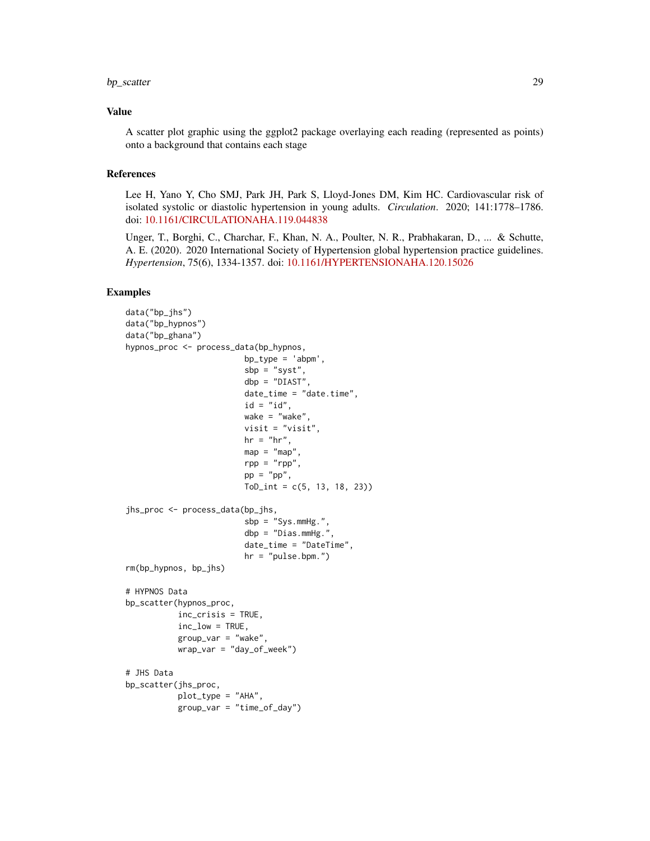#### bp\_scatter 29

## Value

A scatter plot graphic using the ggplot2 package overlaying each reading (represented as points) onto a background that contains each stage

## References

Lee H, Yano Y, Cho SMJ, Park JH, Park S, Lloyd-Jones DM, Kim HC. Cardiovascular risk of isolated systolic or diastolic hypertension in young adults. *Circulation*. 2020; 141:1778–1786. doi: [10.1161/CIRCULATIONAHA.119.044838](https://doi.org/10.1161/CIRCULATIONAHA.119.044838)

Unger, T., Borghi, C., Charchar, F., Khan, N. A., Poulter, N. R., Prabhakaran, D., ... & Schutte, A. E. (2020). 2020 International Society of Hypertension global hypertension practice guidelines. *Hypertension*, 75(6), 1334-1357. doi: [10.1161/HYPERTENSIONAHA.120.15026](https://doi.org/10.1161/HYPERTENSIONAHA.120.15026)

## Examples

```
data("bp_jhs")
data("bp_hypnos")
data("bp_ghana")
hypnos_proc <- process_data(bp_hypnos,
                         bp_type = 'abpm',
                         sbp = "syst",dbp = "DIAST",
                         date_time = "date.time",
                         id = "id",wake = "wake",
                         visit = "visit",
                         hr = "hr",
                         map = "map",rpp = "rpp",pp = "pp",ToD_int = c(5, 13, 18, 23))
jhs_proc <- process_data(bp_jhs,
                         sbp = "Sys.mmHg.",
                         dbp = "Dias.mmHg.",
                         date_time = "DateTime",
                         hr = "pulse.bpm.")
rm(bp_hypnos, bp_jhs)
# HYPNOS Data
bp_scatter(hypnos_proc,
          inc_crisis = TRUE,
          inc_low = TRUE,
           group_var = "wake",
           wrap_var = "day_of_week")
# JHS Data
bp_scatter(jhs_proc,
           plot_type = "AHA",
           group_var = "time_of_day")
```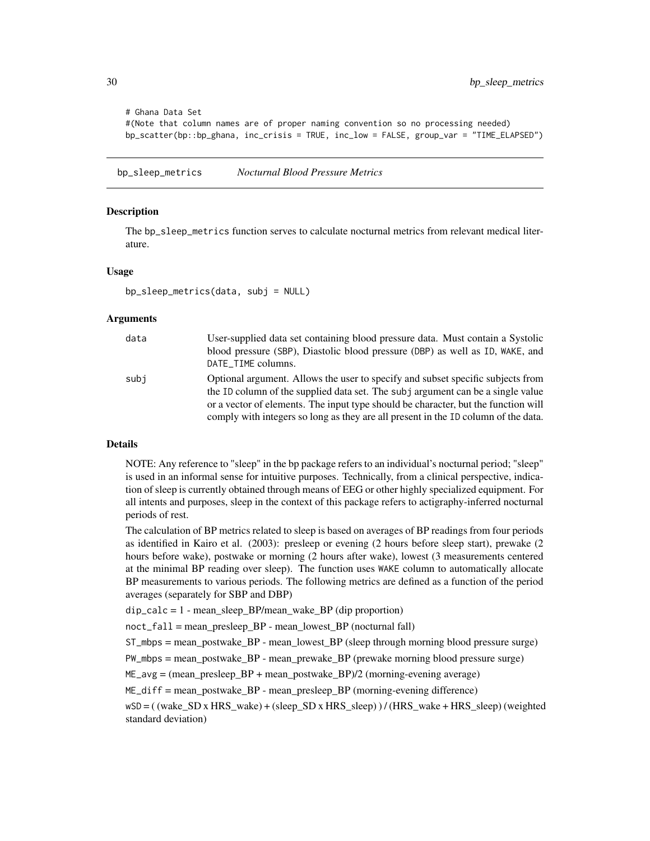```
# Ghana Data Set
#(Note that column names are of proper naming convention so no processing needed)
bp_scatter(bp::bp_ghana, inc_crisis = TRUE, inc_low = FALSE, group_var = "TIME_ELAPSED")
```
bp\_sleep\_metrics *Nocturnal Blood Pressure Metrics*

## **Description**

The bp\_sleep\_metrics function serves to calculate nocturnal metrics from relevant medical literature.

#### Usage

```
bp_sleep_metrics(data, subj = NULL)
```
#### Arguments

| data | User-supplied data set containing blood pressure data. Must contain a Systolic                                                                                                                                                                                                                                                                 |
|------|------------------------------------------------------------------------------------------------------------------------------------------------------------------------------------------------------------------------------------------------------------------------------------------------------------------------------------------------|
|      | blood pressure (SBP), Diastolic blood pressure (DBP) as well as ID, WAKE, and                                                                                                                                                                                                                                                                  |
|      | DATE_TIME columns.                                                                                                                                                                                                                                                                                                                             |
| subi | Optional argument. Allows the user to specify and subset specific subjects from<br>the ID column of the supplied data set. The subj argument can be a single value<br>or a vector of elements. The input type should be character, but the function will<br>comply with integers so long as they are all present in the ID column of the data. |

## Details

NOTE: Any reference to "sleep" in the bp package refers to an individual's nocturnal period; "sleep" is used in an informal sense for intuitive purposes. Technically, from a clinical perspective, indication of sleep is currently obtained through means of EEG or other highly specialized equipment. For all intents and purposes, sleep in the context of this package refers to actigraphy-inferred nocturnal periods of rest.

The calculation of BP metrics related to sleep is based on averages of BP readings from four periods as identified in Kairo et al. (2003): presleep or evening (2 hours before sleep start), prewake (2 hours before wake), postwake or morning (2 hours after wake), lowest (3 measurements centered at the minimal BP reading over sleep). The function uses WAKE column to automatically allocate BP measurements to various periods. The following metrics are defined as a function of the period averages (separately for SBP and DBP)

dip\_calc = 1 - mean\_sleep\_BP/mean\_wake\_BP (dip proportion)

 $noct_fall = mean$  presleep  $BP$  - mean lowest  $BP$  (nocturnal fall)

ST\_mbps = mean\_postwake\_BP - mean\_lowest\_BP (sleep through morning blood pressure surge)

PW\_mbps = mean\_postwake\_BP - mean\_prewake\_BP (prewake morning blood pressure surge)

ME\_avg = (mean\_presleep\_BP + mean\_postwake\_BP)/2 (morning-evening average)

 $ME\_diff = mean$  postwake BP - mean presleep BP (morning-evening difference)

wSD = ( (wake\_SD x HRS\_wake) + (sleep\_SD x HRS\_sleep) ) / (HRS\_wake + HRS\_sleep) (weighted standard deviation)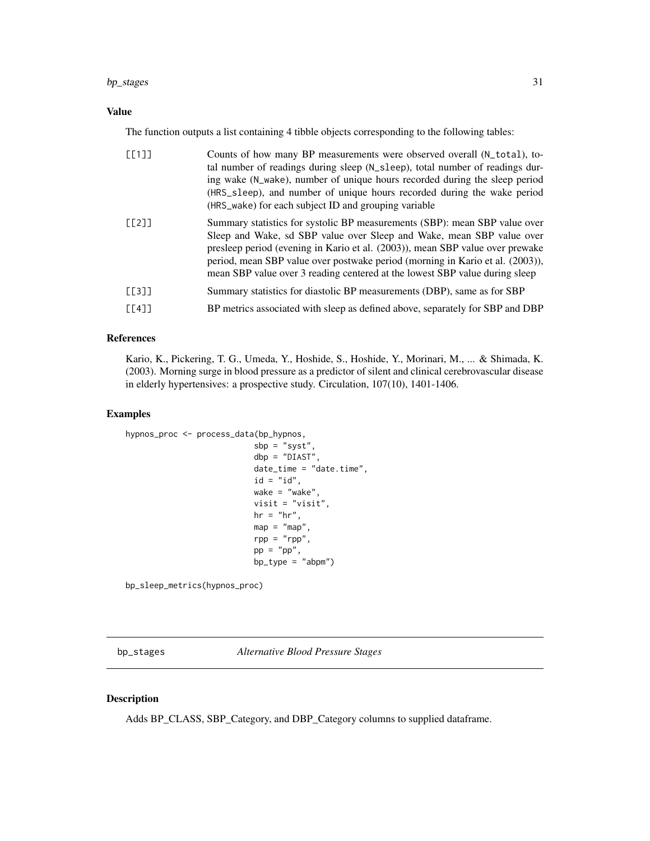## <span id="page-30-0"></span>bp\_stages 31

## Value

The function outputs a list containing 4 tibble objects corresponding to the following tables:

| $[$ [1]] | Counts of how many BP measurements were observed overall (N_total), to-<br>tal number of readings during sleep (N_sleep), total number of readings dur-<br>ing wake (N_wake), number of unique hours recorded during the sleep period<br>(HRS_sleep), and number of unique hours recorded during the wake period<br>(HRS_wake) for each subject ID and grouping variable                             |
|----------|------------------------------------------------------------------------------------------------------------------------------------------------------------------------------------------------------------------------------------------------------------------------------------------------------------------------------------------------------------------------------------------------------|
| [[2]]    | Summary statistics for systolic BP measurements (SBP): mean SBP value over<br>Sleep and Wake, sd SBP value over Sleep and Wake, mean SBP value over<br>presleep period (evening in Kario et al. (2003)), mean SBP value over prewake<br>period, mean SBP value over postwake period (morning in Kario et al. (2003)),<br>mean SBP value over 3 reading centered at the lowest SBP value during sleep |
| [[3]]    | Summary statistics for diastolic BP measurements (DBP), same as for SBP                                                                                                                                                                                                                                                                                                                              |
| [L4]     | BP metrics associated with sleep as defined above, separately for SBP and DBP                                                                                                                                                                                                                                                                                                                        |

## References

Kario, K., Pickering, T. G., Umeda, Y., Hoshide, S., Hoshide, Y., Morinari, M., ... & Shimada, K. (2003). Morning surge in blood pressure as a predictor of silent and clinical cerebrovascular disease in elderly hypertensives: a prospective study. Circulation, 107(10), 1401-1406.

## Examples

```
hypnos_proc <- process_data(bp_hypnos,
                          sbp = "syst",dbp = "DIAST",
                          date_time = "date.time",
                          id = "id",wake = "wake",
                          visit = "visit",
                          hr = "hr",
                          map = "map"rpp = "rpp",pp = "pp",bp_type = "abpm")
```
bp\_sleep\_metrics(hypnos\_proc)

bp\_stages *Alternative Blood Pressure Stages*

## Description

Adds BP\_CLASS, SBP\_Category, and DBP\_Category columns to supplied dataframe.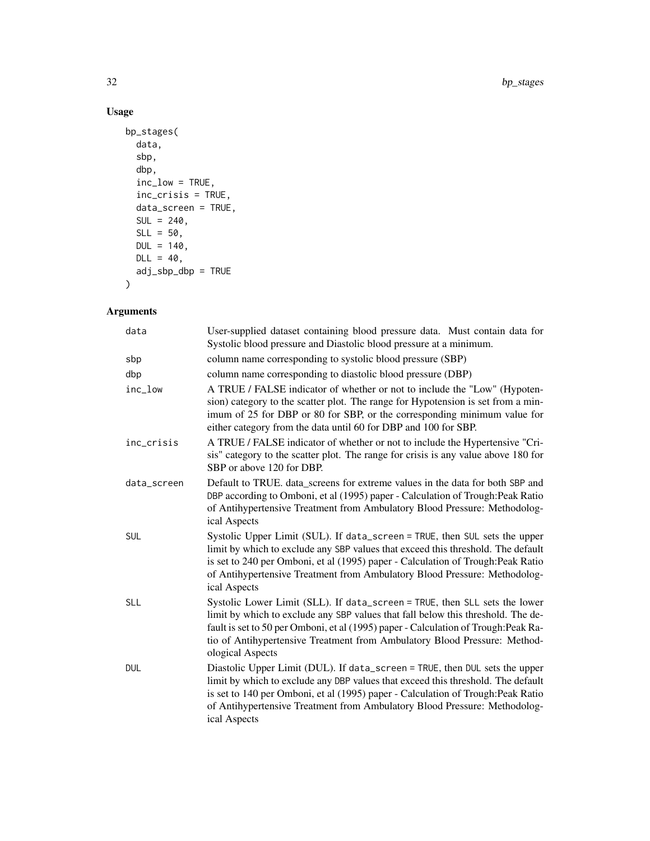## Usage

```
bp_stages(
  data,
  sbp,
  dbp,
  inc_low = TRUE,
  inc_crisis = TRUE,
  data_screen = TRUE,
  SUL = 240,SLL = 50,
 DUL = 140,DL = 40,adj\_sbp\_dbp = TRUE\mathcal{L}
```
## Arguments

| data        | User-supplied dataset containing blood pressure data. Must contain data for<br>Systolic blood pressure and Diastolic blood pressure at a minimum.                                                                                                                                                                                                      |
|-------------|--------------------------------------------------------------------------------------------------------------------------------------------------------------------------------------------------------------------------------------------------------------------------------------------------------------------------------------------------------|
| sbp         | column name corresponding to systolic blood pressure (SBP)                                                                                                                                                                                                                                                                                             |
| dbp         | column name corresponding to diastolic blood pressure (DBP)                                                                                                                                                                                                                                                                                            |
| inc_low     | A TRUE / FALSE indicator of whether or not to include the "Low" (Hypoten-<br>sion) category to the scatter plot. The range for Hypotension is set from a min-<br>imum of 25 for DBP or 80 for SBP, or the corresponding minimum value for<br>either category from the data until 60 for DBP and 100 for SBP.                                           |
| inc_crisis  | A TRUE / FALSE indicator of whether or not to include the Hypertensive "Cri-<br>sis" category to the scatter plot. The range for crisis is any value above 180 for<br>SBP or above 120 for DBP.                                                                                                                                                        |
| data_screen | Default to TRUE. data screens for extreme values in the data for both SBP and<br>DBP according to Omboni, et al (1995) paper - Calculation of Trough: Peak Ratio<br>of Antihypertensive Treatment from Ambulatory Blood Pressure: Methodolog-<br>ical Aspects                                                                                          |
| SUL         | Systolic Upper Limit (SUL). If data_screen = TRUE, then SUL sets the upper<br>limit by which to exclude any SBP values that exceed this threshold. The default<br>is set to 240 per Omboni, et al (1995) paper - Calculation of Trough: Peak Ratio<br>of Antihypertensive Treatment from Ambulatory Blood Pressure: Methodolog-<br>ical Aspects        |
| <b>SLL</b>  | Systolic Lower Limit (SLL). If data_screen = TRUE, then SLL sets the lower<br>limit by which to exclude any SBP values that fall below this threshold. The de-<br>fault is set to 50 per Omboni, et al (1995) paper - Calculation of Trough: Peak Ra-<br>tio of Antihypertensive Treatment from Ambulatory Blood Pressure: Method-<br>ological Aspects |
| DUL         | Diastolic Upper Limit (DUL). If data_screen = TRUE, then DUL sets the upper<br>limit by which to exclude any DBP values that exceed this threshold. The default<br>is set to 140 per Omboni, et al (1995) paper - Calculation of Trough: Peak Ratio<br>of Antihypertensive Treatment from Ambulatory Blood Pressure: Methodolog-<br>ical Aspects       |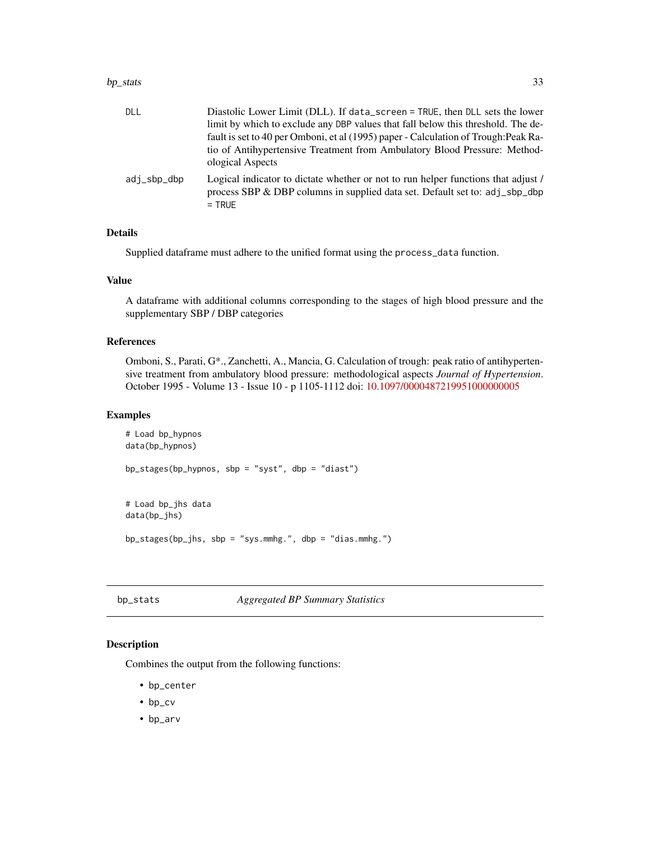#### <span id="page-32-0"></span>bp\_stats 33

| DLL         | Diastolic Lower Limit (DLL). If data_screen = TRUE, then DLL sets the lower                                                                                                  |
|-------------|------------------------------------------------------------------------------------------------------------------------------------------------------------------------------|
|             | limit by which to exclude any DBP values that fall below this threshold. The de-                                                                                             |
|             | fault is set to 40 per Omboni, et al (1995) paper - Calculation of Trough: Peak Ra-                                                                                          |
|             | tio of Antihypertensive Treatment from Ambulatory Blood Pressure: Method-<br>ological Aspects                                                                                |
| adi_sbp_dbp | Logical indicator to dictate whether or not to run helper functions that adjust /<br>process SBP & DBP columns in supplied data set. Default set to: adj_sbp_dbp<br>$=$ TRUE |

## Details

Supplied dataframe must adhere to the unified format using the process\_data function.

## Value

A dataframe with additional columns corresponding to the stages of high blood pressure and the supplementary SBP / DBP categories

## References

Omboni, S., Parati, G\*., Zanchetti, A., Mancia, G. Calculation of trough: peak ratio of antihypertensive treatment from ambulatory blood pressure: methodological aspects *Journal of Hypertension*. October 1995 - Volume 13 - Issue 10 - p 1105-1112 doi: [10.1097/0000487219951000000005](https://doi.org/10.1097/00004872-199510000-00005)

## Examples

```
# Load bp_hypnos
data(bp_hypnos)
bp_stages(bp_hypnos, sbp = "syst", dbp = "diast")
# Load bp_jhs data
data(bp_jhs)
bp_stages(bp_jhs, sbp = "sys.mmhg.", dbp = "dias.mmhg.")
```
## bp\_stats *Aggregated BP Summary Statistics*

#### Description

Combines the output from the following functions:

- bp\_center
- bp\_cv
- bp\_arv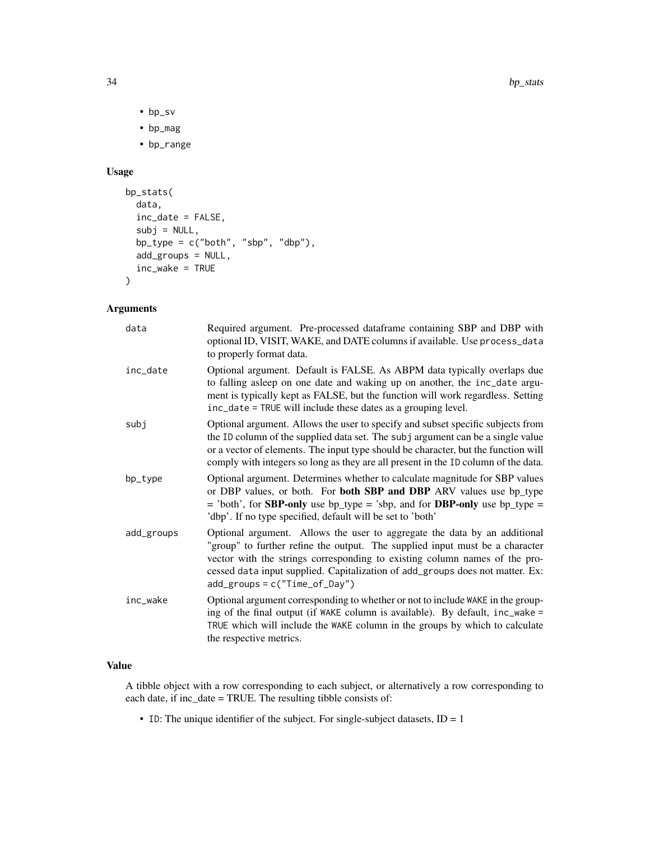- bp\_sv
- bp\_mag
- bp\_range

## Usage

```
bp_stats(
  data,
  inc_date = FALSE,
  subj = NULL,bp_type = c("both", "sbp", "dbp"),
  add_groups = NULL,
  inc_wake = TRUE
)
```
## Arguments

| data       | Required argument. Pre-processed dataframe containing SBP and DBP with<br>optional ID, VISIT, WAKE, and DATE columns if available. Use process_data<br>to properly format data.                                                                                                                                                                              |
|------------|--------------------------------------------------------------------------------------------------------------------------------------------------------------------------------------------------------------------------------------------------------------------------------------------------------------------------------------------------------------|
| inc_date   | Optional argument. Default is FALSE. As ABPM data typically overlaps due<br>to falling asleep on one date and waking up on another, the inc_date argu-<br>ment is typically kept as FALSE, but the function will work regardless. Setting<br>inc_date = TRUE will include these dates as a grouping level.                                                   |
| subj       | Optional argument. Allows the user to specify and subset specific subjects from<br>the ID column of the supplied data set. The subj argument can be a single value<br>or a vector of elements. The input type should be character, but the function will<br>comply with integers so long as they are all present in the ID column of the data.               |
| bp_type    | Optional argument. Determines whether to calculate magnitude for SBP values<br>or DBP values, or both. For both SBP and DBP ARV values use bp_type<br>$=$ 'both', for <b>SBP-only</b> use bp_type = 'sbp, and for <b>DBP-only</b> use bp_type =<br>'dbp'. If no type specified, default will be set to 'both'                                                |
| add_groups | Optional argument. Allows the user to aggregate the data by an additional<br>"group" to further refine the output. The supplied input must be a character<br>vector with the strings corresponding to existing column names of the pro-<br>cessed data input supplied. Capitalization of add_groups does not matter. Ex:<br>$add\_groups = c("Time_of_Day")$ |
| inc wake   | Optional argument corresponding to whether or not to include WAKE in the group-<br>ing of the final output (if WAKE column is available). By default, inc_wake =<br>TRUE which will include the WAKE column in the groups by which to calculate<br>the respective metrics.                                                                                   |

## Value

A tibble object with a row corresponding to each subject, or alternatively a row corresponding to each date, if inc\_date = TRUE. The resulting tibble consists of:

• ID: The unique identifier of the subject. For single-subject datasets,  $ID = 1$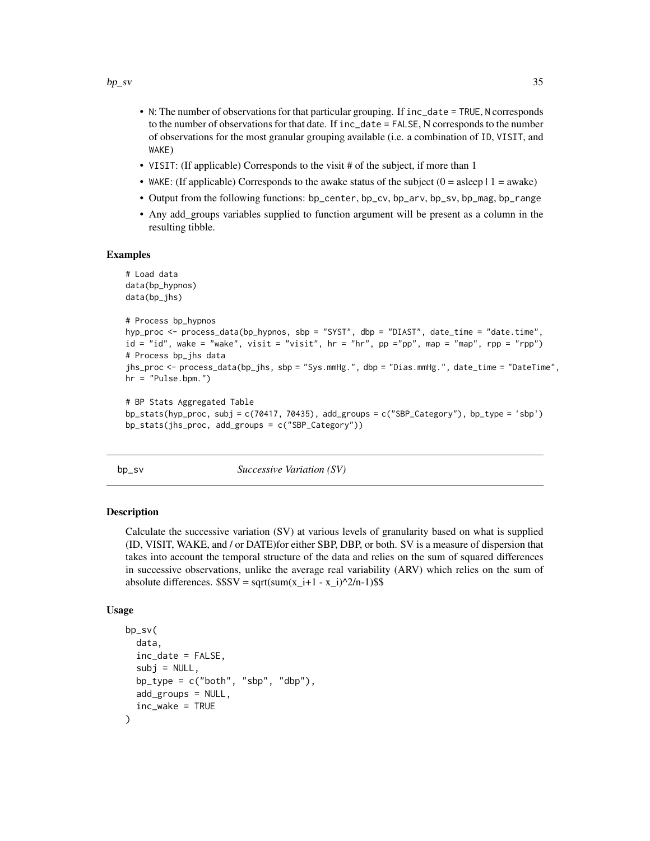- <span id="page-34-0"></span>• N: The number of observations for that particular grouping. If inc\_date = TRUE, N corresponds to the number of observations for that date. If inc\_date = FALSE, N corresponds to the number of observations for the most granular grouping available (i.e. a combination of ID, VISIT, and WAKE)
- VISIT: (If applicable) Corresponds to the visit # of the subject, if more than 1
- WAKE: (If applicable) Corresponds to the awake status of the subject  $(0 = a \text{sleep} \mid 1 = a \text{wake})$
- Output from the following functions: bp\_center, bp\_cv, bp\_arv, bp\_sv, bp\_mag, bp\_range
- Any add\_groups variables supplied to function argument will be present as a column in the resulting tibble.

#### Examples

```
# Load data
data(bp_hypnos)
data(bp_jhs)
# Process bp_hypnos
hyp_proc <- process_data(bp_hypnos, sbp = "SYST", dbp = "DIAST", date_time = "date.time",
id = "id", wake = "wake", visit = "visit", hr = "hr", pp ="pp", map = "map", rpp = "rpp")
# Process bp_jhs data
jhs_proc <- process_data(bp_jhs, sbp = "Sys.mmHg.", dbp = "Dias.mmHg.", date_time = "DateTime",
hr = "Pulse.bpm."# BP Stats Aggregated Table
```

```
bp_stats(hyp_proc, subj = c(70417, 70435), add_groups = c("SBP_Category"), bp_type = 'sbp')
bp_stats(jhs_proc, add_groups = c("SBP_Category"))
```
bp\_sv *Successive Variation (SV)*

## Description

Calculate the successive variation (SV) at various levels of granularity based on what is supplied (ID, VISIT, WAKE, and / or DATE)for either SBP, DBP, or both. SV is a measure of dispersion that takes into account the temporal structure of the data and relies on the sum of squared differences in successive observations, unlike the average real variability (ARV) which relies on the sum of absolute differences.  $$SSV = sqrt(sum(x_i+1 - x_i)^2/n-1)$ \$\$

#### Usage

```
bp_sv(
  data,
  inc\_date = FALSE,subi = NULL,bp_type = c("both", "sbp", "dbp"),
  add_groups = NULL,
  inc_wake = TRUE
)
```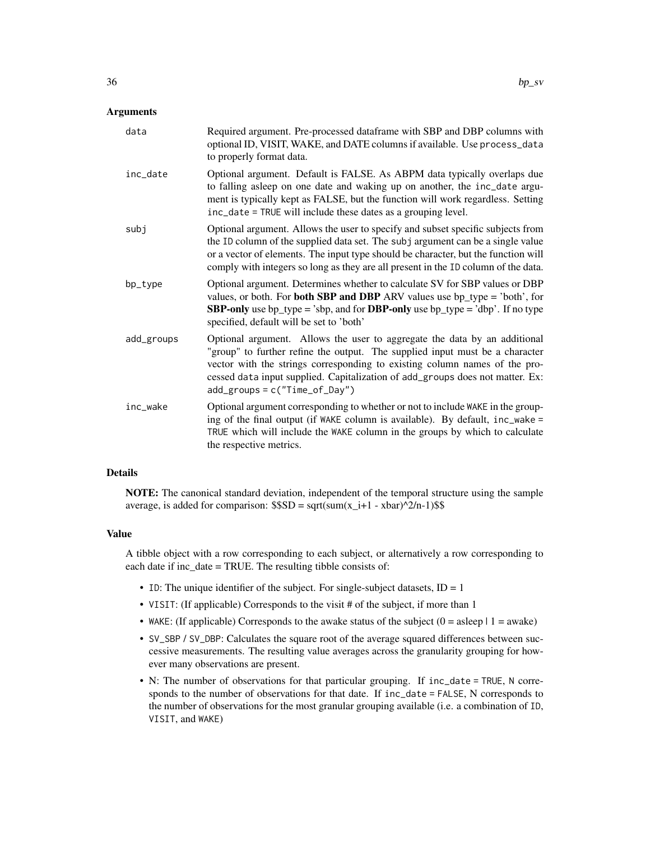## **Arguments**

| data       | Required argument. Pre-processed dataframe with SBP and DBP columns with<br>optional ID, VISIT, WAKE, and DATE columns if available. Use process_data<br>to properly format data.                                                                                                                                                                            |
|------------|--------------------------------------------------------------------------------------------------------------------------------------------------------------------------------------------------------------------------------------------------------------------------------------------------------------------------------------------------------------|
| inc_date   | Optional argument. Default is FALSE. As ABPM data typically overlaps due<br>to falling asleep on one date and waking up on another, the inc_date argu-<br>ment is typically kept as FALSE, but the function will work regardless. Setting<br>inc_date = TRUE will include these dates as a grouping level.                                                   |
| subj       | Optional argument. Allows the user to specify and subset specific subjects from<br>the ID column of the supplied data set. The subj argument can be a single value<br>or a vector of elements. The input type should be character, but the function will<br>comply with integers so long as they are all present in the ID column of the data.               |
| bp_type    | Optional argument. Determines whether to calculate SV for SBP values or DBP<br>values, or both. For <b>both SBP and DBP</b> ARV values use $bp_{\text{type}} = 'both',$ for<br><b>SBP-only</b> use bp_type = 'sbp, and for <b>DBP-only</b> use bp_type = 'dbp'. If no type<br>specified, default will be set to 'both'                                       |
| add_groups | Optional argument. Allows the user to aggregate the data by an additional<br>"group" to further refine the output. The supplied input must be a character<br>vector with the strings corresponding to existing column names of the pro-<br>cessed data input supplied. Capitalization of add_groups does not matter. Ex:<br>$add\_groups = c("Time_of_Day")$ |
| inc_wake   | Optional argument corresponding to whether or not to include WAKE in the group-<br>ing of the final output (if WAKE column is available). By default, inc_wake =<br>TRUE which will include the WAKE column in the groups by which to calculate<br>the respective metrics.                                                                                   |

## Details

NOTE: The canonical standard deviation, independent of the temporal structure using the sample average, is added for comparison:  $$SD = sqrt(sum(x_i+1 - xbar)^2/n-1)$ \$\$

#### Value

A tibble object with a row corresponding to each subject, or alternatively a row corresponding to each date if inc\_date = TRUE. The resulting tibble consists of:

- ID: The unique identifier of the subject. For single-subject datasets,  $ID = 1$
- VISIT: (If applicable) Corresponds to the visit # of the subject, if more than 1
- WAKE: (If applicable) Corresponds to the awake status of the subject  $(0 = a \text{sleep} \mid 1 = \text{awake})$
- SV\_SBP / SV\_DBP: Calculates the square root of the average squared differences between successive measurements. The resulting value averages across the granularity grouping for however many observations are present.
- N: The number of observations for that particular grouping. If inc\_date = TRUE, N corresponds to the number of observations for that date. If inc\_date = FALSE, N corresponds to the number of observations for the most granular grouping available (i.e. a combination of ID, VISIT, and WAKE)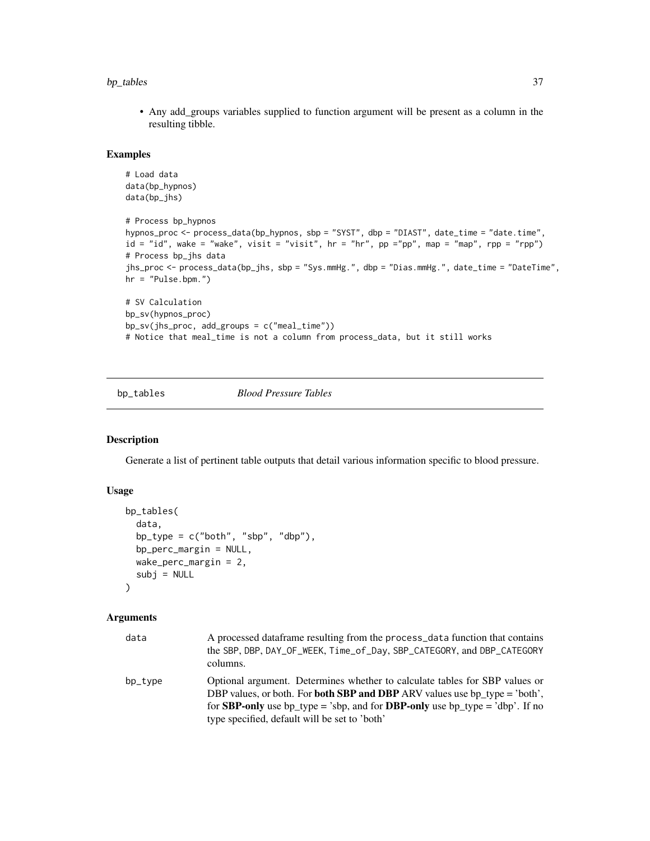## <span id="page-36-0"></span>bp\_tables 37

• Any add\_groups variables supplied to function argument will be present as a column in the resulting tibble.

#### Examples

```
# Load data
data(bp_hypnos)
data(bp_jhs)
# Process bp_hypnos
hypnos_proc <- process_data(bp_hypnos, sbp = "SYST", dbp = "DIAST", date_time = "date.time",
id = "id", wake = "wake", visit = "visit", hr = "hr", pp ="pp", map = "map", rpp = "rpp")
# Process bp_jhs data
jhs_proc <- process_data(bp_jhs, sbp = "Sys.mmHg.", dbp = "Dias.mmHg.", date_time = "DateTime",
hr = "Pulse.bpm.")
# SV Calculation
bp_sv(hypnos_proc)
bp_sv(jhs_proc, add_groups = c("meal_time"))
# Notice that meal_time is not a column from process_data, but it still works
```
bp\_tables *Blood Pressure Tables*

#### Description

Generate a list of pertinent table outputs that detail various information specific to blood pressure.

## Usage

```
bp_tables(
  data,
  bp_type = c("both", "sbp", "dbp"),
  bp_perc_margin = NULL,
 wake_perc_margin = 2,
  subj = NULL)
```
## **Arguments**

| data    | A processed data frame resulting from the process_data function that contains<br>the SBP, DBP, DAY_OF_WEEK, Time_of_Day, SBP_CATEGORY, and DBP_CATEGORY<br>columns.                                                                                                                                             |
|---------|-----------------------------------------------------------------------------------------------------------------------------------------------------------------------------------------------------------------------------------------------------------------------------------------------------------------|
| bp_type | Optional argument. Determines whether to calculate tables for SBP values or<br>DBP values, or both. For <b>both SBP and DBP</b> ARV values use bp type = 'both',<br>for <b>SBP-only</b> use bp_type = 'sbp, and for <b>DBP-only</b> use bp_type = 'dbp'. If no<br>type specified, default will be set to 'both' |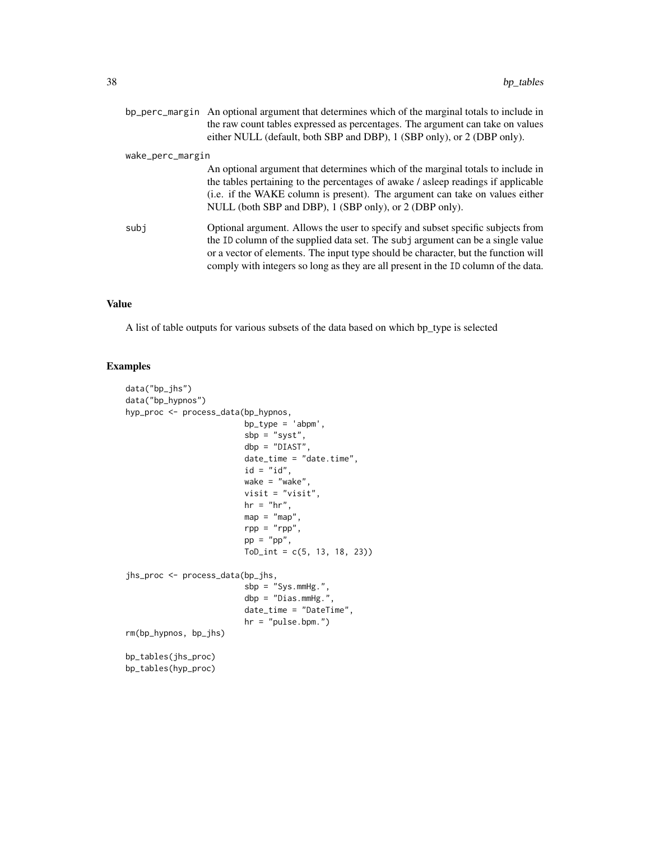|                  | bp_perc_margin An optional argument that determines which of the marginal totals to include in<br>the raw count tables expressed as percentages. The argument can take on values<br>either NULL (default, both SBP and DBP), 1 (SBP only), or 2 (DBP only).                                                                                    |
|------------------|------------------------------------------------------------------------------------------------------------------------------------------------------------------------------------------------------------------------------------------------------------------------------------------------------------------------------------------------|
| wake_perc_margin |                                                                                                                                                                                                                                                                                                                                                |
|                  | An optional argument that determines which of the marginal totals to include in<br>the tables pertaining to the percentages of awake / asleep readings if applicable<br>(i.e. if the WAKE column is present). The argument can take on values either<br>NULL (both SBP and DBP), 1 (SBP only), or 2 (DBP only).                                |
| subi             | Optional argument. Allows the user to specify and subset specific subjects from<br>the ID column of the supplied data set. The subj argument can be a single value<br>or a vector of elements. The input type should be character, but the function will<br>comply with integers so long as they are all present in the ID column of the data. |

## Value

A list of table outputs for various subsets of the data based on which bp\_type is selected

## Examples

```
data("bp_jhs")
data("bp_hypnos")
hyp_proc <- process_data(bp_hypnos,
                        bp_type = 'abpm',
                        sbp = "syst",
                        dbp = "DIAST",
                        date_time = "date.time",
                        id = "id",wake = "wake",
                        visit = "visit",
                        hr = "hr",
                        map = "map",rpp = "rpp",pp = "pp",ToD_int = c(5, 13, 18, 23))
jhs_proc <- process_data(bp_jhs,
                        sbp = "Sys.mmHg.",
                        dbp = "Dias.mmHg.",
                        date_time = "DateTime",
                        hr = "pulse.bpm."rm(bp_hypnos, bp_jhs)
bp_tables(jhs_proc)
bp_tables(hyp_proc)
```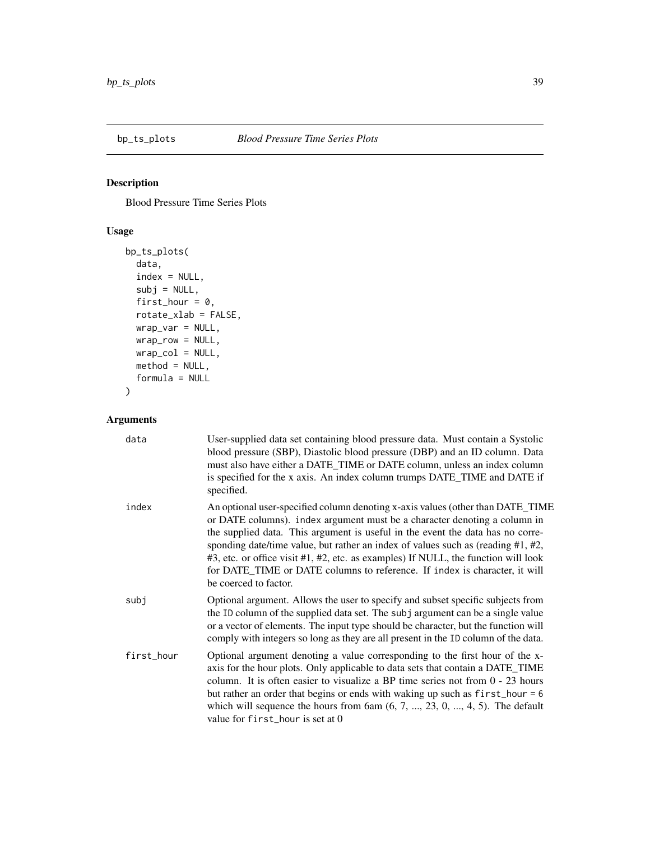<span id="page-38-0"></span>

## Description

Blood Pressure Time Series Plots

## Usage

```
bp_ts_plots(
 data,
 index = NULL,subj = NULL,first_hour = 0,
 rotate_xlab = FALSE,
 wrap_var = NULL,
 wrap_row = NULL,
 wrap\_col = NULL,method = NULL,
 formula = NULL
)
```
## Arguments

| data       | User-supplied data set containing blood pressure data. Must contain a Systolic<br>blood pressure (SBP), Diastolic blood pressure (DBP) and an ID column. Data<br>must also have either a DATE_TIME or DATE column, unless an index column<br>is specified for the x axis. An index column trumps DATE_TIME and DATE if<br>specified.                                                                                                                                                                                             |
|------------|----------------------------------------------------------------------------------------------------------------------------------------------------------------------------------------------------------------------------------------------------------------------------------------------------------------------------------------------------------------------------------------------------------------------------------------------------------------------------------------------------------------------------------|
| index      | An optional user-specified column denoting x-axis values (other than DATE_TIME<br>or DATE columns). index argument must be a character denoting a column in<br>the supplied data. This argument is useful in the event the data has no corre-<br>sponding date/time value, but rather an index of values such as (reading $#1, #2,$<br>#3, etc. or office visit #1, #2, etc. as examples) If NULL, the function will look<br>for DATE_TIME or DATE columns to reference. If index is character, it will<br>be coerced to factor. |
| subj       | Optional argument. Allows the user to specify and subset specific subjects from<br>the ID column of the supplied data set. The subj argument can be a single value<br>or a vector of elements. The input type should be character, but the function will<br>comply with integers so long as they are all present in the ID column of the data.                                                                                                                                                                                   |
| first_hour | Optional argument denoting a value corresponding to the first hour of the x-<br>axis for the hour plots. Only applicable to data sets that contain a DATE_TIME<br>column. It is often easier to visualize a BP time series not from $0 - 23$ hours<br>but rather an order that begins or ends with waking up such as $first\_hour = 6$<br>which will sequence the hours from $6am(6, 7, , 23, 0, , 4, 5)$ . The default<br>value for first_hour is set at 0                                                                      |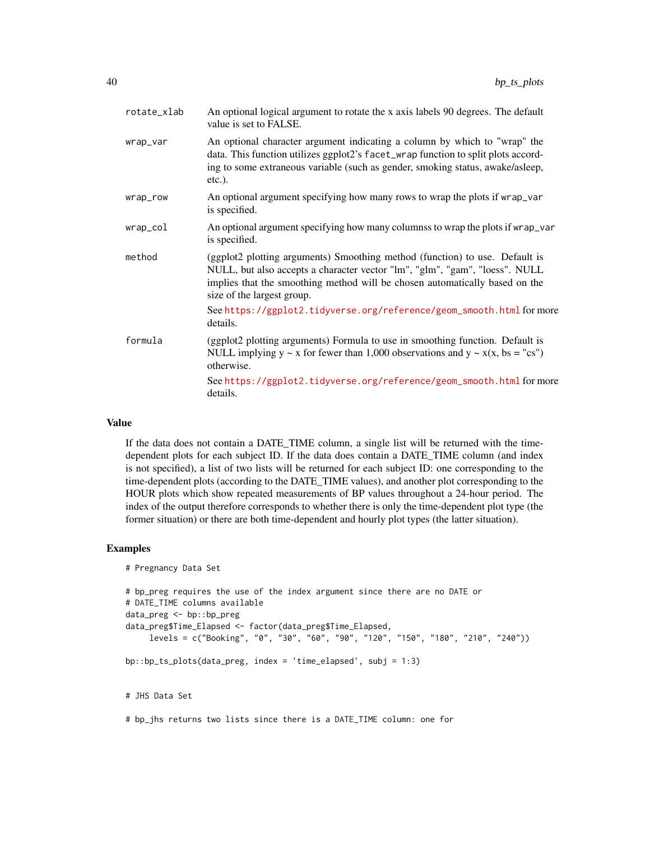| rotate_xlab | An optional logical argument to rotate the x axis labels 90 degrees. The default<br>value is set to FALSE.                                                                                                                                                              |
|-------------|-------------------------------------------------------------------------------------------------------------------------------------------------------------------------------------------------------------------------------------------------------------------------|
| wrap_var    | An optional character argument indicating a column by which to "wrap" the<br>data. This function utilizes ggplot2's facet_wrap function to split plots accord-<br>ing to some extraneous variable (such as gender, smoking status, awake/asleep,<br>$etc.$ ).           |
| wrap_row    | An optional argument specifying how many rows to wrap the plots if wrap_var<br>is specified.                                                                                                                                                                            |
| wrap_col    | An optional argument specifying how many columnss to wrap the plots if wrap_var<br>is specified.                                                                                                                                                                        |
| method      | (ggplot2 plotting arguments) Smoothing method (function) to use. Default is<br>NULL, but also accepts a character vector "lm", "glm", "gam", "loess". NULL<br>implies that the smoothing method will be chosen automatically based on the<br>size of the largest group. |
|             | See https://ggplot2.tidyverse.org/reference/geom_smooth.html for more<br>details.                                                                                                                                                                                       |
| formula     | (ggplot2 plotting arguments) Formula to use in smoothing function. Default is<br>NULL implying $y \sim x$ for fewer than 1,000 observations and $y \sim x(x, bs = "cs")$<br>otherwise.                                                                                  |
|             | See https://ggplot2.tidyverse.org/reference/geom_smooth.html for more<br>details.                                                                                                                                                                                       |
|             |                                                                                                                                                                                                                                                                         |

#### Value

If the data does not contain a DATE\_TIME column, a single list will be returned with the timedependent plots for each subject ID. If the data does contain a DATE\_TIME column (and index is not specified), a list of two lists will be returned for each subject ID: one corresponding to the time-dependent plots (according to the DATE\_TIME values), and another plot corresponding to the HOUR plots which show repeated measurements of BP values throughout a 24-hour period. The index of the output therefore corresponds to whether there is only the time-dependent plot type (the former situation) or there are both time-dependent and hourly plot types (the latter situation).

#### Examples

```
# Pregnancy Data Set
```

```
# bp_preg requires the use of the index argument since there are no DATE or
# DATE_TIME columns available
data_preg <- bp::bp_preg
data_preg$Time_Elapsed <- factor(data_preg$Time_Elapsed,
     levels = c("Booking", "0", "30", "60", "90", "120", "150", "180", "210", "240"))
bp::bp_ts_plots(data_preg, index = 'time_elapsed', subj = 1:3)
```
# JHS Data Set

# bp\_jhs returns two lists since there is a DATE\_TIME column: one for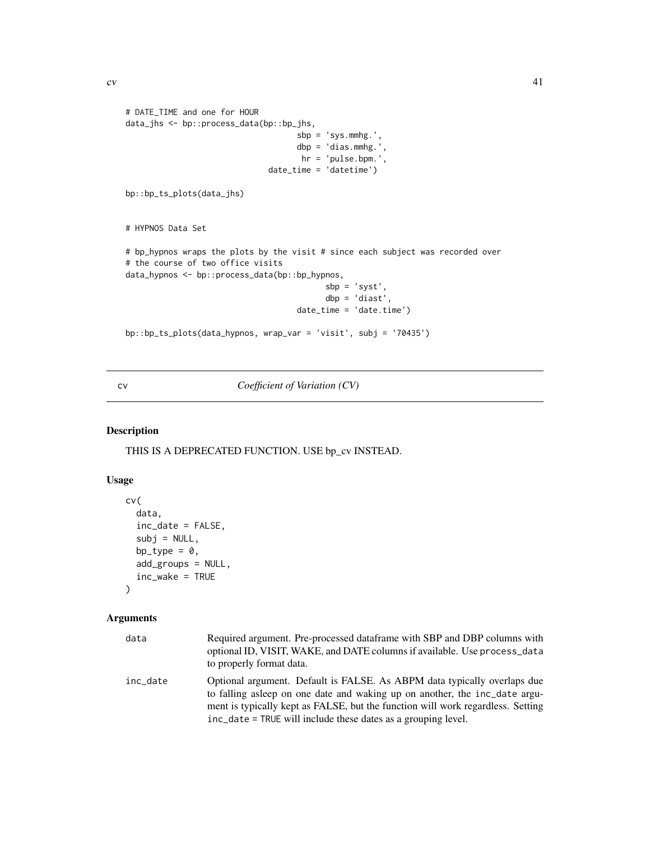```
# DATE_TIME and one for HOUR
data_jhs <- bp::process_data(bp::bp_jhs,
                                    sbp = 'sys.mmhg.',
                                    dbp = 'dias.mmhg.',
                                     hr = 'pulse.bpm.',
                              date_time = 'datetime')
bp::bp_ts_plots(data_jhs)
# HYPNOS Data Set
# bp_hypnos wraps the plots by the visit # since each subject was recorded over
# the course of two office visits
data_hypnos <- bp::process_data(bp::bp_hypnos,
                                          sbp = 'syst',
                                          dbp = 'diast',
                                    date_time = 'date.time')
bp::bp_ts_plots(data_hypnos, wrap_var = 'visit', subj = '70435')
```
cv *Coefficient of Variation (CV)*

## Description

THIS IS A DEPRECATED FUNCTION. USE bp\_cv INSTEAD.

## Usage

```
cv(
  data,
  inc_date = FALSE,
  subj = NULL,bp_type = 0,
  add_groups = NULL,
  inc_wake = TRUE
\mathcal{E}
```
## Arguments

| data     | Required argument. Pre-processed dataframe with SBP and DBP columns with<br>optional ID, VISIT, WAKE, and DATE columns if available. Use process_data<br>to properly format data.                                                                                                                           |
|----------|-------------------------------------------------------------------------------------------------------------------------------------------------------------------------------------------------------------------------------------------------------------------------------------------------------------|
| inc date | Optional argument. Default is FALSE. As ABPM data typically overlaps due<br>to falling as leep on one date and waking up on another, the inc_date argu-<br>ment is typically kept as FALSE, but the function will work regardless. Setting<br>inc_date = TRUE will include these dates as a grouping level. |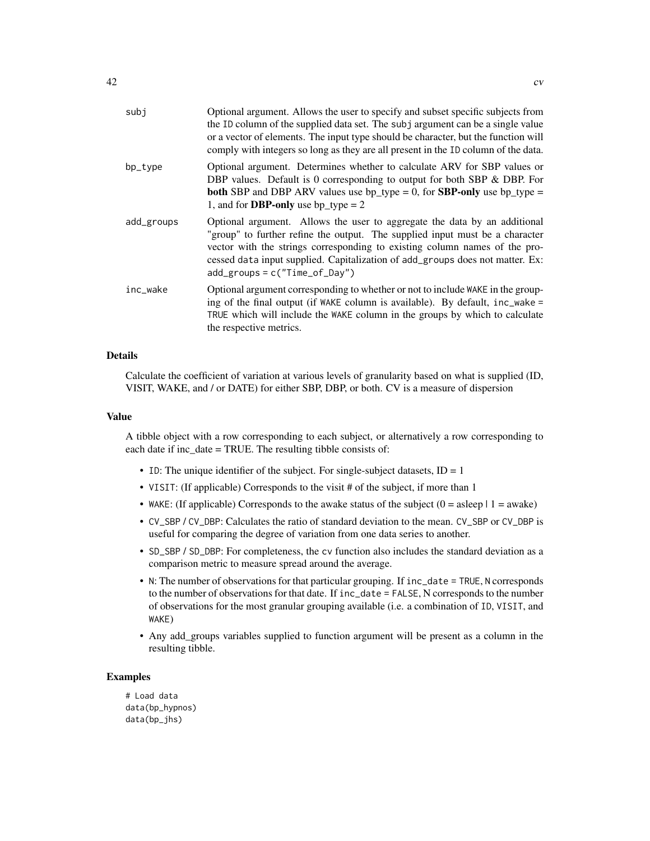| subj       | Optional argument. Allows the user to specify and subset specific subjects from<br>the ID column of the supplied data set. The subj argument can be a single value<br>or a vector of elements. The input type should be character, but the function will<br>comply with integers so long as they are all present in the ID column of the data.               |
|------------|--------------------------------------------------------------------------------------------------------------------------------------------------------------------------------------------------------------------------------------------------------------------------------------------------------------------------------------------------------------|
| bp_type    | Optional argument. Determines whether to calculate ARV for SBP values or<br>DBP values. Default is 0 corresponding to output for both SBP & DBP. For<br><b>both</b> SBP and DBP ARV values use $bp_type = 0$ , for <b>SBP-only</b> use $bp_type =$<br>1, and for <b>DBP-only</b> use bp_type = $2$                                                           |
| add_groups | Optional argument. Allows the user to aggregate the data by an additional<br>"group" to further refine the output. The supplied input must be a character<br>vector with the strings corresponding to existing column names of the pro-<br>cessed data input supplied. Capitalization of add_groups does not matter. Ex:<br>$add\_groups = c("Time_of_Day")$ |
| inc_wake   | Optional argument corresponding to whether or not to include WAKE in the group-<br>ing of the final output (if WAKE column is available). By default, inc_wake =<br>TRUE which will include the WAKE column in the groups by which to calculate<br>the respective metrics.                                                                                   |

## Details

Calculate the coefficient of variation at various levels of granularity based on what is supplied (ID, VISIT, WAKE, and / or DATE) for either SBP, DBP, or both. CV is a measure of dispersion

#### Value

A tibble object with a row corresponding to each subject, or alternatively a row corresponding to each date if inc\_date = TRUE. The resulting tibble consists of:

- ID: The unique identifier of the subject. For single-subject datasets,  $ID = 1$
- VISIT: (If applicable) Corresponds to the visit # of the subject, if more than 1
- WAKE: (If applicable) Corresponds to the awake status of the subject  $(0 = a \text{sleep} \mid 1 = a \text{wake})$
- CV\_SBP / CV\_DBP: Calculates the ratio of standard deviation to the mean. CV\_SBP or CV\_DBP is useful for comparing the degree of variation from one data series to another.
- SD\_SBP / SD\_DBP: For completeness, the cv function also includes the standard deviation as a comparison metric to measure spread around the average.
- N: The number of observations for that particular grouping. If inc\_date = TRUE, N corresponds to the number of observations for that date. If inc\_date = FALSE, N corresponds to the number of observations for the most granular grouping available (i.e. a combination of ID, VISIT, and WAKE)
- Any add\_groups variables supplied to function argument will be present as a column in the resulting tibble.

## Examples

# Load data data(bp\_hypnos) data(bp\_jhs)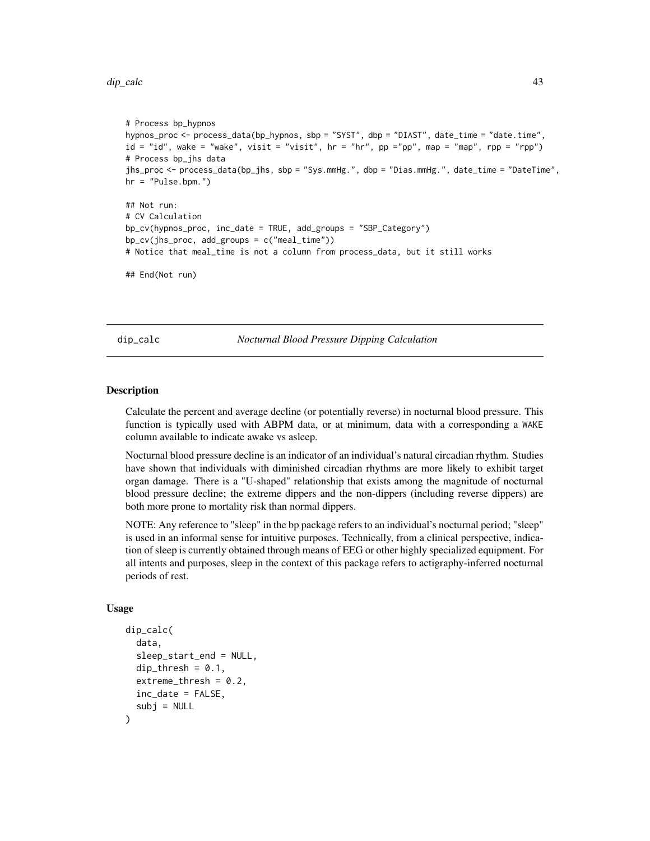#### <span id="page-42-0"></span>dip\_calc 43

```
# Process bp_hypnos
hypnos_proc <- process_data(bp_hypnos, sbp = "SYST", dbp = "DIAST", date_time = "date.time",
id = "id", wake = "wake", visit = "visit", hr = "hr", pp ="pp", map = "map", rpp = "rpp")
# Process bp_jhs data
jhs_proc <- process_data(bp_jhs, sbp = "Sys.mmHg.", dbp = "Dias.mmHg.", date_time = "DateTime",
hr = "Pulse.bpm.")
## Not run:
# CV Calculation
bp_cv(hypnos_proc, inc_date = TRUE, add_groups = "SBP_Category")
bp_cv(jhs_proc, add_groups = c("meal_time"))
# Notice that meal_time is not a column from process_data, but it still works
## End(Not run)
```
dip\_calc *Nocturnal Blood Pressure Dipping Calculation*

#### Description

Calculate the percent and average decline (or potentially reverse) in nocturnal blood pressure. This function is typically used with ABPM data, or at minimum, data with a corresponding a WAKE column available to indicate awake vs asleep.

Nocturnal blood pressure decline is an indicator of an individual's natural circadian rhythm. Studies have shown that individuals with diminished circadian rhythms are more likely to exhibit target organ damage. There is a "U-shaped" relationship that exists among the magnitude of nocturnal blood pressure decline; the extreme dippers and the non-dippers (including reverse dippers) are both more prone to mortality risk than normal dippers.

NOTE: Any reference to "sleep" in the bp package refers to an individual's nocturnal period; "sleep" is used in an informal sense for intuitive purposes. Technically, from a clinical perspective, indication of sleep is currently obtained through means of EEG or other highly specialized equipment. For all intents and purposes, sleep in the context of this package refers to actigraphy-inferred nocturnal periods of rest.

#### Usage

```
dip_calc(
  data,
  sleep_start_end = NULL,
  dip_thresh = 0.1,
  extreme_thresh = 0.2,
  inc_date = FALSE,
  subj = NULL)
```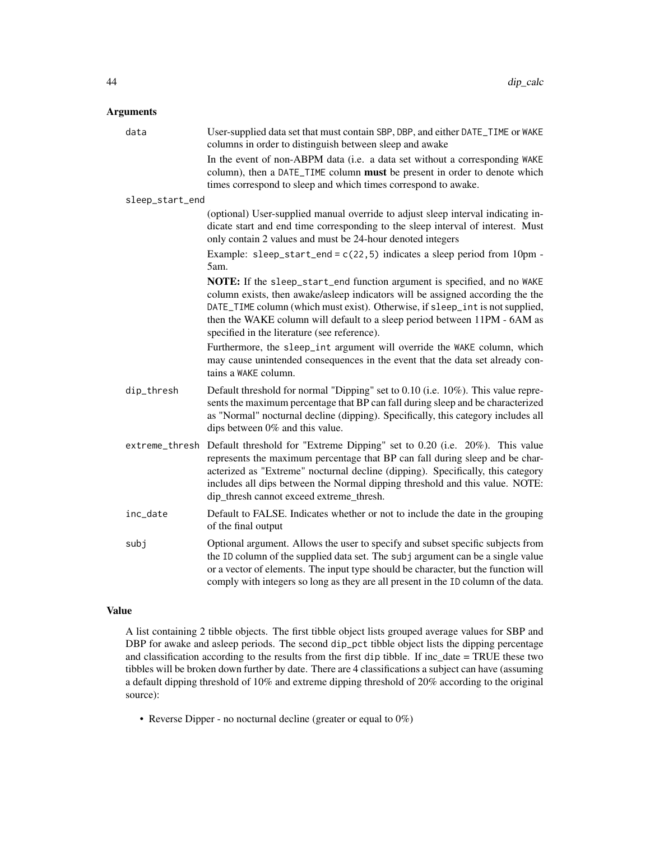## Arguments

| data            | User-supplied data set that must contain SBP, DBP, and either DATE_TIME or WAKE<br>columns in order to distinguish between sleep and awake                                                                                                                                                                                                                                |
|-----------------|---------------------------------------------------------------------------------------------------------------------------------------------------------------------------------------------------------------------------------------------------------------------------------------------------------------------------------------------------------------------------|
|                 | In the event of non-ABPM data (i.e. a data set without a corresponding WAKE<br>column), then a DATE_TIME column must be present in order to denote which<br>times correspond to sleep and which times correspond to awake.                                                                                                                                                |
| sleep_start_end |                                                                                                                                                                                                                                                                                                                                                                           |
|                 | (optional) User-supplied manual override to adjust sleep interval indicating in-<br>dicate start and end time corresponding to the sleep interval of interest. Must<br>only contain 2 values and must be 24-hour denoted integers                                                                                                                                         |
|                 | Example: sleep_start_end = $c(22,5)$ indicates a sleep period from 10pm -<br>5am.                                                                                                                                                                                                                                                                                         |
|                 | NOTE: If the sleep_start_end function argument is specified, and no WAKE<br>column exists, then awake/asleep indicators will be assigned according the the<br>DATE_TIME column (which must exist). Otherwise, if sleep_int is not supplied,<br>then the WAKE column will default to a sleep period between 11PM - 6AM as<br>specified in the literature (see reference).  |
|                 | Furthermore, the sleep_int argument will override the WAKE column, which<br>may cause unintended consequences in the event that the data set already con-<br>tains a WAKE column.                                                                                                                                                                                         |
| dip_thresh      | Default threshold for normal "Dipping" set to 0.10 (i.e. 10%). This value repre-<br>sents the maximum percentage that BP can fall during sleep and be characterized<br>as "Normal" nocturnal decline (dipping). Specifically, this category includes all<br>dips between 0% and this value.                                                                               |
| extreme_thresh  | Default threshold for "Extreme Dipping" set to 0.20 (i.e. 20%). This value<br>represents the maximum percentage that BP can fall during sleep and be char-<br>acterized as "Extreme" nocturnal decline (dipping). Specifically, this category<br>includes all dips between the Normal dipping threshold and this value. NOTE:<br>dip_thresh cannot exceed extreme_thresh. |
| inc_date        | Default to FALSE. Indicates whether or not to include the date in the grouping<br>of the final output                                                                                                                                                                                                                                                                     |
| subj            | Optional argument. Allows the user to specify and subset specific subjects from<br>the ID column of the supplied data set. The subj argument can be a single value<br>or a vector of elements. The input type should be character, but the function will<br>comply with integers so long as they are all present in the ID column of the data.                            |

## Value

A list containing 2 tibble objects. The first tibble object lists grouped average values for SBP and DBP for awake and asleep periods. The second dip\_pct tibble object lists the dipping percentage and classification according to the results from the first dip tibble. If inc\_date = TRUE these two tibbles will be broken down further by date. There are 4 classifications a subject can have (assuming a default dipping threshold of 10% and extreme dipping threshold of 20% according to the original source):

• Reverse Dipper - no nocturnal decline (greater or equal to 0%)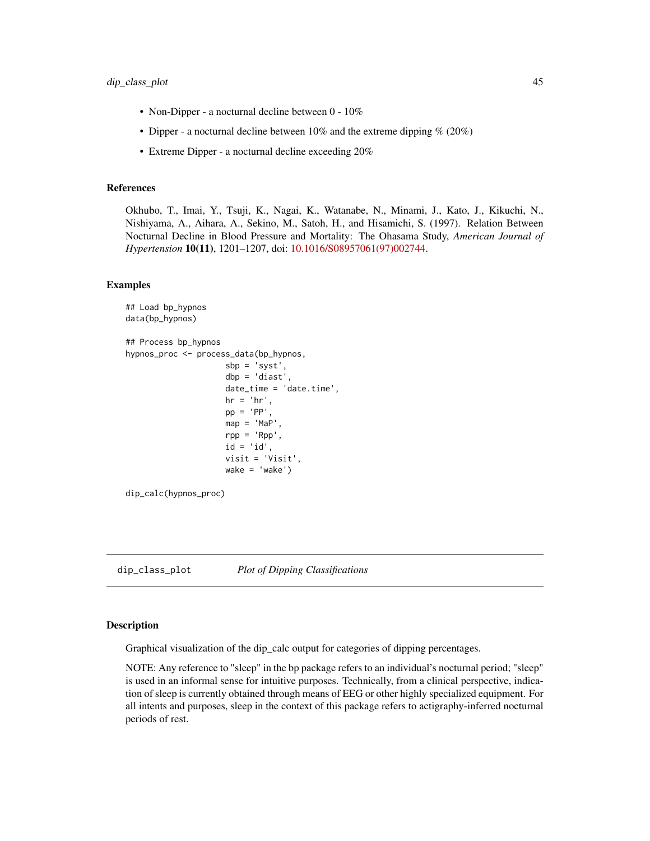- <span id="page-44-0"></span>• Non-Dipper - a nocturnal decline between 0 - 10%
- Dipper a nocturnal decline between  $10\%$  and the extreme dipping  $\%$  (20%)
- Extreme Dipper a nocturnal decline exceeding 20%

#### References

Okhubo, T., Imai, Y., Tsuji, K., Nagai, K., Watanabe, N., Minami, J., Kato, J., Kikuchi, N., Nishiyama, A., Aihara, A., Sekino, M., Satoh, H., and Hisamichi, S. (1997). Relation Between Nocturnal Decline in Blood Pressure and Mortality: The Ohasama Study, *American Journal of Hypertension* 10(11), 1201–1207, doi: [10.1016/S08957061\(97\)002744.](https://doi.org/10.1016/S0895-7061(97)00274-4)

#### Examples

```
## Load bp_hypnos
data(bp_hypnos)
## Process bp_hypnos
hypnos_proc <- process_data(bp_hypnos,
                      sbp = 'syst',
                      dbp = 'diast',
                      date_time = 'date.time',
                      hr = 'hr',
                      pp = 'PP',
                      map = 'Map',
                      rpp = 'Rpp',id = 'id',visit = 'Visit',
                      wake = \text{'wake'})
dip_calc(hypnos_proc)
```
dip\_class\_plot *Plot of Dipping Classifications*

## Description

Graphical visualization of the dip\_calc output for categories of dipping percentages.

NOTE: Any reference to "sleep" in the bp package refers to an individual's nocturnal period; "sleep" is used in an informal sense for intuitive purposes. Technically, from a clinical perspective, indication of sleep is currently obtained through means of EEG or other highly specialized equipment. For all intents and purposes, sleep in the context of this package refers to actigraphy-inferred nocturnal periods of rest.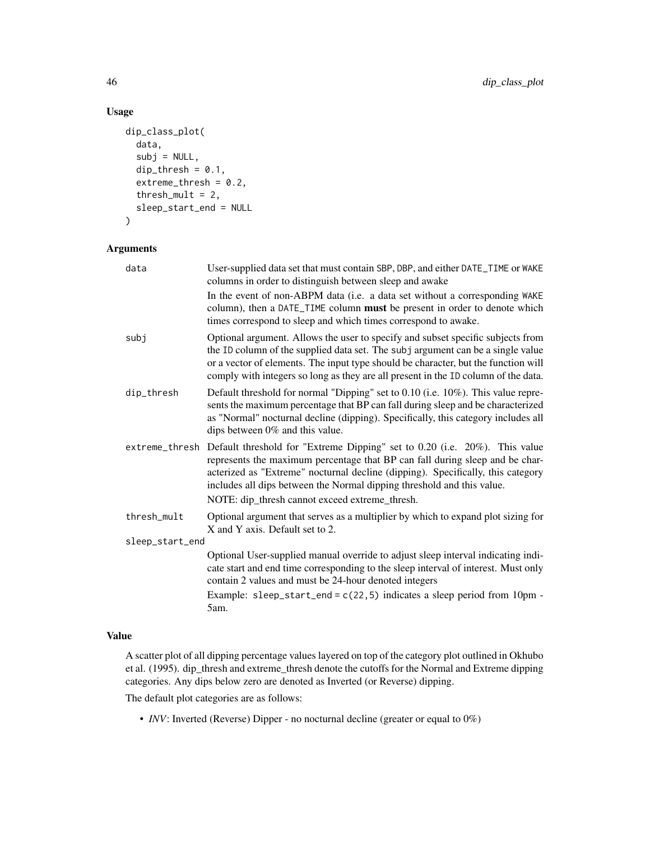## Usage

```
dip_class_plot(
 data,
  subj = NULL,dip_thresh = 0.1,
 extreme_thresh = 0.2,
  threshold = 2,
  sleep_start_end = NULL
)
```
## Arguments

| data            | User-supplied data set that must contain SBP, DBP, and either DATE_TIME or WAKE<br>columns in order to distinguish between sleep and awake                                                                                                                                                                                                                                |
|-----------------|---------------------------------------------------------------------------------------------------------------------------------------------------------------------------------------------------------------------------------------------------------------------------------------------------------------------------------------------------------------------------|
|                 | In the event of non-ABPM data (i.e. a data set without a corresponding WAKE<br>column), then a DATE_TIME column must be present in order to denote which<br>times correspond to sleep and which times correspond to awake.                                                                                                                                                |
| subj            | Optional argument. Allows the user to specify and subset specific subjects from<br>the ID column of the supplied data set. The subj argument can be a single value<br>or a vector of elements. The input type should be character, but the function will<br>comply with integers so long as they are all present in the ID column of the data.                            |
| dip_thresh      | Default threshold for normal "Dipping" set to 0.10 (i.e. 10%). This value repre-<br>sents the maximum percentage that BP can fall during sleep and be characterized<br>as "Normal" nocturnal decline (dipping). Specifically, this category includes all<br>dips between 0% and this value.                                                                               |
| extreme_thresh  | Default threshold for "Extreme Dipping" set to 0.20 (i.e. 20%). This value<br>represents the maximum percentage that BP can fall during sleep and be char-<br>acterized as "Extreme" nocturnal decline (dipping). Specifically, this category<br>includes all dips between the Normal dipping threshold and this value.<br>NOTE: dip_thresh cannot exceed extreme_thresh. |
| thresh_mult     | Optional argument that serves as a multiplier by which to expand plot sizing for<br>X and Y axis. Default set to 2.                                                                                                                                                                                                                                                       |
| sleep_start_end |                                                                                                                                                                                                                                                                                                                                                                           |
|                 | Optional User-supplied manual override to adjust sleep interval indicating indi-<br>cate start and end time corresponding to the sleep interval of interest. Must only<br>contain 2 values and must be 24-hour denoted integers                                                                                                                                           |
|                 | Example: sleep_start_end = $c(22, 5)$ indicates a sleep period from 10pm -<br>5am.                                                                                                                                                                                                                                                                                        |

## Value

A scatter plot of all dipping percentage values layered on top of the category plot outlined in Okhubo et al. (1995). dip\_thresh and extreme\_thresh denote the cutoffs for the Normal and Extreme dipping categories. Any dips below zero are denoted as Inverted (or Reverse) dipping.

The default plot categories are as follows:

• *INV*: Inverted (Reverse) Dipper - no nocturnal decline (greater or equal to 0%)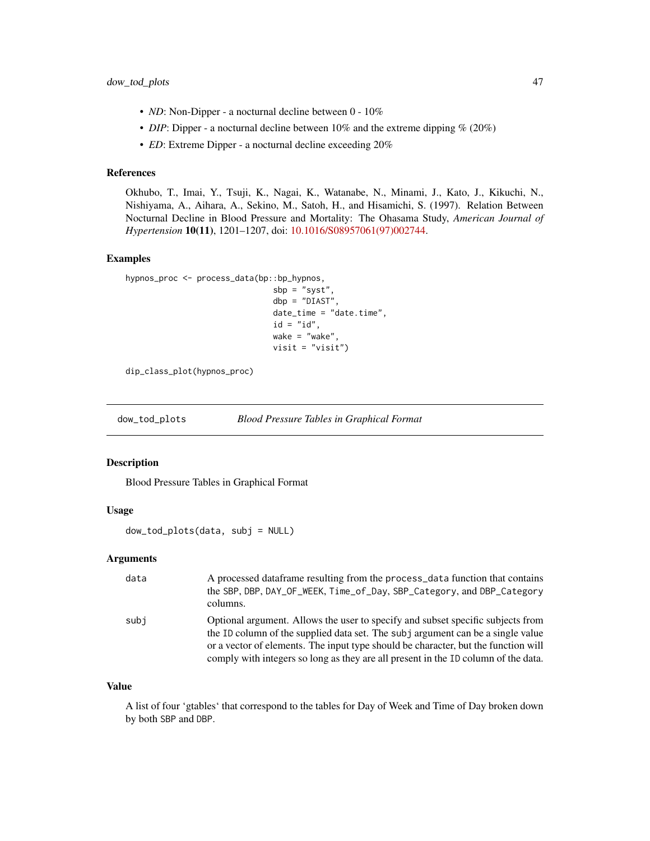- <span id="page-46-0"></span>• *ND*: Non-Dipper - a nocturnal decline between 0 - 10%
- *DIP*: Dipper a nocturnal decline between 10% and the extreme dipping % (20%)
- *ED*: Extreme Dipper a nocturnal decline exceeding 20%

### References

Okhubo, T., Imai, Y., Tsuji, K., Nagai, K., Watanabe, N., Minami, J., Kato, J., Kikuchi, N., Nishiyama, A., Aihara, A., Sekino, M., Satoh, H., and Hisamichi, S. (1997). Relation Between Nocturnal Decline in Blood Pressure and Mortality: The Ohasama Study, *American Journal of Hypertension* 10(11), 1201–1207, doi: [10.1016/S08957061\(97\)002744.](https://doi.org/10.1016/S0895-7061(97)00274-4)

## Examples

```
hypnos_proc <- process_data(bp::bp_hypnos,
                                sbp = "syst",
                                dbp = "DIAST",
                                date_time = "date.time",
                                id = "id",wake = "wake",
                                visit = "visit")
```
dip\_class\_plot(hypnos\_proc)

<span id="page-46-1"></span>dow\_tod\_plots *Blood Pressure Tables in Graphical Format*

#### Description

Blood Pressure Tables in Graphical Format

#### Usage

dow\_tod\_plots(data, subj = NULL)

#### Arguments

| data | A processed dataframe resulting from the process_data function that contains<br>the SBP, DBP, DAY_OF_WEEK, Time_of_Day, SBP_Category, and DBP_Category<br>columns.                                                                                                                                                                             |
|------|------------------------------------------------------------------------------------------------------------------------------------------------------------------------------------------------------------------------------------------------------------------------------------------------------------------------------------------------|
| subi | Optional argument. Allows the user to specify and subset specific subjects from<br>the ID column of the supplied data set. The subj argument can be a single value<br>or a vector of elements. The input type should be character, but the function will<br>comply with integers so long as they are all present in the ID column of the data. |

#### Value

A list of four 'gtables' that correspond to the tables for Day of Week and Time of Day broken down by both SBP and DBP.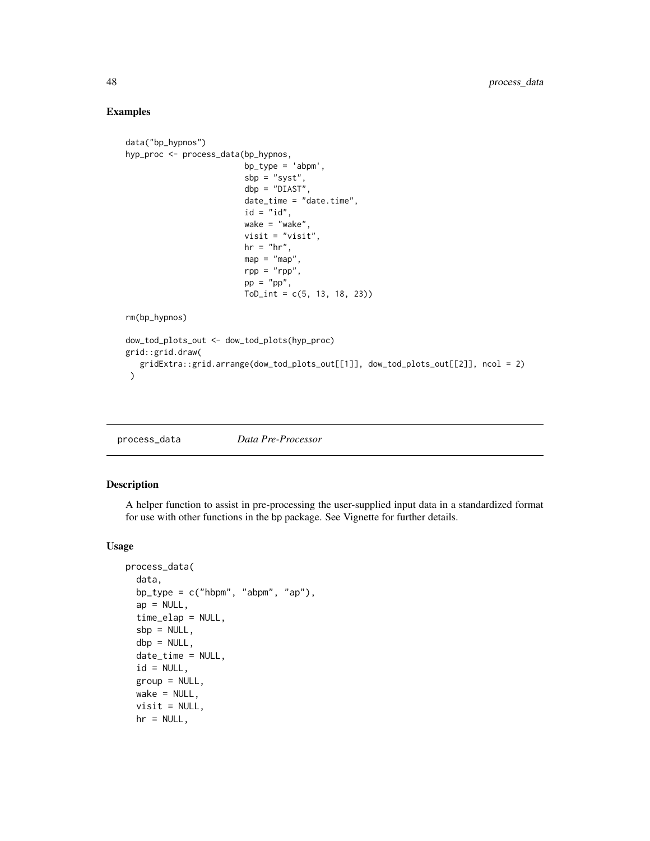## Examples

```
data("bp_hypnos")
hyp_proc <- process_data(bp_hypnos,
                         bp_type = 'abpm',
                         sbp = "syst",dbp = "DIAST",
                         date_time = "date.time",
                         id = "id",wake = "wake",
                         visit = "visit",
                         hr = "hr",map = "map",rpp = "rpp",pp = "pp",ToD_int = c(5, 13, 18, 23)rm(bp_hypnos)
dow_tod_plots_out <- dow_tod_plots(hyp_proc)
grid::grid.draw(
   gridExtra::grid.arrange(dow_tod_plots_out[[1]], dow_tod_plots_out[[2]], ncol = 2)
 \lambda
```

| process_data | Data Pre-Processor |
|--------------|--------------------|
|--------------|--------------------|

## Description

A helper function to assist in pre-processing the user-supplied input data in a standardized format for use with other functions in the bp package. See Vignette for further details.

## Usage

```
process_data(
  data,
 bp_type = c("hbpm", "abpm", "ap"),
  ap = NULL,time_elap = NULL,
  sbp = NULL,dbp = NULL,date_time = NULL,
  id = NULL,group = NULL,
 wake = NULL,
 visit = NULL,
 hr = NULL,
```
<span id="page-47-0"></span>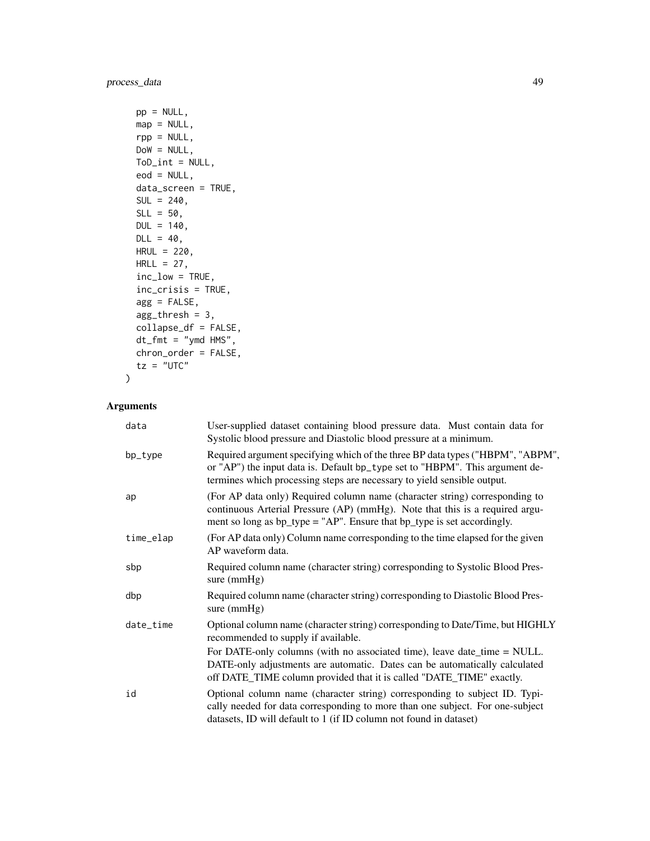```
pp = NULL,map = NULL,rpp = NULL,DoW = NULL,
ToD_int = NULL,
eod = NULL,
data_screen = TRUE,
SUL = 240,SLL = 50,
DUL = 140,
DL = 40,HRUL = 220,
HRLL = 27,
inc_low = TRUE,
inc_crisis = TRUE,
agg = FALSE,
agg_thresh = 3,
collapse_df = FALSE,
dt_fmt = "ymd HMS",chron_order = FALSE,
tz = "UTC"
```
## Arguments

 $\mathcal{L}$ 

| data      | User-supplied dataset containing blood pressure data. Must contain data for<br>Systolic blood pressure and Diastolic blood pressure at a minimum.                                                                                                             |
|-----------|---------------------------------------------------------------------------------------------------------------------------------------------------------------------------------------------------------------------------------------------------------------|
| bp_type   | Required argument specifying which of the three BP data types ("HBPM", "ABPM",<br>or "AP") the input data is. Default bp_type set to "HBPM". This argument de-<br>termines which processing steps are necessary to yield sensible output.                     |
| ap        | (For AP data only) Required column name (character string) corresponding to<br>continuous Arterial Pressure (AP) (mmHg). Note that this is a required argu-<br>ment so long as $bp_{\text{type}} = "AP"$ . Ensure that $bp_{\text{type}}$ is set accordingly. |
| time_elap | (For AP data only) Column name corresponding to the time elapsed for the given<br>AP waveform data.                                                                                                                                                           |
| sbp       | Required column name (character string) corresponding to Systolic Blood Pres-<br>sure $(mmHg)$                                                                                                                                                                |
| dbp       | Required column name (character string) corresponding to Diastolic Blood Pres-<br>sure $(mmHg)$                                                                                                                                                               |
| date_time | Optional column name (character string) corresponding to Date/Time, but HIGHLY<br>recommended to supply if available.                                                                                                                                         |
|           | For DATE-only columns (with no associated time), leave date_time = NULL.<br>DATE-only adjustments are automatic. Dates can be automatically calculated<br>off DATE_TIME column provided that it is called "DATE_TIME" exactly.                                |
| id        | Optional column name (character string) corresponding to subject ID. Typi-<br>cally needed for data corresponding to more than one subject. For one-subject<br>datasets, ID will default to 1 (if ID column not found in dataset)                             |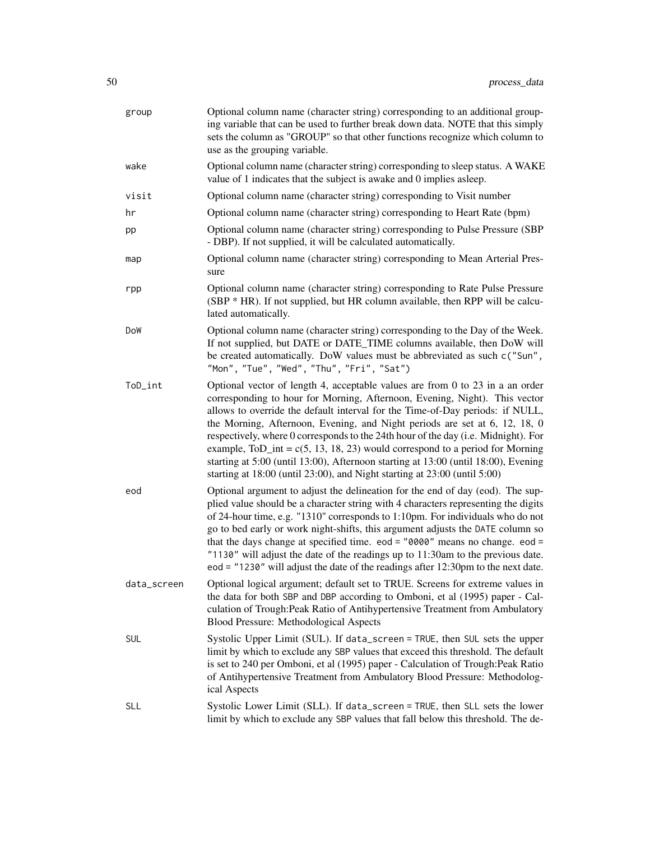| group       | Optional column name (character string) corresponding to an additional group-<br>ing variable that can be used to further break down data. NOTE that this simply<br>sets the column as "GROUP" so that other functions recognize which column to<br>use as the grouping variable.                                                                                                                                                                                                                                                                                                                                                                                       |
|-------------|-------------------------------------------------------------------------------------------------------------------------------------------------------------------------------------------------------------------------------------------------------------------------------------------------------------------------------------------------------------------------------------------------------------------------------------------------------------------------------------------------------------------------------------------------------------------------------------------------------------------------------------------------------------------------|
| wake        | Optional column name (character string) corresponding to sleep status. A WAKE<br>value of 1 indicates that the subject is awake and 0 implies asleep.                                                                                                                                                                                                                                                                                                                                                                                                                                                                                                                   |
| visit       | Optional column name (character string) corresponding to Visit number                                                                                                                                                                                                                                                                                                                                                                                                                                                                                                                                                                                                   |
| hr          | Optional column name (character string) corresponding to Heart Rate (bpm)                                                                                                                                                                                                                                                                                                                                                                                                                                                                                                                                                                                               |
| pp          | Optional column name (character string) corresponding to Pulse Pressure (SBP<br>- DBP). If not supplied, it will be calculated automatically.                                                                                                                                                                                                                                                                                                                                                                                                                                                                                                                           |
| map         | Optional column name (character string) corresponding to Mean Arterial Pres-<br>sure                                                                                                                                                                                                                                                                                                                                                                                                                                                                                                                                                                                    |
| rpp         | Optional column name (character string) corresponding to Rate Pulse Pressure<br>(SBP * HR). If not supplied, but HR column available, then RPP will be calcu-<br>lated automatically.                                                                                                                                                                                                                                                                                                                                                                                                                                                                                   |
| DoW         | Optional column name (character string) corresponding to the Day of the Week.<br>If not supplied, but DATE or DATE_TIME columns available, then DoW will<br>be created automatically. DoW values must be abbreviated as such c("Sun",<br>"Mon", "Tue", "Wed", "Thu", "Fri", "Sat")                                                                                                                                                                                                                                                                                                                                                                                      |
| ToD_int     | Optional vector of length 4, acceptable values are from 0 to $23$ in a an order<br>corresponding to hour for Morning, Afternoon, Evening, Night). This vector<br>allows to override the default interval for the Time-of-Day periods: if NULL,<br>the Morning, Afternoon, Evening, and Night periods are set at 6, 12, 18, 0<br>respectively, where 0 corresponds to the 24th hour of the day (i.e. Midnight). For<br>example, ToD_int = $c(5, 13, 18, 23)$ would correspond to a period for Morning<br>starting at 5:00 (until 13:00), Afternoon starting at 13:00 (until 18:00), Evening<br>starting at 18:00 (until 23:00), and Night starting at 23:00 (until 5:00) |
| eod         | Optional argument to adjust the delineation for the end of day (eod). The sup-<br>plied value should be a character string with 4 characters representing the digits<br>of 24-hour time, e.g. "1310" corresponds to 1:10pm. For individuals who do not<br>go to bed early or work night-shifts, this argument adjusts the DATE column so<br>that the days change at specified time. eod = $"0000"$ means no change. eod =<br>"1130" will adjust the date of the readings up to 11:30am to the previous date.<br>eod = $"1230"$ will adjust the date of the readings after 12:30pm to the next date.                                                                     |
| data_screen | Optional logical argument; default set to TRUE. Screens for extreme values in<br>the data for both SBP and DBP according to Omboni, et al (1995) paper - Cal-<br>culation of Trough: Peak Ratio of Antihypertensive Treatment from Ambulatory<br>Blood Pressure: Methodological Aspects                                                                                                                                                                                                                                                                                                                                                                                 |
| <b>SUL</b>  | Systolic Upper Limit (SUL). If data_screen = TRUE, then SUL sets the upper<br>limit by which to exclude any SBP values that exceed this threshold. The default<br>is set to 240 per Omboni, et al (1995) paper - Calculation of Trough: Peak Ratio<br>of Antihypertensive Treatment from Ambulatory Blood Pressure: Methodolog-<br>ical Aspects                                                                                                                                                                                                                                                                                                                         |
| <b>SLL</b>  | Systolic Lower Limit (SLL). If data_screen = TRUE, then SLL sets the lower<br>limit by which to exclude any SBP values that fall below this threshold. The de-                                                                                                                                                                                                                                                                                                                                                                                                                                                                                                          |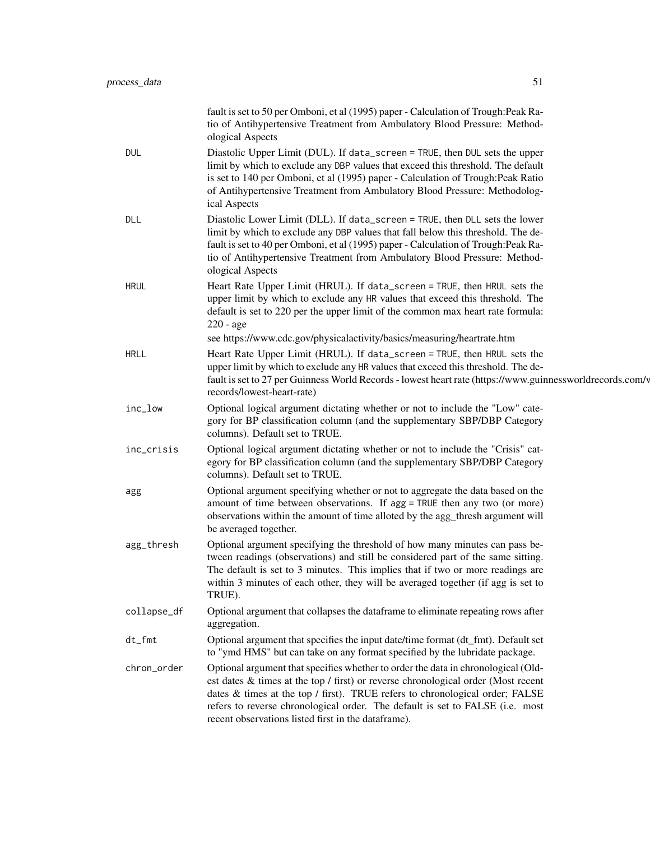|             | fault is set to 50 per Omboni, et al (1995) paper - Calculation of Trough: Peak Ra-<br>tio of Antihypertensive Treatment from Ambulatory Blood Pressure: Method-<br>ological Aspects                                                                                                                                                                                                           |
|-------------|------------------------------------------------------------------------------------------------------------------------------------------------------------------------------------------------------------------------------------------------------------------------------------------------------------------------------------------------------------------------------------------------|
| DUL         | Diastolic Upper Limit (DUL). If data_screen = TRUE, then DUL sets the upper<br>limit by which to exclude any DBP values that exceed this threshold. The default<br>is set to 140 per Omboni, et al (1995) paper - Calculation of Trough: Peak Ratio<br>of Antihypertensive Treatment from Ambulatory Blood Pressure: Methodolog-<br>ical Aspects                                               |
| DLL         | Diastolic Lower Limit (DLL). If data_screen = TRUE, then DLL sets the lower<br>limit by which to exclude any DBP values that fall below this threshold. The de-<br>fault is set to 40 per Omboni, et al (1995) paper - Calculation of Trough: Peak Ra-<br>tio of Antihypertensive Treatment from Ambulatory Blood Pressure: Method-<br>ological Aspects                                        |
| <b>HRUL</b> | Heart Rate Upper Limit (HRUL). If data_screen = TRUE, then HRUL sets the<br>upper limit by which to exclude any HR values that exceed this threshold. The<br>default is set to 220 per the upper limit of the common max heart rate formula:<br>$220 - age$                                                                                                                                    |
|             | see https://www.cdc.gov/physicalactivity/basics/measuring/heartrate.htm                                                                                                                                                                                                                                                                                                                        |
| <b>HRLL</b> | Heart Rate Upper Limit (HRUL). If data_screen = TRUE, then HRUL sets the<br>upper limit by which to exclude any HR values that exceed this threshold. The de-<br>fault is set to 27 per Guinness World Records - lowest heart rate (https://www.guinnessworldrecords.com/y<br>records/lowest-heart-rate)                                                                                       |
| inc_low     | Optional logical argument dictating whether or not to include the "Low" cate-<br>gory for BP classification column (and the supplementary SBP/DBP Category<br>columns). Default set to TRUE.                                                                                                                                                                                                   |
| inc_crisis  | Optional logical argument dictating whether or not to include the "Crisis" cat-<br>egory for BP classification column (and the supplementary SBP/DBP Category<br>columns). Default set to TRUE.                                                                                                                                                                                                |
| agg         | Optional argument specifying whether or not to aggregate the data based on the<br>amount of time between observations. If agg = TRUE then any two (or more)<br>observations within the amount of time alloted by the agg_thresh argument will<br>be averaged together.                                                                                                                         |
| agg_thresh  | Optional argument specifying the threshold of how many minutes can pass be-<br>tween readings (observations) and still be considered part of the same sitting.<br>The default is set to 3 minutes. This implies that if two or more readings are<br>within 3 minutes of each other, they will be averaged together (if agg is set to<br>TRUE).                                                 |
| collapse_df | Optional argument that collapses the dataframe to eliminate repeating rows after<br>aggregation.                                                                                                                                                                                                                                                                                               |
| $dt_fmt$    | Optional argument that specifies the input date/time format (dt_fmt). Default set<br>to "ymd HMS" but can take on any format specified by the lubridate package.                                                                                                                                                                                                                               |
| chron_order | Optional argument that specifies whether to order the data in chronological (Old-<br>est dates & times at the top / first) or reverse chronological order (Most recent<br>dates & times at the top / first). TRUE refers to chronological order; FALSE<br>refers to reverse chronological order. The default is set to FALSE (i.e. most<br>recent observations listed first in the dataframe). |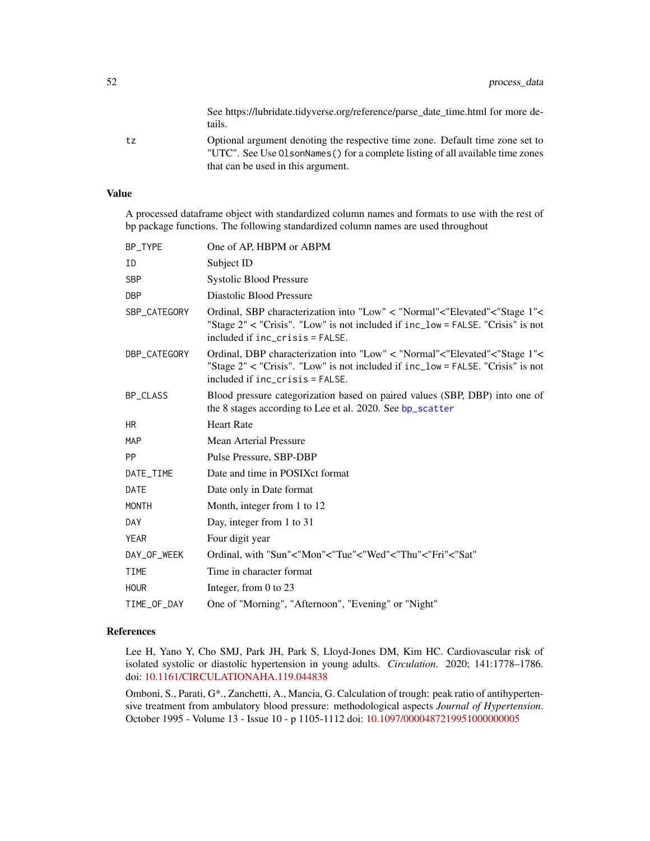See https://lubridate.tidyverse.org/reference/parse\_date\_time.html for more details.

<span id="page-51-0"></span>tz Optional argument denoting the respective time zone. Default time zone set to "UTC". See Use OlsonNames() for a complete listing of all available time zones that can be used in this argument.

## Value

A processed dataframe object with standardized column names and formats to use with the rest of bp package functions. The following standardized column names are used throughout

| BP_TYPE      | One of AP, HBPM or ABPM                                                                                                                                                                         |
|--------------|-------------------------------------------------------------------------------------------------------------------------------------------------------------------------------------------------|
| ID           | Subject ID                                                                                                                                                                                      |
| <b>SBP</b>   | <b>Systolic Blood Pressure</b>                                                                                                                                                                  |
| <b>DBP</b>   | Diastolic Blood Pressure                                                                                                                                                                        |
| SBP_CATEGORY | Ordinal, SBP characterization into "Low" < "Normal"<"Elevated"<"Stage 1"<<br>"Stage 2" < "Crisis". "Low" is not included if inc_low = FALSE. "Crisis" is not<br>included if inc_crisis = FALSE. |
| DBP_CATEGORY | Ordinal, DBP characterization into "Low" < "Normal"<"Elevated"<"Stage 1"<<br>"Stage 2" < "Crisis". "Low" is not included if inc_low = FALSE. "Crisis" is not<br>included if inc_crisis = FALSE. |
| BP_CLASS     | Blood pressure categorization based on paired values (SBP, DBP) into one of<br>the 8 stages according to Lee et al. 2020. See bp_scatter                                                        |
| HR.          | <b>Heart Rate</b>                                                                                                                                                                               |
| <b>MAP</b>   | <b>Mean Arterial Pressure</b>                                                                                                                                                                   |
| <b>PP</b>    | Pulse Pressure, SBP-DBP                                                                                                                                                                         |
| DATE_TIME    | Date and time in POSIX ct format                                                                                                                                                                |
| <b>DATE</b>  | Date only in Date format                                                                                                                                                                        |
| <b>MONTH</b> | Month, integer from 1 to 12                                                                                                                                                                     |
| DAY          | Day, integer from 1 to 31                                                                                                                                                                       |
| <b>YEAR</b>  | Four digit year                                                                                                                                                                                 |
| DAY_OF_WEEK  | Ordinal, with "Sun"<"Mon"<"Tue"<"Wed"<"Thu"<"Fri"<"Sat"                                                                                                                                         |
| <b>TIME</b>  | Time in character format                                                                                                                                                                        |
| <b>HOUR</b>  | Integer, from $0$ to $23$                                                                                                                                                                       |
| TIME_OF_DAY  | One of "Morning", "Afternoon", "Evening" or "Night"                                                                                                                                             |
|              |                                                                                                                                                                                                 |

## References

Lee H, Yano Y, Cho SMJ, Park JH, Park S, Lloyd-Jones DM, Kim HC. Cardiovascular risk of isolated systolic or diastolic hypertension in young adults. *Circulation*. 2020; 141:1778–1786. doi: [10.1161/CIRCULATIONAHA.119.044838](https://doi.org/10.1161/CIRCULATIONAHA.119.044838)

Omboni, S., Parati, G\*., Zanchetti, A., Mancia, G. Calculation of trough: peak ratio of antihypertensive treatment from ambulatory blood pressure: methodological aspects *Journal of Hypertension*. October 1995 - Volume 13 - Issue 10 - p 1105-1112 doi: [10.1097/0000487219951000000005](https://doi.org/10.1097/00004872-199510000-00005)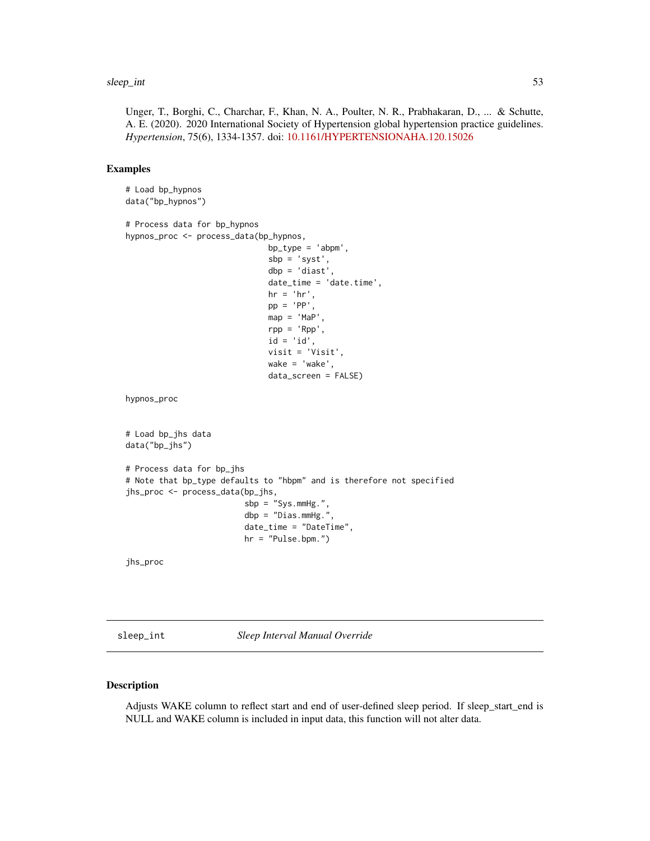#### <span id="page-52-0"></span>sleep\_int 53

Unger, T., Borghi, C., Charchar, F., Khan, N. A., Poulter, N. R., Prabhakaran, D., ... & Schutte, A. E. (2020). 2020 International Society of Hypertension global hypertension practice guidelines. *Hypertension*, 75(6), 1334-1357. doi: [10.1161/HYPERTENSIONAHA.120.15026](https://doi.org/10.1161/HYPERTENSIONAHA.120.15026)

## Examples

```
# Load bp_hypnos
data("bp_hypnos")
# Process data for bp_hypnos
hypnos_proc <- process_data(bp_hypnos,
                              bp_type = 'abpm',
                              sbp = 'syst',
                              dbp = 'diast',
                              date_time = 'date.time',
                              hr = 'hr',pp = 'PP'.
                              map = 'Map',
                              rpp = 'Rpp',
                              id = 'id',visit = 'Visit',
                              wake = 'wake',
                              data_screen = FALSE)
hypnos_proc
# Load bp_jhs data
data("bp_jhs")
# Process data for bp_jhs
# Note that bp_type defaults to "hbpm" and is therefore not specified
jhs_proc <- process_data(bp_jhs,
                         sbp = "Sys.mmHg."dbp = "Dias.mmHg."date_time = "DateTime",
                         hr = "Pulse.bpm.")
```
jhs\_proc

sleep\_int *Sleep Interval Manual Override*

#### Description

Adjusts WAKE column to reflect start and end of user-defined sleep period. If sleep\_start\_end is NULL and WAKE column is included in input data, this function will not alter data.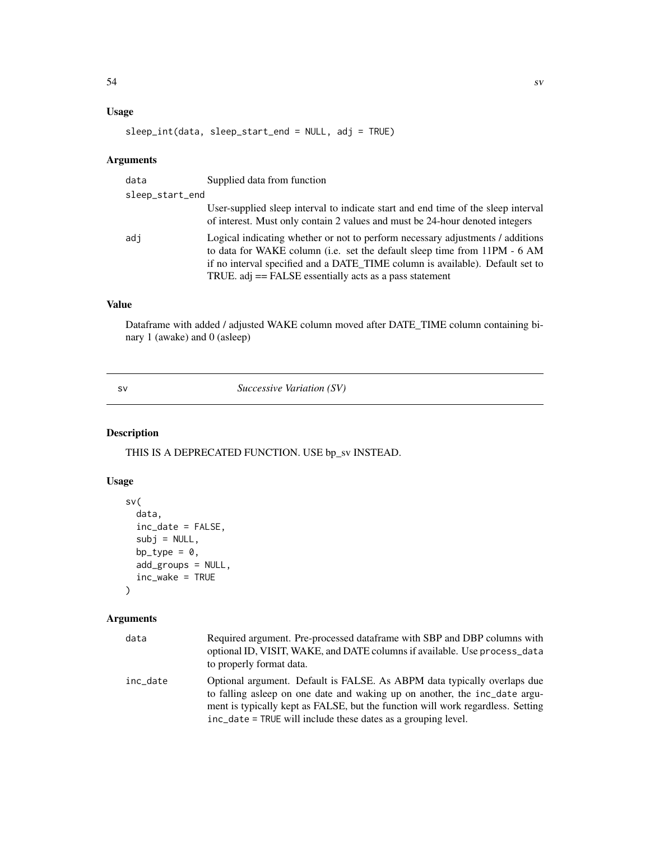## <span id="page-53-0"></span>Usage

```
sleep_int(data, sleep_start_end = NULL, adj = TRUE)
```
## Arguments

| data | Supplied data from function                                                                                                                                                                                                                                                                               |  |  |
|------|-----------------------------------------------------------------------------------------------------------------------------------------------------------------------------------------------------------------------------------------------------------------------------------------------------------|--|--|
|      | sleep_start_end                                                                                                                                                                                                                                                                                           |  |  |
|      | User-supplied sleep interval to indicate start and end time of the sleep interval<br>of interest. Must only contain 2 values and must be 24-hour denoted integers                                                                                                                                         |  |  |
| adi  | Logical indicating whether or not to perform necessary adjustments / additions<br>to data for WAKE column (i.e. set the default sleep time from 11PM - 6 AM<br>if no interval specified and a DATE TIME column is available). Default set to<br>TRUE. adj $==$ FALSE essentially acts as a pass statement |  |  |

## Value

Dataframe with added / adjusted WAKE column moved after DATE\_TIME column containing binary 1 (awake) and 0 (asleep)

sv *Successive Variation (SV)*

## Description

THIS IS A DEPRECATED FUNCTION. USE bp\_sv INSTEAD.

## Usage

```
sv(
  data,
  inc_date = FALSE,
 subj = NULL,bp_type = 0,
 add_groups = NULL,
  inc_wake = TRUE
)
```
## Arguments

| data     | Required argument. Pre-processed data frame with SBP and DBP columns with<br>optional ID, VISIT, WAKE, and DATE columns if available. Use process_data<br>to properly format data.                                                                                                                         |
|----------|------------------------------------------------------------------------------------------------------------------------------------------------------------------------------------------------------------------------------------------------------------------------------------------------------------|
| inc date | Optional argument. Default is FALSE. As ABPM data typically overlaps due<br>to falling asleep on one date and waking up on another, the inc_date argu-<br>ment is typically kept as FALSE, but the function will work regardless. Setting<br>inc_date = TRUE will include these dates as a grouping level. |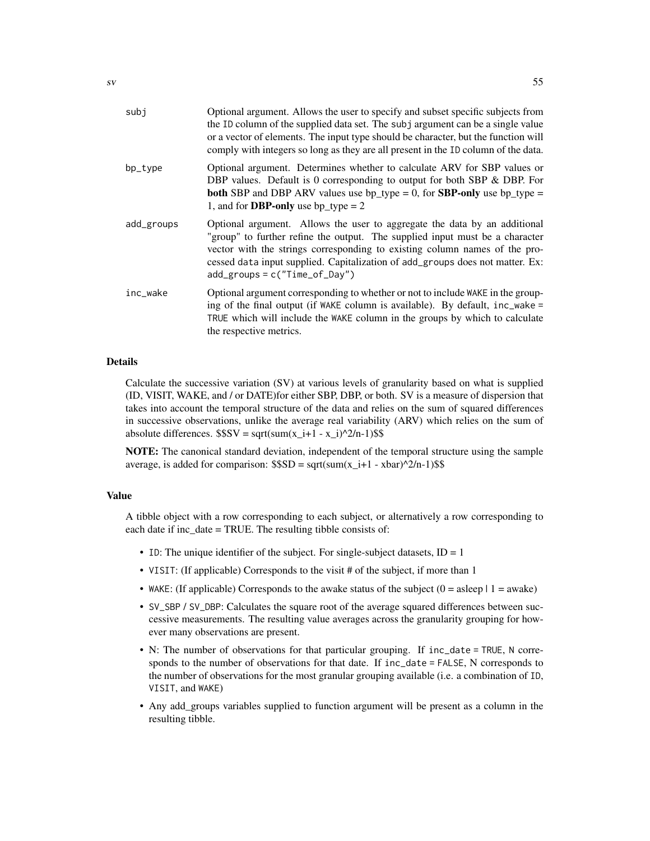| subj       | Optional argument. Allows the user to specify and subset specific subjects from<br>the ID column of the supplied data set. The subj argument can be a single value<br>or a vector of elements. The input type should be character, but the function will<br>comply with integers so long as they are all present in the ID column of the data.               |
|------------|--------------------------------------------------------------------------------------------------------------------------------------------------------------------------------------------------------------------------------------------------------------------------------------------------------------------------------------------------------------|
| bp_type    | Optional argument. Determines whether to calculate ARV for SBP values or<br>DBP values. Default is 0 corresponding to output for both SBP & DBP. For<br><b>both</b> SBP and DBP ARV values use $bp_{\text{y}} = 0$ , for <b>SBP-only</b> use $bp_{\text{y}} =$<br>1, and for <b>DBP-only</b> use bp_type = $2$                                               |
| add_groups | Optional argument. Allows the user to aggregate the data by an additional<br>"group" to further refine the output. The supplied input must be a character<br>vector with the strings corresponding to existing column names of the pro-<br>cessed data input supplied. Capitalization of add_groups does not matter. Ex:<br>$add\_groups = c("Time_of_Day")$ |
| inc_wake   | Optional argument corresponding to whether or not to include WAKE in the group-<br>ing of the final output (if WAKE column is available). By default, inc_wake =<br>TRUE which will include the WAKE column in the groups by which to calculate<br>the respective metrics.                                                                                   |

## Details

Calculate the successive variation (SV) at various levels of granularity based on what is supplied (ID, VISIT, WAKE, and / or DATE)for either SBP, DBP, or both. SV is a measure of dispersion that takes into account the temporal structure of the data and relies on the sum of squared differences in successive observations, unlike the average real variability (ARV) which relies on the sum of absolute differences.  $$SSV = sqrt(sum(x_i+1 - x_i))^2/n-1)$ \$\$

NOTE: The canonical standard deviation, independent of the temporal structure using the sample average, is added for comparison:  $$SD = sqrt(sum(x_i + 1 - xbar)^2/n-1)$ \$\$

## Value

A tibble object with a row corresponding to each subject, or alternatively a row corresponding to each date if inc\_date = TRUE. The resulting tibble consists of:

- ID: The unique identifier of the subject. For single-subject datasets,  $ID = 1$
- VISIT: (If applicable) Corresponds to the visit # of the subject, if more than 1
- WAKE: (If applicable) Corresponds to the awake status of the subject  $(0 = a \text{sleep} \mid 1 = \text{awake})$
- SV\_SBP / SV\_DBP: Calculates the square root of the average squared differences between successive measurements. The resulting value averages across the granularity grouping for however many observations are present.
- N: The number of observations for that particular grouping. If inc\_date = TRUE, N corresponds to the number of observations for that date. If inc\_date = FALSE, N corresponds to the number of observations for the most granular grouping available (i.e. a combination of ID, VISIT, and WAKE)
- Any add\_groups variables supplied to function argument will be present as a column in the resulting tibble.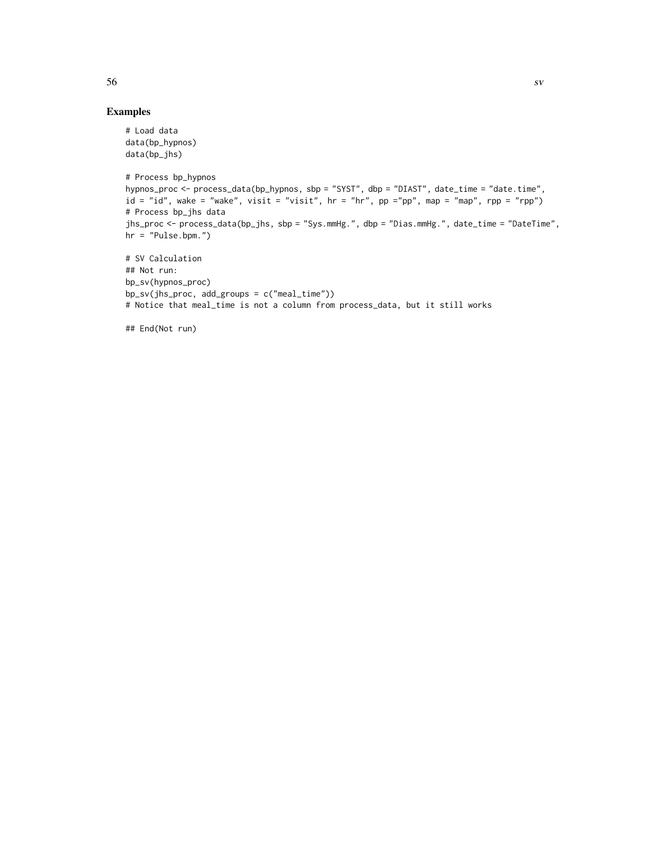## Examples

```
# Load data
data(bp_hypnos)
data(bp_jhs)
# Process bp_hypnos
hypnos_proc <- process_data(bp_hypnos, sbp = "SYST", dbp = "DIAST", date_time = "date.time",
id = "id", wake = "wake", visit = "visit", hr = "hr", pp ="pp", map = "map", rpp = "rpp")
# Process bp_jhs data
jhs_proc <- process_data(bp_jhs, sbp = "Sys.mmHg.", dbp = "Dias.mmHg.", date_time = "DateTime",
hr = "Pulse.bpm."# SV Calculation
## Not run:
bp_sv(hypnos_proc)
bp_sv(jhs_proc, add_groups = c("meal_time"))
# Notice that meal_time is not a column from process_data, but it still works
```
## End(Not run)

 $56$  sv